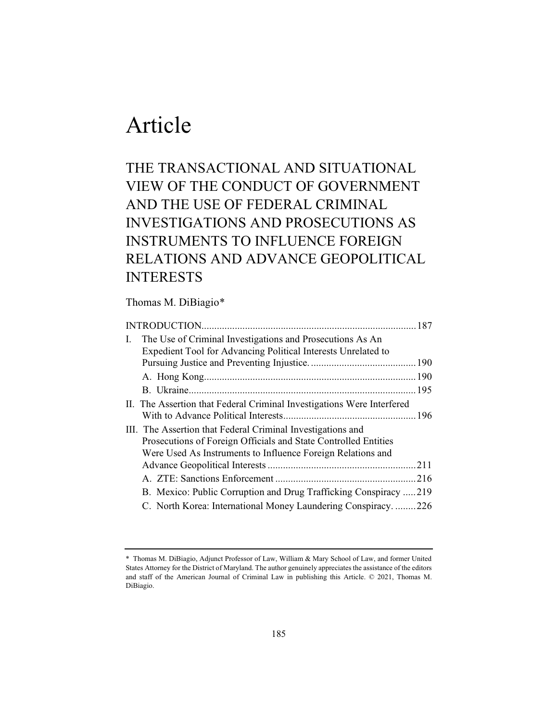# Article

# THE TRANSACTIONAL AND SITUATIONAL VIEW OF THE CONDUCT OF GOVERNMENT AND THE USE OF FEDERAL CRIMINAL INVESTIGATIONS AND PROSECUTIONS AS INSTRUMENTS TO INFLUENCE FOREIGN RELATIONS AND ADVANCE GEOPOLITICAL INTERESTS

# Thomas M. DiBiagio\*

| L. | The Use of Criminal Investigations and Prosecutions As An              |  |
|----|------------------------------------------------------------------------|--|
|    | Expedient Tool for Advancing Political Interests Unrelated to          |  |
|    |                                                                        |  |
|    |                                                                        |  |
|    |                                                                        |  |
|    | II. The Assertion that Federal Criminal Investigations Were Interfered |  |
|    |                                                                        |  |
|    | III. The Assertion that Federal Criminal Investigations and            |  |
|    | Prosecutions of Foreign Officials and State Controlled Entities        |  |
|    | Were Used As Instruments to Influence Foreign Relations and            |  |
|    |                                                                        |  |
|    |                                                                        |  |
|    | B. Mexico: Public Corruption and Drug Trafficking Conspiracy 219       |  |
|    | C. North Korea: International Money Laundering Conspiracy226           |  |
|    |                                                                        |  |

<sup>\*</sup> Thomas M. DiBiagio, Adjunct Professor of Law, William & Mary School of Law, and former United States Attorney for the District of Maryland. The author genuinely appreciates the assistance of the editors and staff of the American Journal of Criminal Law in publishing this Article. © 2021, Thomas M. DiBiagio.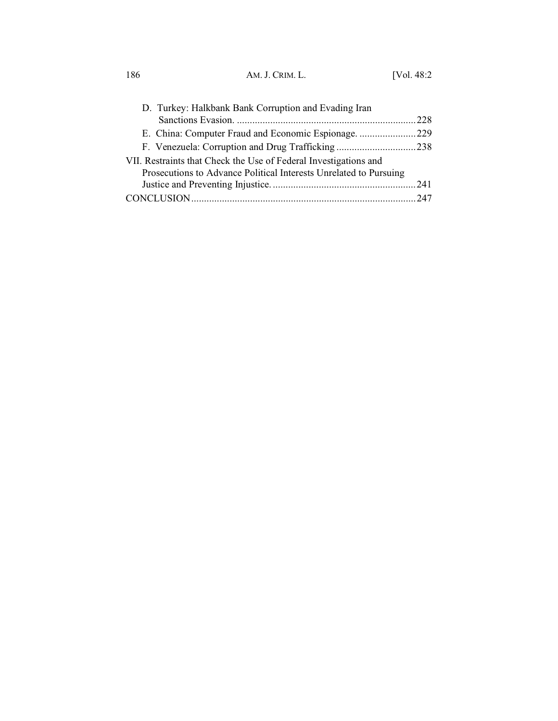| 186 | AM. J. CRIM. L. | [Vol. $48:2$ |
|-----|-----------------|--------------|

| D. Turkey: Halkbank Bank Corruption and Evading Iran              |  |  |  |
|-------------------------------------------------------------------|--|--|--|
|                                                                   |  |  |  |
|                                                                   |  |  |  |
|                                                                   |  |  |  |
| VII. Restraints that Check the Use of Federal Investigations and  |  |  |  |
| Prosecutions to Advance Political Interests Unrelated to Pursuing |  |  |  |
|                                                                   |  |  |  |
|                                                                   |  |  |  |
|                                                                   |  |  |  |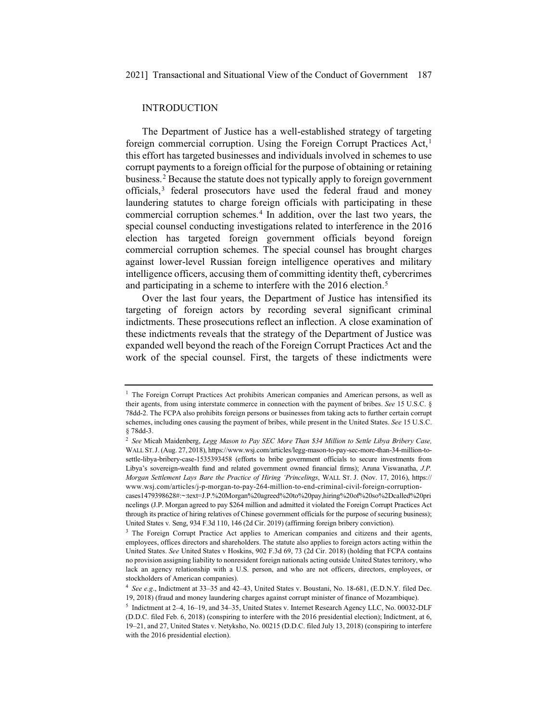#### INTRODUCTION

The Department of Justice has a well-established strategy of targeting foreign commercial corruption. Using the Foreign Corrupt Practices Act,<sup>1</sup> this effort has targeted businesses and individuals involved in schemes to use corrupt payments to a foreign official for the purpose of obtaining or retaining business.2 Because the statute does not typically apply to foreign government officials,<sup>3</sup> federal prosecutors have used the federal fraud and money laundering statutes to charge foreign officials with participating in these commercial corruption schemes.4 In addition, over the last two years, the special counsel conducting investigations related to interference in the 2016 election has targeted foreign government officials beyond foreign commercial corruption schemes. The special counsel has brought charges against lower-level Russian foreign intelligence operatives and military intelligence officers, accusing them of committing identity theft, cybercrimes and participating in a scheme to interfere with the 2016 election.<sup>5</sup>

Over the last four years, the Department of Justice has intensified its targeting of foreign actors by recording several significant criminal indictments. These prosecutions reflect an inflection. A close examination of these indictments reveals that the strategy of the Department of Justice was expanded well beyond the reach of the Foreign Corrupt Practices Act and the work of the special counsel. First, the targets of these indictments were

 $<sup>1</sup>$  The Foreign Corrupt Practices Act prohibits American companies and American persons, as well as</sup> their agents, from using interstate commerce in connection with the payment of bribes. *See* 15 U.S.C. § 78dd-2. The FCPA also prohibits foreign persons or businesses from taking acts to further certain corrupt schemes, including ones causing the payment of bribes, while present in the United States. *See* 15 U.S.C. § 78dd-3.

<sup>2</sup> *See* Micah Maidenberg, *Legg Mason to Pay SEC More Than \$34 Million to Settle Libya Bribery Case,*  WALL ST. J. (Aug. 27, 2018), https://www.wsj.com/articles/legg-mason-to-pay-sec-more-than-34-million-tosettle-libya-bribery-case-1535393458 (efforts to bribe government officials to secure investments from Libya's sovereign-wealth fund and related government owned financial firms); Aruna Viswanatha, *J.P. Morgan Settlement Lays Bare the Practice of Hiring 'Princelings*, WALL ST. J. (Nov. 17, 2016), https:// www.wsj.com/articles/j-p-morgan-to-pay-264-million-to-end-criminal-civil-foreign-corruption-

cases1479398628#:~:text=J.P.%20Morgan%20agreed%20to%20pay,hiring%20of%20so%2Dcalled%20pri ncelings (J.P. Morgan agreed to pay \$264 million and admitted it violated the Foreign Corrupt Practices Act through its practice of hiring relatives of Chinese government officials for the purpose of securing business); United States v*.* Seng, 934 F.3d 110, 146 (2d Cir. 2019) (affirming foreign bribery conviction).

<sup>&</sup>lt;sup>3</sup> The Foreign Corrupt Practice Act applies to American companies and citizens and their agents, employees, offices directors and shareholders. The statute also applies to foreign actors acting within the United States. *See* United States v Hoskins, 902 F.3d 69, 73 (2d Cir. 2018) (holding that FCPA contains no provision assigning liability to nonresident foreign nationals acting outside United States territory, who lack an agency relationship with a U.S. person, and who are not officers, directors, employees, or stockholders of American companies).

<sup>4</sup> *See e.g*., Indictment at 33–35 and 42–43, United States v. Boustani, No. 18-681, (E.D.N.Y. filed Dec. 19, 2018) (fraud and money laundering charges against corrupt minister of finance of Mozambique).

<sup>5</sup> Indictment at 2–4, 16–19, and 34–35, United States v. Internet Research Agency LLC, No. 00032-DLF (D.D.C. filed Feb. 6, 2018) (conspiring to interfere with the 2016 presidential election); Indictment, at 6, 19–21, and 27, United States v. Netyksho, No. 00215 (D.D.C. filed July 13, 2018) (conspiring to interfere with the 2016 presidential election).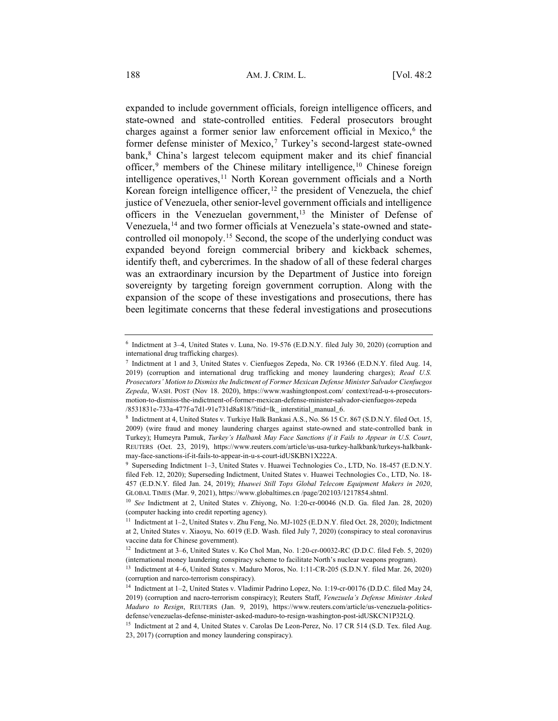expanded to include government officials, foreign intelligence officers, and state-owned and state-controlled entities. Federal prosecutors brought charges against a former senior law enforcement official in Mexico, $6$  the former defense minister of Mexico,<sup>7</sup> Turkey's second-largest state-owned bank,<sup>8</sup> China's largest telecom equipment maker and its chief financial officer,<sup>9</sup> members of the Chinese military intelligence, <sup>10</sup> Chinese foreign intelligence operatives,<sup>11</sup> North Korean government officials and a North Korean foreign intelligence officer,  $12$  the president of Venezuela, the chief justice of Venezuela, other senior-level government officials and intelligence officers in the Venezuelan government,<sup>13</sup> the Minister of Defense of Venezuela,14 and two former officials at Venezuela's state-owned and statecontrolled oil monopoly.15 Second, the scope of the underlying conduct was expanded beyond foreign commercial bribery and kickback schemes, identify theft, and cybercrimes. In the shadow of all of these federal charges was an extraordinary incursion by the Department of Justice into foreign sovereignty by targeting foreign government corruption. Along with the expansion of the scope of these investigations and prosecutions, there has been legitimate concerns that these federal investigations and prosecutions

<sup>6</sup> Indictment at 3–4, United States v. Luna, No. 19-576 (E.D.N.Y. filed July 30, 2020) (corruption and international drug trafficking charges).

<sup>7</sup> Indictment at 1 and 3, United States v. Cienfuegos Zepeda, No. CR 19366 (E.D.N.Y. filed Aug. 14, 2019) (corruption and international drug trafficking and money laundering charges); *Read U.S. Prosecutors' Motion to Dismiss the Indictment of Former Mexican Defense Minister Salvador Cienfuegos Zepeda*, WASH. POST (Nov 18. 2020), https://www.washingtonpost.com/ context/read-u-s-prosecutorsmotion-to-dismiss-the-indictment-of-former-mexican-defense-minister-salvador-cienfuegos-zepeda /8531831e-733a-477f-a7d1-91e731d8a818/?itid=lk\_ interstitial\_manual\_6.

<sup>8</sup> Indictment at 4, United States v. Turkiye Halk Bankasi A.S., No. S6 15 Cr. 867 (S.D.N.Y. filed Oct. 15, 2009) (wire fraud and money laundering charges against state-owned and state-controlled bank in Turkey); Humeyra Pamuk, *Turkey's Halbank May Face Sanctions if it Fails to Appear in U.S. Court*, REUTERS (Oct. 23, 2019), https://www.reuters.com/article/us-usa-turkey-halkbank/turkeys-halkbankmay-face-sanctions-if-it-fails-to-appear-in-u-s-court-idUSKBN1X222A.

<sup>9</sup> Superseding Indictment 1–3, United States v. Huawei Technologies Co., LTD, No. 18-457 (E.D.N.Y. filed Feb. 12, 2020); Superseding Indictment, United States v. Huawei Technologies Co., LTD, No. 18- 457 (E.D.N.Y. filed Jan. 24, 2019); *Huawei Still Tops Global Telecom Equipment Makers in 2020*, GLOBAL TIMES (Mar. 9, 2021), https://www.globaltimes.cn /page/202103/1217854.shtml.

<sup>10</sup> *See* Indictment at 2, United States v. Zhiyong, No. 1:20-cr-00046 (N.D. Ga. filed Jan. 28, 2020) (computer hacking into credit reporting agency).

<sup>11</sup> Indictment at 1–2, United States v. Zhu Feng, No. MJ-1025 (E.D.N.Y. filed Oct. 28, 2020); Indictment at 2, United States v. Xiaoyu, No. 6019 (E.D. Wash. filed July 7, 2020) (conspiracy to steal coronavirus vaccine data for Chinese government).

<sup>12</sup> Indictment at 3–6, United States v. Ko Chol Man, No. 1:20-cr-00032-RC (D.D.C. filed Feb. 5, 2020) (international money laundering conspiracy scheme to facilitate North's nuclear weapons program).

<sup>13</sup> Indictment at 4–6, United States v. Maduro Moros, No. 1:11-CR-205 (S.D.N.Y. filed Mar. 26, 2020) (corruption and narco-terrorism conspiracy).

<sup>14</sup> Indictment at 1–2, United States v. Vladimir Padrino Lopez, No. 1:19-cr-00176 (D.D.C. filed May 24, 2019) (corruption and nacro-terrorism conspiracy); Reuters Staff, *Venezuela's Defense Minister Asked Maduro to Resign*, REUTERS (Jan. 9, 2019), https://www.reuters.com/article/us-venezuela-politicsdefense/venezuelas-defense-minister-asked-maduro-to-resign-washington-post-idUSKCN1P32LQ.

<sup>&</sup>lt;sup>15</sup> Indictment at 2 and 4, United States v. Carolas De Leon-Perez, No. 17 CR 514 (S.D. Tex. filed Aug. 23, 2017) (corruption and money laundering conspiracy).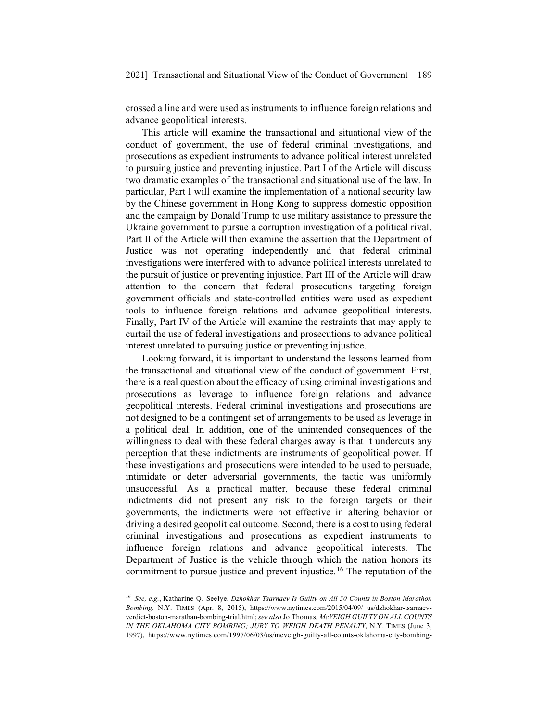crossed a line and were used as instruments to influence foreign relations and advance geopolitical interests.

This article will examine the transactional and situational view of the conduct of government, the use of federal criminal investigations, and prosecutions as expedient instruments to advance political interest unrelated to pursuing justice and preventing injustice. Part I of the Article will discuss two dramatic examples of the transactional and situational use of the law. In particular, Part I will examine the implementation of a national security law by the Chinese government in Hong Kong to suppress domestic opposition and the campaign by Donald Trump to use military assistance to pressure the Ukraine government to pursue a corruption investigation of a political rival. Part II of the Article will then examine the assertion that the Department of Justice was not operating independently and that federal criminal investigations were interfered with to advance political interests unrelated to the pursuit of justice or preventing injustice. Part III of the Article will draw attention to the concern that federal prosecutions targeting foreign government officials and state-controlled entities were used as expedient tools to influence foreign relations and advance geopolitical interests. Finally, Part IV of the Article will examine the restraints that may apply to curtail the use of federal investigations and prosecutions to advance political interest unrelated to pursuing justice or preventing injustice.

Looking forward, it is important to understand the lessons learned from the transactional and situational view of the conduct of government. First, there is a real question about the efficacy of using criminal investigations and prosecutions as leverage to influence foreign relations and advance geopolitical interests. Federal criminal investigations and prosecutions are not designed to be a contingent set of arrangements to be used as leverage in a political deal. In addition, one of the unintended consequences of the willingness to deal with these federal charges away is that it undercuts any perception that these indictments are instruments of geopolitical power. If these investigations and prosecutions were intended to be used to persuade, intimidate or deter adversarial governments, the tactic was uniformly unsuccessful. As a practical matter, because these federal criminal indictments did not present any risk to the foreign targets or their governments, the indictments were not effective in altering behavior or driving a desired geopolitical outcome. Second, there is a cost to using federal criminal investigations and prosecutions as expedient instruments to influence foreign relations and advance geopolitical interests. The Department of Justice is the vehicle through which the nation honors its commitment to pursue justice and prevent injustice.16 The reputation of the

<sup>16</sup> *See, e.g.*, Katharine Q. Seelye, *Dzhokhar Tsarnaev Is Guilty on All 30 Counts in Boston Marathon Bombing,* N.Y. TIMES (Apr. 8, 2015), https://www.nytimes.com/2015/04/09/ us/dzhokhar-tsarnaevverdict-boston-marathan-bombing-trial.html; *see also* Jo Thomas*, McVEIGH GUILTY ON ALL COUNTS IN THE OKLAHOMA CITY BOMBING; JURY TO WEIGH DEATH PENALTY*, N.Y. TIMES (June 3, 1997), https://www.nytimes.com/1997/06/03/us/mcveigh-guilty-all-counts-oklahoma-city-bombing-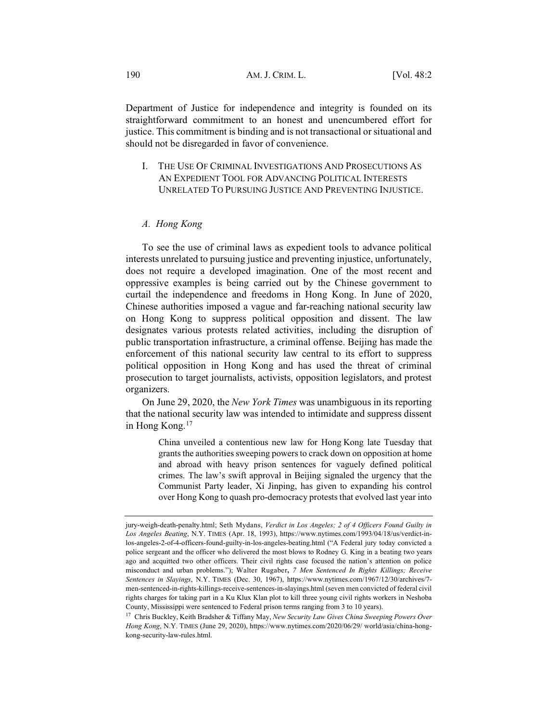Department of Justice for independence and integrity is founded on its straightforward commitment to an honest and unencumbered effort for justice. This commitment is binding and is not transactional or situational and should not be disregarded in favor of convenience.

I. THE USE OF CRIMINAL INVESTIGATIONS AND PROSECUTIONS AS AN EXPEDIENT TOOL FOR ADVANCING POLITICAL INTERESTS UNRELATED TO PURSUING JUSTICE AND PREVENTING INJUSTICE.

#### *A. Hong Kong*

To see the use of criminal laws as expedient tools to advance political interests unrelated to pursuing justice and preventing injustice, unfortunately, does not require a developed imagination. One of the most recent and oppressive examples is being carried out by the Chinese government to curtail the independence and freedoms in Hong Kong. In June of 2020, Chinese authorities imposed a vague and far-reaching national security law on Hong Kong to suppress political opposition and dissent. The law designates various protests related activities, including the disruption of public transportation infrastructure, a criminal offense. Beijing has made the enforcement of this national security law central to its effort to suppress political opposition in Hong Kong and has used the threat of criminal prosecution to target journalists, activists, opposition legislators, and protest organizers.

On June 29, 2020, the *New York Times* was unambiguous in its reporting that the national security law was intended to intimidate and suppress dissent in Hong Kong.17

> China unveiled a contentious new law for Hong Kong late Tuesday that grants the authorities sweeping powers to crack down on opposition at home and abroad with heavy prison sentences for vaguely defined political crimes. The law's swift approval in Beijing signaled the urgency that the Communist Party leader, Xi Jinping, has given to expanding his control over Hong Kong to quash pro-democracy protests that evolved last year into

<sup>17</sup> Chris Buckley, Keith Bradsher & Tiffany May, *New Security Law Gives China Sweeping Powers Over Hong Kong*, N.Y. TIMES (June 29, 2020), https://www.nytimes.com/2020/06/29/ world/asia/china-hongkong-security-law-rules.html.

jury-weigh-death-penalty.html; Seth Mydans, *Verdict in Los Angeles; 2 of 4 Officers Found Guilty in Los Angeles Beating*, N.Y. TIMES (Apr. 18, 1993), https://www.nytimes.com/1993/04/18/us/verdict-inlos-angeles-2-of-4-officers-found-guilty-in-los-angeles-beating.html ("A Federal jury today convicted a police sergeant and the officer who delivered the most blows to Rodney G. King in a beating two years ago and acquitted two other officers. Their civil rights case focused the nation's attention on police misconduct and urban problems."); Walter Rugaber**,** *7 Men Sentenced In Rights Killings; Receive Sentences in Slayings*, N.Y. TIMES (Dec. 30, 1967), https://www.nytimes.com/1967/12/30/archives/7 men-sentenced-in-rights-killings-receive-sentences-in-slayings.html (seven men convicted of federal civil rights charges for taking part in a Ku Klux Klan plot to kill three young civil rights workers in Neshoba County, Mississippi were sentenced to Federal prison terms ranging from 3 to 10 years).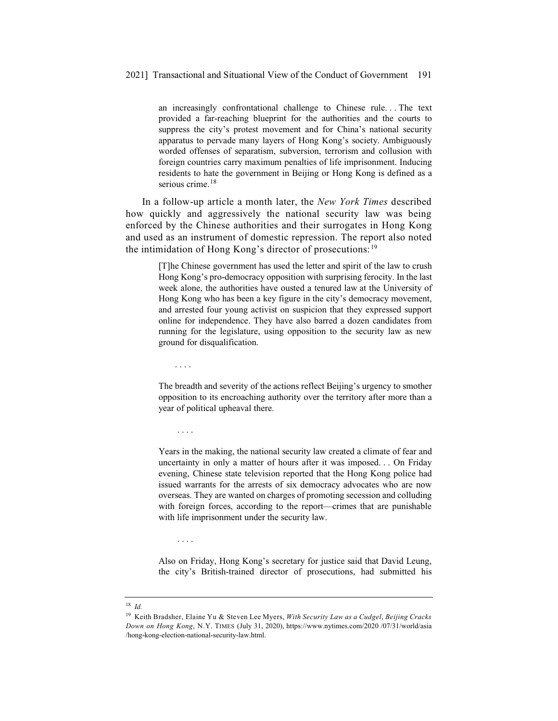an increasingly confrontational challenge to Chinese rule. . . The text provided a far-reaching blueprint for the authorities and the courts to suppress the city's protest movement and for China's national security apparatus to pervade many layers of Hong Kong's society. Ambiguously worded offenses of separatism, subversion, terrorism and collusion with foreign countries carry maximum penalties of life imprisonment. Inducing residents to hate the government in Beijing or Hong Kong is defined as a serious crime.<sup>18</sup>

In a follow-up article a month later, the *New York Times* described how quickly and aggressively the national security law was being enforced by the Chinese authorities and their surrogates in Hong Kong and used as an instrument of domestic repression. The report also noted the intimidation of Hong Kong's director of prosecutions:19

> [T]he Chinese government has used the letter and spirit of the law to crush Hong Kong's pro-democracy opposition with surprising ferocity. In the last week alone, the authorities have ousted a tenured law at the University of Hong Kong who has been a key figure in the city's democracy movement, and arrested four young activist on suspicion that they expressed support online for independence. They have also barred a dozen candidates from running for the legislature, using opposition to the security law as new ground for disqualification.

....

....

....

The breadth and severity of the actions reflect Beijing's urgency to smother opposition to its encroaching authority over the territory after more than a year of political upheaval there.

Years in the making, the national security law created a climate of fear and uncertainty in only a matter of hours after it was imposed. . . On Friday evening, Chinese state television reported that the Hong Kong police had issued warrants for the arrests of six democracy advocates who are now overseas. They are wanted on charges of promoting secession and colluding with foreign forces, according to the report—crimes that are punishable with life imprisonment under the security law.

Also on Friday, Hong Kong's secretary for justice said that David Leung, the city's British-trained director of prosecutions, had submitted his

<sup>18</sup> *Id.*

<sup>19</sup> Keith Bradsher, Elaine Yu & Steven Lee Myers, *With Security Law as a Cudgel*, *Beijing Cracks Down on Hong Kong*, N.Y. TIMES (July 31, 2020), https://www.nytimes.com/2020 /07/31/world/asia /hong-kong-election-national-security-law.html.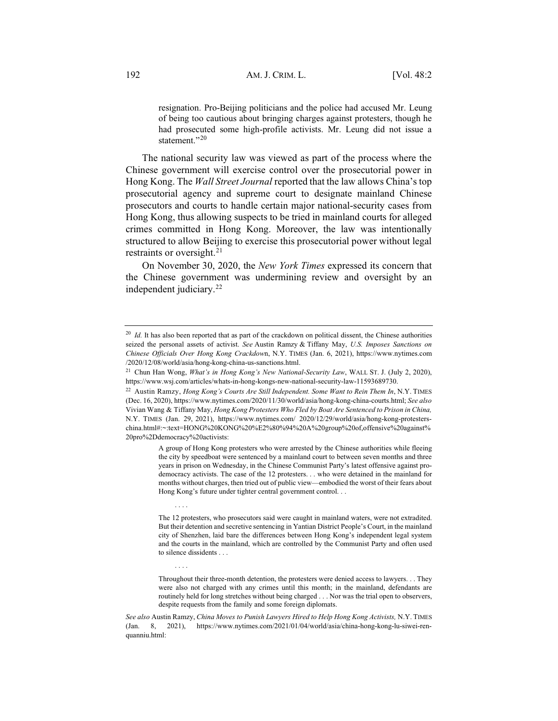resignation. Pro-Beijing politicians and the police had accused Mr. Leung of being too cautious about bringing charges against protesters, though he had prosecuted some high-profile activists. Mr. Leung did not issue a statement."20

The national security law was viewed as part of the process where the Chinese government will exercise control over the prosecutorial power in Hong Kong. The *Wall Street Journal* reported that the law allows China's top prosecutorial agency and supreme court to designate mainland Chinese prosecutors and courts to handle certain major national-security cases from Hong Kong, thus allowing suspects to be tried in mainland courts for alleged crimes committed in Hong Kong. Moreover, the law was intentionally structured to allow Beijing to exercise this prosecutorial power without legal restraints or oversight.<sup>21</sup>

On November 30, 2020, the *New York Times* expressed its concern that the Chinese government was undermining review and oversight by an independent judiciary.<sup>22</sup>

....

....

A group of Hong Kong protesters who were arrested by the Chinese authorities while fleeing the city by speedboat were sentenced by a mainland court to between seven months and three years in prison on Wednesday, in the Chinese Communist Party's latest offensive against prodemocracy activists. The case of the 12 protesters. . . who were detained in the mainland for months without charges, then tried out of public view—embodied the worst of their fears about Hong Kong's future under tighter central government control. . .

<sup>&</sup>lt;sup>20</sup> *Id.* It has also been reported that as part of the crackdown on political dissent, the Chinese authorities seized the personal assets of activist. *See* Austin Ramzy & Tiffany May, *U.S. Imposes Sanctions on Chinese Officials Over Hong Kong Crackdow*n, N.Y. TIMES (Jan. 6, 2021), https://www.nytimes.com /2020/12/08/world/asia/hong-kong-china-us-sanctions.html.

<sup>21</sup> Chun Han Wong, *What's in Hong Kong's New National-Security Law*, WALL ST. J. (July 2, 2020), https://www.wsj.com/articles/whats-in-hong-kongs-new-national-security-law-11593689730.

<sup>22</sup> Austin Ramzy, *Hong Kong's Courts Are Still Independent. Some Want to Rein Them In*, N.Y. TIMES (Dec. 16, 2020), https://www.nytimes.com/2020/11/30/world/asia/hong-kong-china-courts.html; *See also* Vivian Wang & Tiffany May, *Hong Kong Protesters Who Fled by Boat Are Sentenced to Prison in China,*  N.Y. TIMES (Jan. 29, 2021), https://www.nytimes.com/ 2020/12/29/world/asia/hong-kong-protesterschina.html#:~:text=HONG%20KONG%20%E2%80%94%20A%20group%20of,offensive%20against% 20pro%2Ddemocracy%20activists:

The 12 protesters, who prosecutors said were caught in mainland waters, were not extradited. But their detention and secretive sentencing in Yantian District People's Court, in the mainland city of Shenzhen, laid bare the differences between Hong Kong's independent legal system and the courts in the mainland, which are controlled by the Communist Party and often used to silence dissidents . . .

Throughout their three-month detention, the protesters were denied access to lawyers. . . They were also not charged with any crimes until this month; in the mainland, defendants are routinely held for long stretches without being charged . . . Nor was the trial open to observers, despite requests from the family and some foreign diplomats.

*See also* Austin Ramzy, *China Moves to Punish Lawyers Hired to Help Hong Kong Activists,* N.Y. TIMES (Jan. 8, 2021), https://www.nytimes.com/2021/01/04/world/asia/china-hong-kong-lu-siwei-renquanniu.html: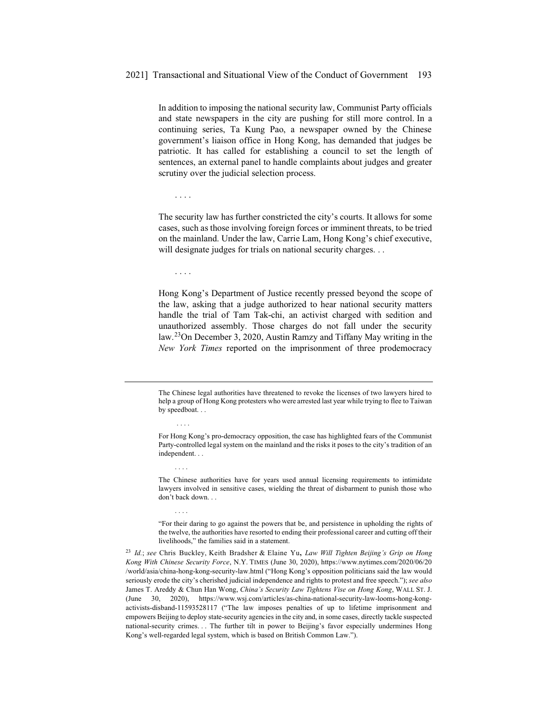In addition to imposing the national security law, Communist Party officials and state newspapers in the city are pushing for still more control. In a continuing series, Ta Kung Pao, a newspaper owned by the Chinese government's liaison office in Hong Kong, has demanded that judges be patriotic. It has called for establishing a council to set the length of sentences, an external panel to handle complaints about judges and greater scrutiny over the judicial selection process.

....

The security law has further constricted the city's courts. It allows for some cases, such as those involving foreign forces or imminent threats, to be tried on the mainland. Under the law, Carrie Lam, Hong Kong's chief executive, will designate judges for trials on national security charges. . .

....

....

....

....

Hong Kong's Department of Justice recently pressed beyond the scope of the law, asking that a judge authorized to hear national security matters handle the trial of Tam Tak-chi, an activist charged with sedition and unauthorized assembly. Those charges do not fall under the security law.23On December 3, 2020, Austin Ramzy and Tiffany May writing in the *New York Times* reported on the imprisonment of three prodemocracy

The Chinese legal authorities have threatened to revoke the licenses of two lawyers hired to help a group of Hong Kong protesters who were arrested last year while trying to flee to Taiwan by speedboat. . .

"For their daring to go against the powers that be, and persistence in upholding the rights of the twelve, the authorities have resorted to ending their professional career and cutting off their livelihoods," the families said in a statement.

<sup>23</sup> *Id.*; *see* Chris Buckley, Keith Bradsher & Elaine Yu**,** *Law Will Tighten Beijing's Grip on Hong Kong With Chinese Security Force*, N.Y. TIMES (June 30, 2020), https://www.nytimes.com/2020/06/20 /world/asia/china-hong-kong-security-law.html ("Hong Kong's opposition politicians said the law would seriously erode the city's cherished judicial independence and rights to protest and free speech.");*see also* James T. Areddy & Chun Han Wong, *China's Security Law Tightens Vise on Hong Kong*, WALL ST. J. (June 30, 2020), https://www.wsj.com/articles/as-china-national-security-law-looms-hong-kongactivists-disband-11593528117 ("The law imposes penalties of up to lifetime imprisonment and empowers Beijing to deploy state-security agencies in the city and, in some cases, directly tackle suspected national-security crimes. . . The further tilt in power to Beijing's favor especially undermines Hong Kong's well-regarded legal system, which is based on British Common Law.").

For Hong Kong's pro-democracy opposition, the case has highlighted fears of the Communist Party-controlled legal system on the mainland and the risks it poses to the city's tradition of an independent. . .

The Chinese authorities have for years used annual licensing requirements to intimidate lawyers involved in sensitive cases, wielding the threat of disbarment to punish those who don't back down. . .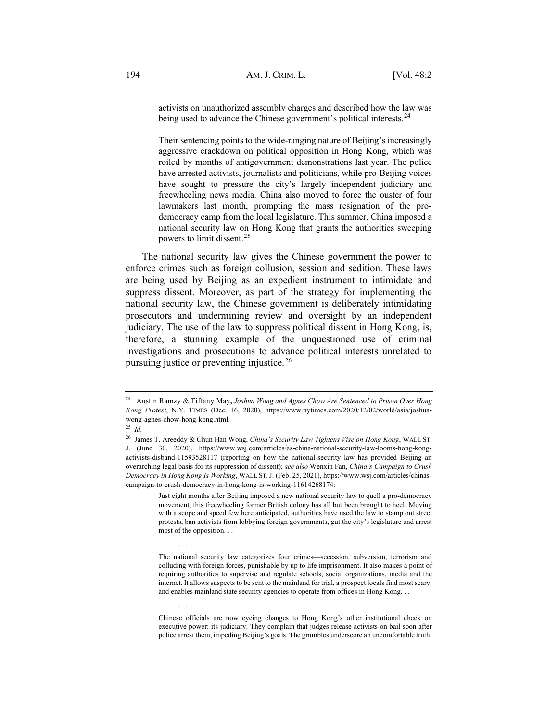activists on unauthorized assembly charges and described how the law was being used to advance the Chinese government's political interests.<sup>24</sup>

Their sentencing points to the wide-ranging nature of Beijing's increasingly aggressive crackdown on political opposition in Hong Kong, which was roiled by months of antigovernment demonstrations last year. The police have arrested activists, journalists and politicians, while pro-Beijing voices have sought to pressure the city's largely independent judiciary and freewheeling news media. China also moved to force the ouster of four lawmakers last month, prompting the mass resignation of the prodemocracy camp from the local legislature. This summer, China imposed a national security law on Hong Kong that grants the authorities sweeping powers to limit dissent.<sup>25</sup>

The national security law gives the Chinese government the power to enforce crimes such as foreign collusion, session and sedition. These laws are being used by Beijing as an expedient instrument to intimidate and suppress dissent. Moreover, as part of the strategy for implementing the national security law, the Chinese government is deliberately intimidating prosecutors and undermining review and oversight by an independent judiciary. The use of the law to suppress political dissent in Hong Kong, is, therefore, a stunning example of the unquestioned use of criminal investigations and prosecutions to advance political interests unrelated to pursuing justice or preventing injustice.26

....

<sup>24</sup> Austin Ramzy & Tiffany May**,** *Joshua Wong and Agnes Chow Are Sentenced to Prison Over Hong Kong Protest*, N.Y. TIMES (Dec. 16, 2020), https://www.nytimes.com/2020/12/02/world/asia/joshuawong-agnes-chow-hong-kong.html.

<sup>25</sup> *Id.*

<sup>26</sup> James T. Areeddy & Chun Han Wong, *China's Security Law Tightens Vise on Hong Kong*, WALL ST. J. (June 30, 2020), https://www.wsj.com/articles/as-china-national-security-law-looms-hong-kongactivists-disband-11593528117 (reporting on how the national-security law has provided Beijing an overarching legal basis for its suppression of dissent); *see also* Wenxin Fan, *China's Campaign to Crush Democracy in Hong Kong Is Working*, WALL ST. J. (Feb. 25, 2021), https://www.wsj.com/articles/chinascampaign-to-crush-democracy-in-hong-kong-is-working-11614268174:

Just eight months after Beijing imposed a new national security law to quell a pro-democracy movement, this freewheeling former British colony has all but been brought to heel. Moving with a scope and speed few here anticipated, authorities have used the law to stamp out street protests, ban activists from lobbying foreign governments, gut the city's legislature and arrest most of the opposition. . .

The national security law categorizes four crimes—secession, subversion, terrorism and colluding with foreign forces, punishable by up to life imprisonment. It also makes a point of requiring authorities to supervise and regulate schools, social organizations, media and the internet. It allows suspects to be sent to the mainland for trial, a prospect locals find most scary, and enables mainland state security agencies to operate from offices in Hong Kong. . .

Chinese officials are now eyeing changes to Hong Kong's other institutional check on executive power: its judiciary. They complain that judges release activists on bail soon after police arrest them, impeding Beijing's goals. The grumbles underscore an uncomfortable truth: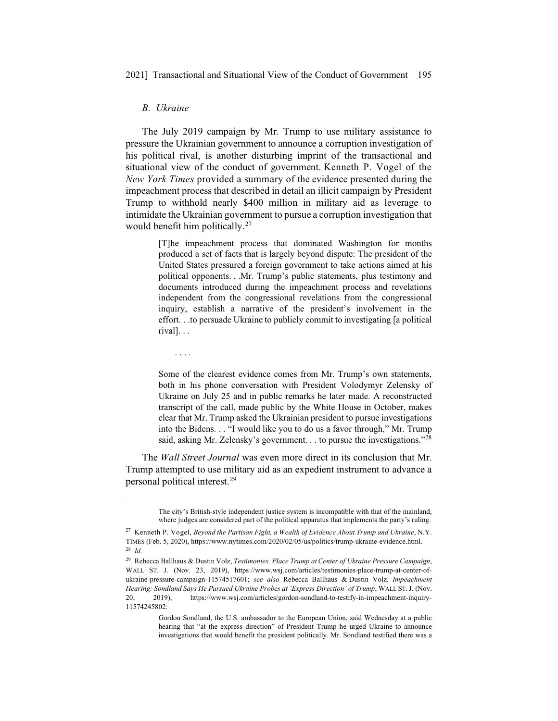#### *B. Ukraine*

The July 2019 campaign by Mr. Trump to use military assistance to pressure the Ukrainian government to announce a corruption investigation of his political rival, is another disturbing imprint of the transactional and situational view of the conduct of government. Kenneth P. Vogel of the *New York Times* provided a summary of the evidence presented during the impeachment process that described in detail an illicit campaign by President Trump to withhold nearly \$400 million in military aid as leverage to intimidate the Ukrainian government to pursue a corruption investigation that would benefit him politically.<sup>27</sup>

> [T]he impeachment process that dominated Washington for months produced a set of facts that is largely beyond dispute: The president of the United States pressured a foreign government to take actions aimed at his political opponents. . .Mr. Trump's public statements, plus testimony and documents introduced during the impeachment process and revelations independent from the congressional revelations from the congressional inquiry, establish a narrative of the president's involvement in the effort. . .to persuade Ukraine to publicly commit to investigating [a political rival]. . .

....

Some of the clearest evidence comes from Mr. Trump's own statements, both in his phone conversation with President Volodymyr Zelensky of Ukraine on July 25 and in public remarks he later made. A reconstructed transcript of the call, made public by the White House in October, makes clear that Mr. Trump asked the Ukrainian president to pursue investigations into the Bidens. . . "I would like you to do us a favor through," Mr. Trump said, asking Mr. Zelensky's government. . . to pursue the investigations."<sup>28</sup>

The *Wall Street Journal* was even more direct in its conclusion that Mr. Trump attempted to use military aid as an expedient instrument to advance a personal political interest.29

The city's British-style independent justice system is incompatible with that of the mainland, where judges are considered part of the political apparatus that implements the party's ruling.

<sup>27</sup> Kenneth P. Vogel, *Beyond the Partisan Fight, a Wealth of Evidence About Trump and Ukraine*, N.Y. TIMES (Feb. 5, 2020), https://www.nytimes.com/2020/02/05/us/politics/trump-ukraine-evidence.html. <sup>28</sup> *Id*.

<sup>29</sup> Rebecca Ballhaus & Dustin Volz, *Testimonies, Place Trump at Center of Ukraine Pressure Campaign*, WALL ST. J. (Nov. 23, 2019), https://www.wsj.com/articles/testimonies-place-trump-at-center-ofukraine-pressure-campaign-11574517601; *see also* Rebecca Ballhaus & Dustin Volz. *Impeachment Hearing: Sondland Says He Pursued Ukraine Probes at 'Express Direction' of Trump*, WALL ST. J. (Nov. 20, 2019), https://www.wsj.com/articles/gordon-sondland-to-testify-in-impeachment-inquiry-11574245802:

Gordon Sondland, the U.S. ambassador to the European Union, said Wednesday at a public hearing that "at the express direction" of President Trump he urged Ukraine to announce investigations that would benefit the president politically. Mr. Sondland testified there was a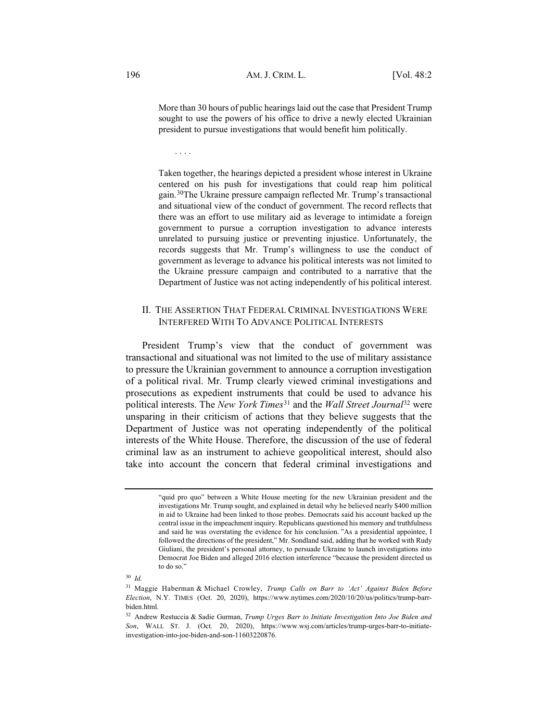More than 30 hours of public hearings laid out the case that President Trump sought to use the powers of his office to drive a newly elected Ukrainian president to pursue investigations that would benefit him politically.

....

Taken together, the hearings depicted a president whose interest in Ukraine centered on his push for investigations that could reap him political gain.30The Ukraine pressure campaign reflected Mr. Trump's transactional and situational view of the conduct of government. The record reflects that there was an effort to use military aid as leverage to intimidate a foreign government to pursue a corruption investigation to advance interests unrelated to pursuing justice or preventing injustice. Unfortunately, the records suggests that Mr. Trump's willingness to use the conduct of government as leverage to advance his political interests was not limited to the Ukraine pressure campaign and contributed to a narrative that the Department of Justice was not acting independently of his political interest.

### II. THE ASSERTION THAT FEDERAL CRIMINAL INVESTIGATIONS WERE INTERFERED WITH TO ADVANCE POLITICAL INTERESTS

President Trump's view that the conduct of government was transactional and situational was not limited to the use of military assistance to pressure the Ukrainian government to announce a corruption investigation of a political rival. Mr. Trump clearly viewed criminal investigations and prosecutions as expedient instruments that could be used to advance his political interests. The *New York Times*<sup>31</sup> and the *Wall Street Journal* <sup>32</sup> were unsparing in their criticism of actions that they believe suggests that the Department of Justice was not operating independently of the political interests of the White House. Therefore, the discussion of the use of federal criminal law as an instrument to achieve geopolitical interest, should also take into account the concern that federal criminal investigations and

<sup>30</sup> *Id.*

<sup>&</sup>quot;quid pro quo" between a White House meeting for the new Ukrainian president and the investigations Mr. Trump sought, and explained in detail why he believed nearly \$400 million in aid to Ukraine had been linked to those probes. Democrats said his account backed up the central issue in the impeachment inquiry. Republicans questioned his memory and truthfulness and said he was overstating the evidence for his conclusion. "As a presidential appointee, I followed the directions of the president," Mr. Sondland said, adding that he worked with Rudy Giuliani, the president's personal attorney, to persuade Ukraine to launch investigations into Democrat Joe Biden and alleged 2016 election interference "because the president directed us to do so."

<sup>31</sup> Maggie Haberman & Michael Crowley, *Trump Calls on Barr to 'Act' Against Biden Before Election*, N.Y. TIMES (Oct. 20, 2020), https://www.nytimes.com/2020/10/20/us/politics/trump-barrbiden.html.

<sup>32</sup> Andrew Restuccia & Sadie Gurman, *Trump Urges Barr to Initiate Investigation Into Joe Biden and Son*, WALL ST. J. (Oct. 20, 2020), https://www.wsj.com/articles/trump-urges-barr-to-initiateinvestigation-into-joe-biden-and-son-11603220876.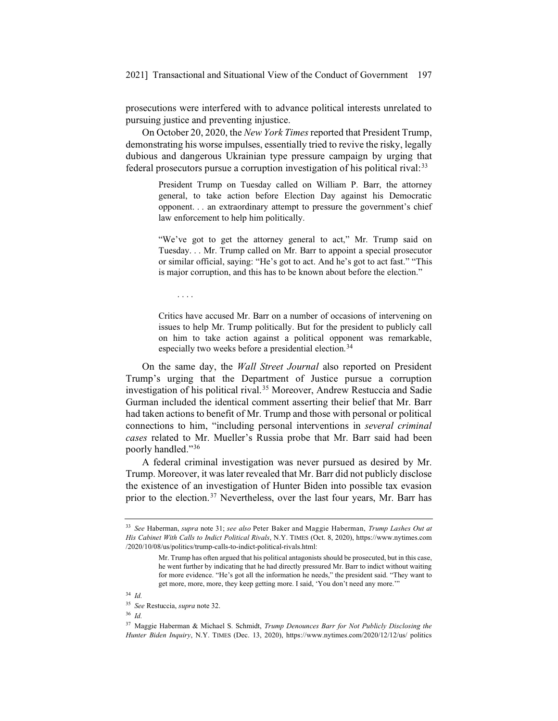prosecutions were interfered with to advance political interests unrelated to pursuing justice and preventing injustice.

On October 20, 2020, the *New York Times*reported that President Trump, demonstrating his worse impulses, essentially tried to revive the risky, legally dubious and dangerous Ukrainian type pressure campaign by urging that federal prosecutors pursue a corruption investigation of his political rival:<sup>33</sup>

> President Trump on Tuesday called on William P. Barr, the attorney general, to take action before Election Day against his Democratic opponent. . . an extraordinary attempt to pressure the government's chief law enforcement to help him politically.

> "We've got to get the attorney general to act," Mr. Trump said on Tuesday. . . Mr. Trump called on Mr. Barr to appoint a special prosecutor or similar official, saying: "He's got to act. And he's got to act fast." "This is major corruption, and this has to be known about before the election."

....

Critics have accused Mr. Barr on a number of occasions of intervening on issues to help Mr. Trump politically. But for the president to publicly call on him to take action against a political opponent was remarkable, especially two weeks before a presidential election.<sup>34</sup>

On the same day, the *Wall Street Journal* also reported on President Trump's urging that the Department of Justice pursue a corruption investigation of his political rival.<sup>35</sup> Moreover, Andrew Restuccia and Sadie Gurman included the identical comment asserting their belief that Mr. Barr had taken actions to benefit of Mr. Trump and those with personal or political connections to him, "including personal interventions in *several criminal cases* related to Mr. Mueller's Russia probe that Mr. Barr said had been poorly handled."36

A federal criminal investigation was never pursued as desired by Mr. Trump. Moreover, it was later revealed that Mr. Barr did not publicly disclose the existence of an investigation of Hunter Biden into possible tax evasion prior to the election.<sup>37</sup> Nevertheless, over the last four years, Mr. Barr has

<sup>33</sup> *See* Haberman, *supra* note 31; *see also* Peter Baker and Maggie Haberman, *Trump Lashes Out at His Cabinet With Calls to Indict Political Rivals*, N.Y. TIMES (Oct. 8, 2020), https://www.nytimes.com /2020/10/08/us/politics/trump-calls-to-indict-political-rivals.html:

Mr. Trump has often argued that his political antagonists should be prosecuted, but in this case, he went further by indicating that he had directly pressured Mr. Barr to indict without waiting for more evidence. "He's got all the information he needs," the president said. "They want to get more, more, more, they keep getting more. I said, 'You don't need any more.'"

<sup>34</sup> *Id.*

<sup>35</sup> *See* Restuccia, *supra* note 32.

<sup>36</sup> *Id.*

<sup>37</sup> Maggie Haberman & Michael S. Schmidt, *Trump Denounces Barr for Not Publicly Disclosing the Hunter Biden Inquiry*, N.Y. TIMES (Dec. 13, 2020), https://www.nytimes.com/2020/12/12/us/ politics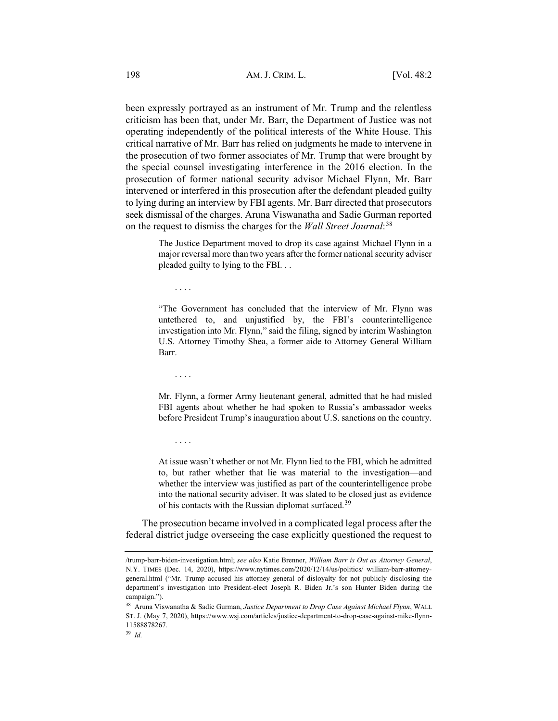been expressly portrayed as an instrument of Mr. Trump and the relentless criticism has been that, under Mr. Barr, the Department of Justice was not operating independently of the political interests of the White House. This critical narrative of Mr. Barr has relied on judgments he made to intervene in the prosecution of two former associates of Mr. Trump that were brought by the special counsel investigating interference in the 2016 election. In the prosecution of former national security advisor Michael Flynn, Mr. Barr intervened or interfered in this prosecution after the defendant pleaded guilty to lying during an interview by FBI agents. Mr. Barr directed that prosecutors seek dismissal of the charges. Aruna Viswanatha and Sadie Gurman reported on the request to dismiss the charges for the *Wall Street Journal*: 38

> The Justice Department moved to drop its case against Michael Flynn in a major reversal more than two years after the former national security adviser pleaded guilty to lying to the FBI. . .

....

"The Government has concluded that the interview of Mr. Flynn was untethered to, and unjustified by, the FBI's counterintelligence investigation into Mr. Flynn," said the filing, signed by interim Washington U.S. Attorney Timothy Shea, a former aide to Attorney General William Barr.

....

....

<sup>39</sup> *Id.*

Mr. Flynn, a former Army lieutenant general, admitted that he had misled FBI agents about whether he had spoken to Russia's ambassador weeks before President Trump's inauguration about U.S. sanctions on the country.

At issue wasn't whether or not Mr. Flynn lied to the FBI, which he admitted to, but rather whether that lie was material to the investigation—and whether the interview was justified as part of the counterintelligence probe into the national security adviser. It was slated to be closed just as evidence of his contacts with the Russian diplomat surfaced.<sup>39</sup>

The prosecution became involved in a complicated legal process after the federal district judge overseeing the case explicitly questioned the request to

<sup>/</sup>trump-barr-biden-investigation.html; *see also* Katie Brenner, *William Barr is Out as Attorney General*, N.Y. TIMES (Dec. 14, 2020), https://www.nytimes.com/2020/12/14/us/politics/ william-barr-attorneygeneral.html ("Mr. Trump accused his attorney general of disloyalty for not publicly disclosing the department's investigation into President-elect Joseph R. Biden Jr.'s son Hunter Biden during the campaign.").

<sup>38</sup> Aruna Viswanatha & Sadie Gurman, *Justice Department to Drop Case Against Michael Flynn*, WALL ST. J. (May 7, 2020), https://www.wsj.com/articles/justice-department-to-drop-case-against-mike-flynn-11588878267.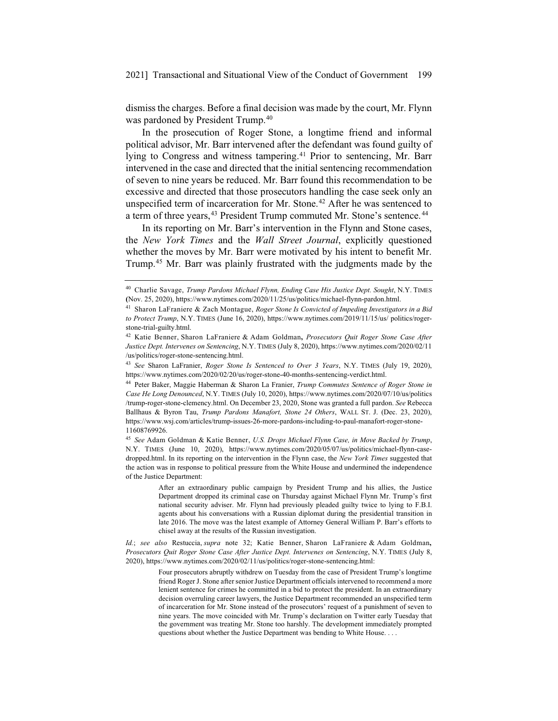dismiss the charges. Before a final decision was made by the court, Mr. Flynn was pardoned by President Trump.<sup>40</sup>

In the prosecution of Roger Stone, a longtime friend and informal political advisor, Mr. Barr intervened after the defendant was found guilty of lying to Congress and witness tampering.<sup>41</sup> Prior to sentencing, Mr. Barr intervened in the case and directed that the initial sentencing recommendation of seven to nine years be reduced. Mr. Barr found this recommendation to be excessive and directed that those prosecutors handling the case seek only an unspecified term of incarceration for Mr. Stone.<sup>42</sup> After he was sentenced to a term of three years, <sup>43</sup> President Trump commuted Mr. Stone's sentence. <sup>44</sup>

In its reporting on Mr. Barr's intervention in the Flynn and Stone cases, the *New York Times* and the *Wall Street Journal*, explicitly questioned whether the moves by Mr. Barr were motivated by his intent to benefit Mr. Trump.45 Mr. Barr was plainly frustrated with the judgments made by the

<sup>&</sup>lt;sup>40</sup> Charlie Savage, *Trump Pardons Michael Flynn, Ending Case His Justice Dept. Sought*, N.Y. TIMES **(**Nov. 25, 2020), https://www.nytimes.com/2020/11/25/us/politics/michael-flynn-pardon.html.

<sup>41</sup> Sharon LaFraniere & Zach Montague, *Roger Stone Is Convicted of Impeding Investigators in a Bid to Protect Trump*, N.Y. TIMES (June 16, 2020), https://www.nytimes.com/2019/11/15/us/ politics/rogerstone-trial-guilty.html.

<sup>42</sup> Katie Benner, Sharon LaFraniere & Adam Goldman**,** *Prosecutors Quit Roger Stone Case After Justice Dept. Intervenes on Sentencing*, N.Y. TIMES (July 8, 2020), https://www.nytimes.com/2020/02/11 /us/politics/roger-stone-sentencing.html.

<sup>43</sup> *See* Sharon LaFranier, *Roger Stone Is Sentenced to Over 3 Years*, N.Y. TIMES (July 19, 2020), https://www.nytimes.com/2020/02/20/us/roger-stone-40-months-sentencing-verdict.html.

<sup>44</sup> Peter Baker, Maggie Haberman & Sharon La Franier, *Trump Commutes Sentence of Roger Stone in Case He Long Denounced*, N.Y. TIMES (July 10, 2020), https://www.nytimes.com/2020/07/10/us/politics /trump-roger-stone-clemency.html. On December 23, 2020, Stone was granted a full pardon. *See* Rebecca Ballhaus & Byron Tau, *Trump Pardons Manafort, Stone 24 Others*, WALL ST. J. (Dec. 23, 2020), https://www.wsj.com/articles/trump-issues-26-more-pardons-including-to-paul-manafort-roger-stone-11608769926.

<sup>45</sup> *See* Adam Goldman & Katie Benner, *U.S. Drops Michael Flynn Case, in Move Backed by Trump*, N.Y. TIMES (June 10, 2020), https://www.nytimes.com/2020/05/07/us/politics/michael-flynn-casedropped.html. In its reporting on the intervention in the Flynn case, the *New York Times* suggested that the action was in response to political pressure from the White House and undermined the independence of the Justice Department:

After an extraordinary public campaign by President Trump and his allies, the Justice Department dropped its criminal case on Thursday against Michael Flynn Mr. Trump's first national security adviser. Mr. Flynn had previously pleaded guilty twice to lying to F.B.I. agents about his conversations with a Russian diplomat during the presidential transition in late 2016. The move was the latest example of Attorney General William P. Barr's efforts to chisel away at the results of the Russian investigation.

*Id.*; *see also* Restuccia, *supra* note 32; Katie Benner, Sharon LaFraniere & Adam Goldman**,** *Prosecutors Quit Roger Stone Case After Justice Dept. Intervenes on Sentencing*, N.Y. TIMES (July 8, 2020), https://www.nytimes.com/2020/02/11/us/politics/roger-stone-sentencing.html:

Four prosecutors abruptly withdrew on Tuesday from the case of President Trump's longtime friend Roger J. Stone after senior Justice Department officials intervened to recommend a more lenient sentence for crimes he committed in a bid to protect the president. In an extraordinary decision overruling career lawyers, the Justice Department recommended an unspecified term of incarceration for Mr. Stone instead of the prosecutors' request of a punishment of seven to nine years. The move coincided with Mr. Trump's declaration on Twitter early Tuesday that the government was treating Mr. Stone too harshly. The development immediately prompted questions about whether the Justice Department was bending to White House. . . .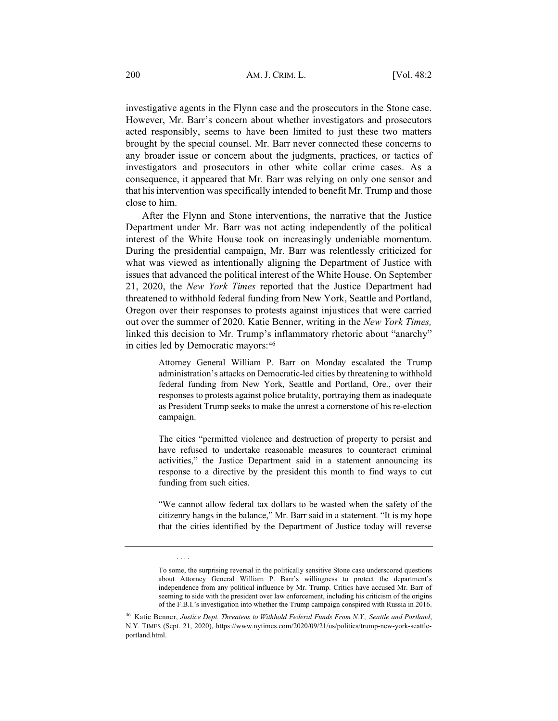investigative agents in the Flynn case and the prosecutors in the Stone case. However, Mr. Barr's concern about whether investigators and prosecutors acted responsibly, seems to have been limited to just these two matters brought by the special counsel. Mr. Barr never connected these concerns to any broader issue or concern about the judgments, practices, or tactics of investigators and prosecutors in other white collar crime cases. As a consequence, it appeared that Mr. Barr was relying on only one sensor and that his intervention was specifically intended to benefit Mr. Trump and those close to him.

After the Flynn and Stone interventions, the narrative that the Justice Department under Mr. Barr was not acting independently of the political interest of the White House took on increasingly undeniable momentum. During the presidential campaign, Mr. Barr was relentlessly criticized for what was viewed as intentionally aligning the Department of Justice with issues that advanced the political interest of the White House. On September 21, 2020, the *New York Times* reported that the Justice Department had threatened to withhold federal funding from New York, Seattle and Portland, Oregon over their responses to protests against injustices that were carried out over the summer of 2020. Katie Benner, writing in the *New York Times,* linked this decision to Mr. Trump's inflammatory rhetoric about "anarchy" in cities led by Democratic mayors: 46

> Attorney General William P. Barr on Monday escalated the Trump administration's attacks on Democratic-led cities by threatening to withhold federal funding from New York, Seattle and Portland, Ore., over their responses to protests against police brutality, portraying them as inadequate as President Trump seeks to make the unrest a cornerstone of his re-election campaign.

> The cities "permitted violence and destruction of property to persist and have refused to undertake reasonable measures to counteract criminal activities," the Justice Department said in a statement announcing its response to a directive by the president this month to find ways to cut funding from such cities.

> "We cannot allow federal tax dollars to be wasted when the safety of the citizenry hangs in the balance," Mr. Barr said in a statement. "It is my hope that the cities identified by the Department of Justice today will reverse

....

To some, the surprising reversal in the politically sensitive Stone case underscored questions about Attorney General William P. Barr's willingness to protect the department's independence from any political influence by Mr. Trump. Critics have accused Mr. Barr of seeming to side with the president over law enforcement, including his criticism of the origins of the F.B.I.'s investigation into whether the Trump campaign conspired with Russia in 2016.

<sup>46</sup> Katie Benner, *Justice Dept. Threatens to Withhold Federal Funds From N.Y., Seattle and Portland*, N.Y. TIMES (Sept. 21, 2020), https://www.nytimes.com/2020/09/21/us/politics/trump-new-york-seattleportland.html.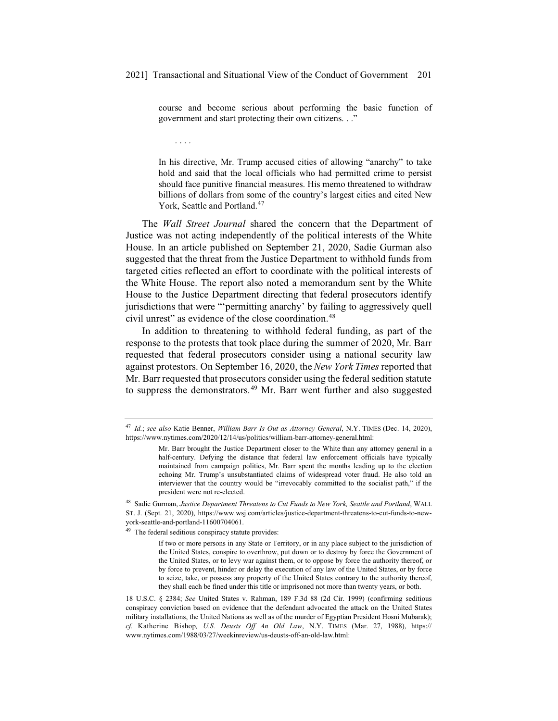course and become serious about performing the basic function of government and start protecting their own citizens. . ."

In his directive, Mr. Trump accused cities of allowing "anarchy" to take hold and said that the local officials who had permitted crime to persist should face punitive financial measures. His memo threatened to withdraw billions of dollars from some of the country's largest cities and cited New York, Seattle and Portland.<sup>47</sup>

The *Wall Street Journal* shared the concern that the Department of Justice was not acting independently of the political interests of the White House. In an article published on September 21, 2020, Sadie Gurman also suggested that the threat from the Justice Department to withhold funds from targeted cities reflected an effort to coordinate with the political interests of the White House. The report also noted a memorandum sent by the White House to the Justice Department directing that federal prosecutors identify jurisdictions that were "'permitting anarchy' by failing to aggressively quell civil unrest" as evidence of the close coordination.<sup>48</sup>

In addition to threatening to withhold federal funding, as part of the response to the protests that took place during the summer of 2020, Mr. Barr requested that federal prosecutors consider using a national security law against protestors. On September 16, 2020, the *New York Times* reported that Mr. Barr requested that prosecutors consider using the federal sedition statute to suppress the demonstrators. <sup>49</sup> Mr. Barr went further and also suggested

<sup>49</sup> The federal seditious conspiracy statute provides:

....

<sup>47</sup> *Id.*; *see also* Katie Benner, *William Barr Is Out as Attorney General*, N.Y. TIMES (Dec. 14, 2020), https://www.nytimes.com/2020/12/14/us/politics/william-barr-attorney-general.html:

Mr. Barr brought the Justice Department closer to the White than any attorney general in a half-century. Defying the distance that federal law enforcement officials have typically maintained from campaign politics, Mr. Barr spent the months leading up to the election echoing Mr. Trump's unsubstantiated claims of widespread voter fraud. He also told an interviewer that the country would be "irrevocably committed to the socialist path," if the president were not re-elected.

<sup>48</sup> Sadie Gurman, *Justice Department Threatens to Cut Funds to New York, Seattle and Portland*, WALL ST. J. (Sept. 21, 2020), https://www.wsj.com/articles/justice-department-threatens-to-cut-funds-to-newyork-seattle-and-portland-11600704061.

If two or more persons in any State or Territory, or in any place subject to the jurisdiction of the United States, conspire to overthrow, put down or to destroy by force the Government of the United States, or to levy war against them, or to oppose by force the authority thereof, or by force to prevent, hinder or delay the execution of any law of the United States, or by force to seize, take, or possess any property of the United States contrary to the authority thereof, they shall each be fined under this title or imprisoned not more than twenty years, or both.

<sup>18</sup> U.S.C. § 2384; *See* United States v. Rahman, 189 F.3d 88 (2d Cir. 1999) (confirming seditious conspiracy conviction based on evidence that the defendant advocated the attack on the United States military installations, the United Nations as well as of the murder of Egyptian President Hosni Mubarak); *cf.* Katherine Bishop*, U.S. Deusts Off An Old Law*, N.Y. TIMES (Mar. 27, 1988), https:// www.nytimes.com/1988/03/27/weekinreview/us-deusts-off-an-old-law.html: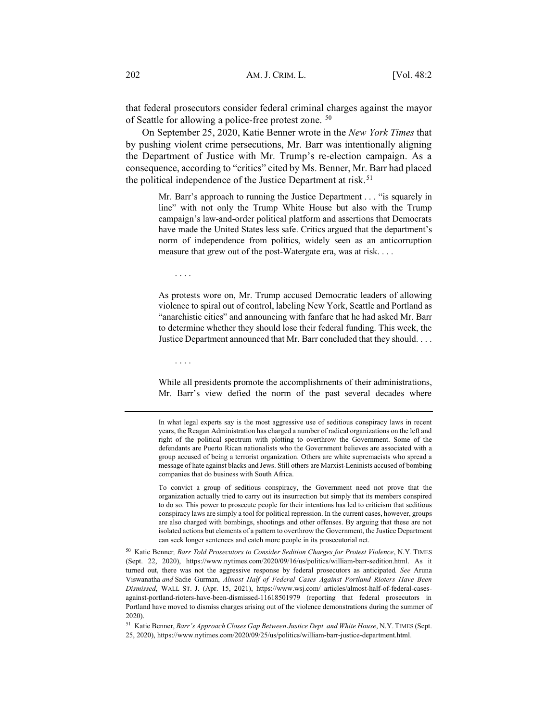that federal prosecutors consider federal criminal charges against the mayor of Seattle for allowing a police-free protest zone. 50

On September 25, 2020, Katie Benner wrote in the *New York Times* that by pushing violent crime persecutions, Mr. Barr was intentionally aligning the Department of Justice with Mr. Trump's re-election campaign. As a consequence, according to "critics" cited by Ms. Benner, Mr. Barr had placed the political independence of the Justice Department at risk.<sup>51</sup>

> Mr. Barr's approach to running the Justice Department . . . "is squarely in line" with not only the Trump White House but also with the Trump campaign's law-and-order political platform and assertions that Democrats have made the United States less safe. Critics argued that the department's norm of independence from politics, widely seen as an anticorruption measure that grew out of the post-Watergate era, was at risk. . . .

....

As protests wore on, Mr. Trump accused Democratic leaders of allowing violence to spiral out of control, labeling New York, Seattle and Portland as "anarchistic cities" and announcing with fanfare that he had asked Mr. Barr to determine whether they should lose their federal funding. This week, the Justice Department announced that Mr. Barr concluded that they should....

....

While all presidents promote the accomplishments of their administrations, Mr. Barr's view defied the norm of the past several decades where

In what legal experts say is the most aggressive use of seditious conspiracy laws in recent years, the Reagan Administration has charged a number of radical organizations on the left and right of the political spectrum with plotting to overthrow the Government. Some of the defendants are Puerto Rican nationalists who the Government believes are associated with a group accused of being a terrorist organization. Others are white supremacists who spread a message of hate against blacks and Jews. Still others are Marxist-Leninists accused of bombing companies that do business with South Africa.

To convict a group of seditious conspiracy, the Government need not prove that the organization actually tried to carry out its insurrection but simply that its members conspired to do so. This power to prosecute people for their intentions has led to criticism that seditious conspiracy laws are simply a tool for political repression. In the current cases, however, groups are also charged with bombings, shootings and other offenses. By arguing that these are not isolated actions but elements of a pattern to overthrow the Government, the Justice Department can seek longer sentences and catch more people in its prosecutorial net.

<sup>50</sup> Katie Benner*, Barr Told Prosecutors to Consider Sedition Charges for Protest Violence*, N.Y. TIMES (Sept. 22, 2020), https://www.nytimes.com/2020/09/16/us/politics/william-barr-sedition.html. As it turned out, there was not the aggressive response by federal prosecutors as anticipated*. See* Aruna Viswanatha *and* Sadie Gurman, *Almost Half of Federal Cases Against Portland Rioters Have Been Dismissed*, WALL ST. J. (Apr. 15, 2021), https://www.wsj.com/ articles/almost-half-of-federal-casesagainst-portland-rioters-have-been-dismissed-11618501979 (reporting that federal prosecutors in Portland have moved to dismiss charges arising out of the violence demonstrations during the summer of 2020).

<sup>51</sup> Katie Benner, *Barr's Approach Closes Gap Between Justice Dept. and White House*, N.Y. TIMES (Sept. 25, 2020), https://www.nytimes.com/2020/09/25/us/politics/william-barr-justice-department.html.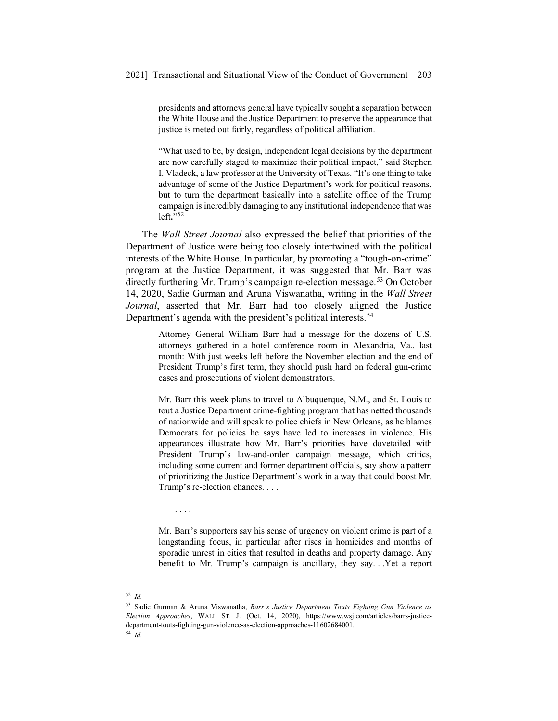presidents and attorneys general have typically sought a separation between the White House and the Justice Department to preserve the appearance that justice is meted out fairly, regardless of political affiliation.

"What used to be, by design, independent legal decisions by the department are now carefully staged to maximize their political impact," said Stephen I. Vladeck, a law professor at the University of Texas. "It's one thing to take advantage of some of the Justice Department's work for political reasons, but to turn the department basically into a satellite office of the Trump campaign is incredibly damaging to any institutional independence that was left**.**"<sup>52</sup>

The *Wall Street Journal* also expressed the belief that priorities of the Department of Justice were being too closely intertwined with the political interests of the White House. In particular, by promoting a "tough-on-crime" program at the Justice Department, it was suggested that Mr. Barr was directly furthering Mr. Trump's campaign re-election message.<sup>53</sup> On October 14, 2020, Sadie Gurman and Aruna Viswanatha, writing in the *Wall Street Journal*, asserted that Mr. Barr had too closely aligned the Justice Department's agenda with the president's political interests.<sup>54</sup>

> Attorney General William Barr had a message for the dozens of U.S. attorneys gathered in a hotel conference room in Alexandria, Va., last month: With just weeks left before the November election and the end of President Trump's first term, they should push hard on federal gun-crime cases and prosecutions of violent demonstrators.

> Mr. Barr this week plans to travel to Albuquerque, N.M., and St. Louis to tout a Justice Department crime-fighting program that has netted thousands of nationwide and will speak to police chiefs in New Orleans, as he blames Democrats for policies he says have led to increases in violence. His appearances illustrate how Mr. Barr's priorities have dovetailed with President Trump's law-and-order campaign message, which critics, including some current and former department officials, say show a pattern of prioritizing the Justice Department's work in a way that could boost Mr. Trump's re-election chances. . . .

....

Mr. Barr's supporters say his sense of urgency on violent crime is part of a longstanding focus, in particular after rises in homicides and months of sporadic unrest in cities that resulted in deaths and property damage. Any benefit to Mr. Trump's campaign is ancillary, they say. . .Yet a report

<sup>52</sup> *Id.*

<sup>53</sup> Sadie Gurman & Aruna Viswanatha, *Barr's Justice Department Touts Fighting Gun Violence as Election Approaches*, WALL ST. J. (Oct. 14, 2020), https://www.wsj.com/articles/barrs-justicedepartment-touts-fighting-gun-violence-as-election-approaches-11602684001. <sup>54</sup> *Id.*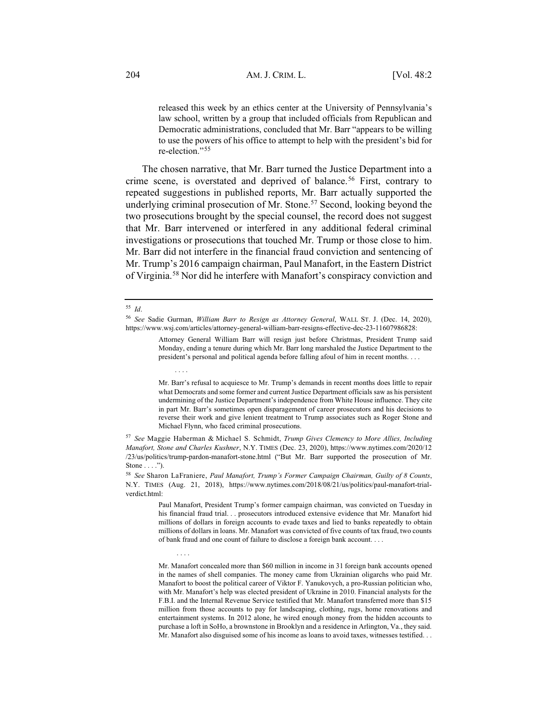released this week by an ethics center at the University of Pennsylvania's law school, written by a group that included officials from Republican and Democratic administrations, concluded that Mr. Barr "appears to be willing to use the powers of his office to attempt to help with the president's bid for re-election."<sup>55</sup>

The chosen narrative, that Mr. Barr turned the Justice Department into a crime scene, is overstated and deprived of balance.<sup>56</sup> First, contrary to repeated suggestions in published reports, Mr. Barr actually supported the underlying criminal prosecution of Mr. Stone.<sup>57</sup> Second, looking beyond the two prosecutions brought by the special counsel, the record does not suggest that Mr. Barr intervened or interfered in any additional federal criminal investigations or prosecutions that touched Mr. Trump or those close to him. Mr. Barr did not interfere in the financial fraud conviction and sentencing of Mr. Trump's 2016 campaign chairman, Paul Manafort, in the Eastern District of Virginia.58 Nor did he interfere with Manafort's conspiracy conviction and

....

....

Attorney General William Barr will resign just before Christmas, President Trump said Monday, ending a tenure during which Mr. Barr long marshaled the Justice Department to the president's personal and political agenda before falling afoul of him in recent months....

Mr. Barr's refusal to acquiesce to Mr. Trump's demands in recent months does little to repair what Democrats and some former and current Justice Department officials saw as his persistent undermining of the Justice Department's independence from White House influence. They cite in part Mr. Barr's sometimes open disparagement of career prosecutors and his decisions to reverse their work and give lenient treatment to Trump associates such as Roger Stone and Michael Flynn, who faced criminal prosecutions.

<sup>57</sup> *See* Maggie Haberman & Michael S. Schmidt, *Trump Gives Clemency to More Allies, Including Manafort, Stone and Charles Kushner*, N.Y. TIMES (Dec. 23, 2020), https://www.nytimes.com/2020/12 /23/us/politics/trump-pardon-manafort-stone.html ("But Mr. Barr supported the prosecution of Mr. Stone  $\dots$ .").

<sup>58</sup> *See* Sharon LaFraniere, *Paul Manafort, Trump's Former Campaign Chairman, Guilty of 8 Counts*, N.Y. TIMES (Aug. 21, 2018), https://www.nytimes.com/2018/08/21/us/politics/paul-manafort-trialverdict html<sup>.</sup>

> Paul Manafort, President Trump's former campaign chairman, was convicted on Tuesday in his financial fraud trial. . . prosecutors introduced extensive evidence that Mr. Manafort hid millions of dollars in foreign accounts to evade taxes and lied to banks repeatedly to obtain millions of dollars in loans. Mr. Manafort was convicted of five counts of tax fraud, two counts of bank fraud and one count of failure to disclose a foreign bank account....

> Mr. Manafort concealed more than \$60 million in income in 31 foreign bank accounts opened in the names of shell companies. The money came from Ukrainian oligarchs who paid Mr. Manafort to boost the political career of Viktor F. Yanukovych, a pro-Russian politician who, with Mr. Manafort's help was elected president of Ukraine in 2010. Financial analysts for the F.B.I. and the Internal Revenue Service testified that Mr. Manafort transferred more than \$15 million from those accounts to pay for landscaping, clothing, rugs, home renovations and entertainment systems. In 2012 alone, he wired enough money from the hidden accounts to purchase a loft in SoHo, a brownstone in Brooklyn and a residence in Arlington, Va., they said. Mr. Manafort also disguised some of his income as loans to avoid taxes, witnesses testified. . .

<sup>55</sup> *Id*.

<sup>56</sup> *See* Sadie Gurman, *William Barr to Resign as Attorney General*, WALL ST. J. (Dec. 14, 2020), https://www.wsj.com/articles/attorney-general-william-barr-resigns-effective-dec-23-11607986828: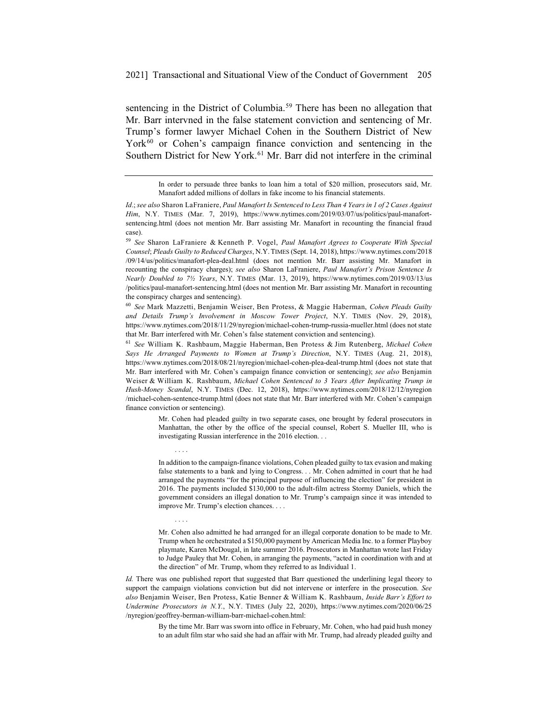sentencing in the District of Columbia.<sup>59</sup> There has been no allegation that Mr. Barr intervned in the false statement conviction and sentencing of Mr. Trump's former lawyer Michael Cohen in the Southern District of New York<sup>60</sup> or Cohen's campaign finance conviction and sentencing in the Southern District for New York.<sup>61</sup> Mr. Barr did not interfere in the criminal

<sup>60</sup> *See* Mark Mazzetti, Benjamin Weiser, Ben Protess, & Maggie Haberman, *Cohen Pleads Guilty and Details Trump's Involvement in Moscow Tower Project*, N.Y. TIMES (Nov. 29, 2018), https://www.nytimes.com/2018/11/29/nyregion/michael-cohen-trump-russia-mueller.html (does not state that Mr. Barr interfered with Mr. Cohen's false statement conviction and sentencing).

<sup>61</sup> *See* William K. Rashbaum, Maggie Haberman, Ben Protess & Jim Rutenberg, *Michael Cohen Says He Arranged Payments to Women at Trump's Direction*, N.Y. TIMES (Aug. 21, 2018), https://www.nytimes.com/2018/08/21/nyregion/michael-cohen-plea-deal-trump.html (does not state that Mr. Barr interfered with Mr. Cohen's campaign finance conviction or sentencing); *see also* Benjamin Weiser & William K. Rashbaum, *Michael Cohen Sentenced to 3 Years After Implicating Trump in Hush-Money Scandal*, N.Y. TIMES (Dec. 12, 2018), https://www.nytimes.com/2018/12/12/nyregion /michael-cohen-sentence-trump.html (does not state that Mr. Barr interfered with Mr. Cohen's campaign finance conviction or sentencing).

....

....

Mr. Cohen had pleaded guilty in two separate cases, one brought by federal prosecutors in Manhattan, the other by the office of the special counsel, Robert S. Mueller III, who is investigating Russian interference in the 2016 election. . .

In addition to the campaign-finance violations, Cohen pleaded guilty to tax evasion and making false statements to a bank and lying to Congress. . . Mr. Cohen admitted in court that he had arranged the payments "for the principal purpose of influencing the election" for president in 2016. The payments included \$130,000 to the adult-film actress Stormy Daniels, which the government considers an illegal donation to Mr. Trump's campaign since it was intended to improve Mr. Trump's election chances. . . .

Mr. Cohen also admitted he had arranged for an illegal corporate donation to be made to Mr. Trump when he orchestrated a \$150,000 payment by American Media Inc. to a former Playboy playmate, Karen McDougal, in late summer 2016. Prosecutors in Manhattan wrote last Friday to Judge Pauley that Mr. Cohen, in arranging the payments, "acted in coordination with and at the direction" of Mr. Trump, whom they referred to as Individual 1.

*Id.* There was one published report that suggested that Barr questioned the underlining legal theory to support the campaign violations conviction but did not intervene or interfere in the prosecution. *See also* Benjamin Weiser, Ben Protess, Katie Benner & William K. Rashbaum, *Inside Barr's Effort to Undermine Prosecutors in N.Y.*, N.Y. TIMES (July 22, 2020), https://www.nytimes.com/2020/06/25 /nyregion/geoffrey-berman-william-barr-michael-cohen.html:

> By the time Mr. Barr was sworn into office in February, Mr. Cohen, who had paid hush money to an adult film star who said she had an affair with Mr. Trump, had already pleaded guilty and

In order to persuade three banks to loan him a total of \$20 million, prosecutors said, Mr. Manafort added millions of dollars in fake income to his financial statements.

*Id*.; *see also* Sharon LaFraniere, *Paul Manafort Is Sentenced to Less Than 4 Years in 1 of 2 Cases Against Him*, N.Y. TIMES (Mar. 7, 2019), https://www.nytimes.com/2019/03/07/us/politics/paul-manafortsentencing.html (does not mention Mr. Barr assisting Mr. Manafort in recounting the financial fraud case).

<sup>59</sup> *See* Sharon LaFraniere & Kenneth P. Vogel, *Paul Manafort Agrees to Cooperate With Special Counsel*; *Pleads Guilty to Reduced Charges*, N.Y. TIMES (Sept. 14, 2018), https://www.nytimes.com/2018 /09/14/us/politics/manafort-plea-deal.html (does not mention Mr. Barr assisting Mr. Manafort in recounting the conspiracy charges); *see also* Sharon LaFraniere, *Paul Manafort's Prison Sentence Is Nearly Doubled to 7½ Years*, N.Y. TIMES (Mar. 13, 2019), https://www.nytimes.com/2019/03/13/us /politics/paul-manafort-sentencing.html (does not mention Mr. Barr assisting Mr. Manafort in recounting the conspiracy charges and sentencing).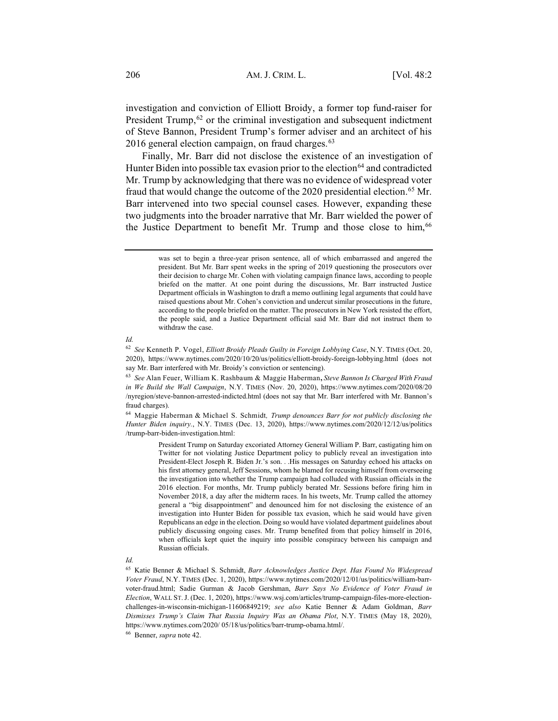investigation and conviction of Elliott Broidy, a former top fund-raiser for President Trump, $62$  or the criminal investigation and subsequent indictment of Steve Bannon, President Trump's former adviser and an architect of his 2016 general election campaign, on fraud charges.<sup>63</sup>

Finally, Mr. Barr did not disclose the existence of an investigation of Hunter Biden into possible tax evasion prior to the election<sup>64</sup> and contradicted Mr. Trump by acknowledging that there was no evidence of widespread voter fraud that would change the outcome of the 2020 presidential election.<sup>65</sup> Mr. Barr intervened into two special counsel cases. However, expanding these two judgments into the broader narrative that Mr. Barr wielded the power of the Justice Department to benefit Mr. Trump and those close to him,<sup>66</sup>

#### *Id.*

<sup>64</sup> Maggie Haberman & Michael S. Schmidt*, Trump denounces Barr for not publicly disclosing the Hunter Biden inquiry.*, N.Y. TIMES (Dec. 13, 2020), https://www.nytimes.com/2020/12/12/us/politics /trump-barr-biden-investigation.html:

> President Trump on Saturday excoriated Attorney General William P. Barr, castigating him on Twitter for not violating Justice Department policy to publicly reveal an investigation into President-Elect Joseph R. Biden Jr.'s son. . .His messages on Saturday echoed his attacks on his first attorney general, Jeff Sessions, whom he blamed for recusing himself from overseeing the investigation into whether the Trump campaign had colluded with Russian officials in the 2016 election. For months, Mr. Trump publicly berated Mr. Sessions before firing him in November 2018, a day after the midterm races. In his tweets, Mr. Trump called the attorney general a "big disappointment" and denounced him for not disclosing the existence of an investigation into Hunter Biden for possible tax evasion, which he said would have given Republicans an edge in the election. Doing so would have violated department guidelines about publicly discussing ongoing cases. Mr. Trump benefited from that policy himself in 2016, when officials kept quiet the inquiry into possible conspiracy between his campaign and Russian officials.

#### *Id.*

<sup>66</sup> Benner, *supra* note 42.

was set to begin a three-year prison sentence, all of which embarrassed and angered the president. But Mr. Barr spent weeks in the spring of 2019 questioning the prosecutors over their decision to charge Mr. Cohen with violating campaign finance laws, according to people briefed on the matter. At one point during the discussions, Mr. Barr instructed Justice Department officials in Washington to draft a memo outlining legal arguments that could have raised questions about Mr. Cohen's conviction and undercut similar prosecutions in the future, according to the people briefed on the matter. The prosecutors in New York resisted the effort, the people said, and a Justice Department official said Mr. Barr did not instruct them to withdraw the case.

<sup>62</sup> *See* Kenneth P. Vogel, *Elliott Broidy Pleads Guilty in Foreign Lobbying Case*, N.Y. TIMES (Oct. 20, 2020), https://www.nytimes.com/2020/10/20/us/politics/elliott-broidy-foreign-lobbying.html (does not say Mr. Barr interfered with Mr. Broidy's conviction or sentencing).

<sup>63</sup> *See* Alan Feuer, William K. Rashbaum & Maggie Haberman**,** *Steve Bannon Is Charged With Fraud in We Build the Wall Campaign*, N.Y. TIMES (Nov. 20, 2020), https://www.nytimes.com/2020/08/20 /nyregion/steve-bannon-arrested-indicted.html (does not say that Mr. Barr interfered with Mr. Bannon's fraud charges).

<sup>65</sup> Katie Benner & Michael S. Schmidt, *Barr Acknowledges Justice Dept. Has Found No Widespread Voter Fraud*, N.Y. TIMES (Dec. 1, 2020), https://www.nytimes.com/2020/12/01/us/politics/william-barrvoter-fraud.html; Sadie Gurman & Jacob Gershman, *Barr Says No Evidence of Voter Fraud in Election*, WALL ST. J. (Dec. 1, 2020), https://www.wsj.com/articles/trump-campaign-files-more-electionchallenges-in-wisconsin-michigan-11606849219; *see also* Katie Benner & Adam Goldman, *Barr Dismisses Trump's Claim That Russia Inquiry Was an Obama Plot*, N.Y. TIMES (May 18, 2020), https://www.nytimes.com/2020/ 05/18/us/politics/barr-trump-obama.html/.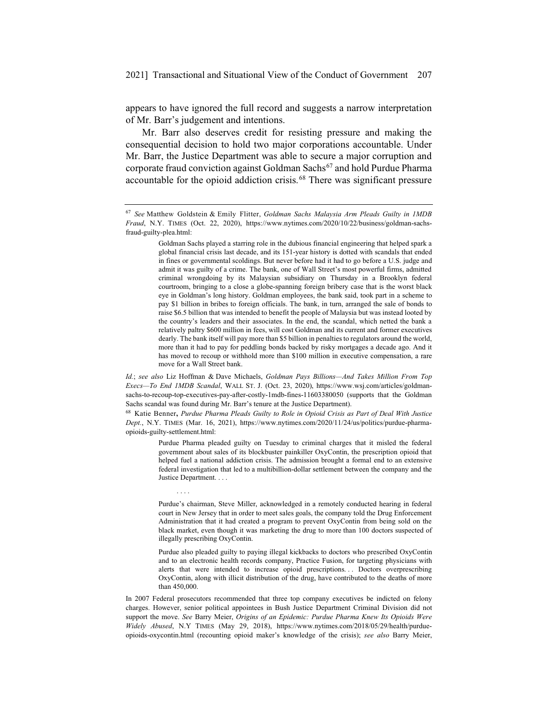appears to have ignored the full record and suggests a narrow interpretation of Mr. Barr's judgement and intentions.

Mr. Barr also deserves credit for resisting pressure and making the consequential decision to hold two major corporations accountable. Under Mr. Barr, the Justice Department was able to secure a major corruption and corporate fraud conviction against Goldman Sachs<sup>67</sup> and hold Purdue Pharma accountable for the opioid addiction crisis.<sup>68</sup> There was significant pressure

<sup>68</sup> Katie Benner**,** *Purdue Pharma Pleads Guilty to Role in Opioid Crisis as Part of Deal With Justice Dept.*, N.Y. TIMES (Mar. 16, 2021), https://www.nytimes.com/2020/11/24/us/politics/purdue-pharmaopioids-guilty-settlement.html:

....

Purdue Pharma pleaded guilty on Tuesday to criminal charges that it misled the federal government about sales of its blockbuster painkiller OxyContin, the prescription opioid that helped fuel a national addiction crisis. The admission brought a formal end to an extensive federal investigation that led to a multibillion-dollar settlement between the company and the Justice Department. . . .

Purdue's chairman, Steve Miller, acknowledged in a remotely conducted hearing in federal court in New Jersey that in order to meet sales goals, the company told the Drug Enforcement Administration that it had created a program to prevent OxyContin from being sold on the black market, even though it was marketing the drug to more than 100 doctors suspected of illegally prescribing OxyContin.

Purdue also pleaded guilty to paying illegal kickbacks to doctors who prescribed OxyContin and to an electronic health records company, Practice Fusion, for targeting physicians with alerts that were intended to increase opioid prescriptions. . . Doctors overprescribing OxyContin, along with illicit distribution of the drug, have contributed to the deaths of more than 450,000.

In 2007 Federal prosecutors recommended that three top company executives be indicted on felony charges. However, senior political appointees in Bush Justice Department Criminal Division did not support the move. *See* Barry Meier, *Origins of an Epidemic: Purdue Pharma Knew Its Opioids Were Widely Abused*, N.Y TIMES (May 29, 2018), https://www.nytimes.com/2018/05/29/health/purdueopioids-oxycontin.html (recounting opioid maker's knowledge of the crisis); *see also* Barry Meier,

<sup>67</sup> *See* Matthew Goldstein & Emily Flitter, *Goldman Sachs Malaysia Arm Pleads Guilty in 1MDB Fraud*, N.Y. TIMES (Oct. 22, 2020), https://www.nytimes.com/2020/10/22/business/goldman-sachsfraud-guilty-plea.html:

Goldman Sachs played a starring role in the dubious financial engineering that helped spark a global financial crisis last decade, and its 151-year history is dotted with scandals that ended in fines or governmental scoldings. But never before had it had to go before a U.S. judge and admit it was guilty of a crime. The bank, one of Wall Street's most powerful firms, admitted criminal wrongdoing by its Malaysian subsidiary on Thursday in a Brooklyn federal courtroom, bringing to a close a globe-spanning foreign bribery case that is the worst black eye in Goldman's long history. Goldman employees, the bank said, took part in a scheme to pay \$1 billion in bribes to foreign officials. The bank, in turn, arranged the sale of bonds to raise \$6.5 billion that was intended to benefit the people of Malaysia but was instead looted by the country's leaders and their associates. In the end, the scandal, which netted the bank a relatively paltry \$600 million in fees, will cost Goldman and its current and former executives dearly. The bank itself will pay more than \$5 billion in penalties to regulators around the world, more than it had to pay for peddling bonds backed by risky mortgages a decade ago. And it has moved to recoup or withhold more than \$100 million in executive compensation, a rare move for a Wall Street bank.

*Id.*; *see also* Liz Hoffman & Dave Michaels, *Goldman Pays Billions—And Takes Million From Top Execs—To End 1MDB Scandal*, WALL ST. J. (Oct. 23, 2020), https://www.wsj.com/articles/goldmansachs-to-recoup-top-executives-pay-after-costly-1mdb-fines-11603380050 (supports that the Goldman Sachs scandal was found during Mr. Barr's tenure at the Justice Department).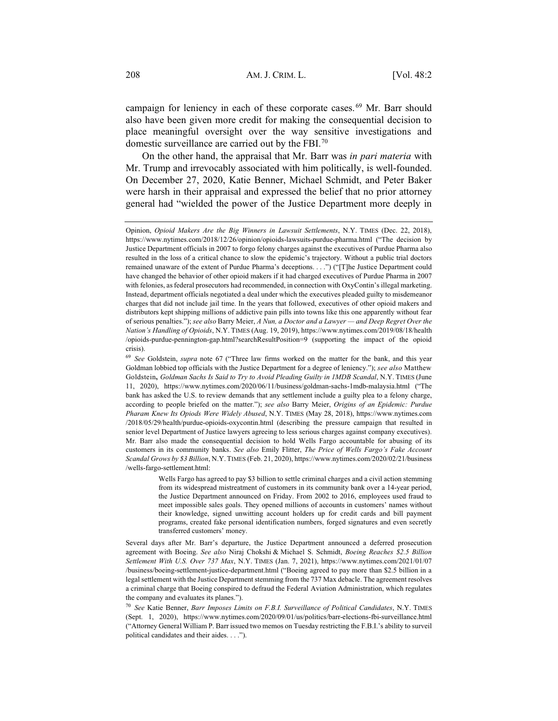campaign for leniency in each of these corporate cases.<sup>69</sup> Mr. Barr should also have been given more credit for making the consequential decision to place meaningful oversight over the way sensitive investigations and domestic surveillance are carried out by the FBI.70

On the other hand, the appraisal that Mr. Barr was *in pari materia* with Mr. Trump and irrevocably associated with him politically, is well-founded. On December 27, 2020, Katie Benner, Michael Schmidt, and Peter Baker were harsh in their appraisal and expressed the belief that no prior attorney general had "wielded the power of the Justice Department more deeply in

Wells Fargo has agreed to pay \$3 billion to settle criminal charges and a civil action stemming from its widespread mistreatment of customers in its community bank over a 14-year period, the Justice Department announced on Friday. From 2002 to 2016, employees used fraud to meet impossible sales goals. They opened millions of accounts in customers' names without their knowledge, signed unwitting account holders up for credit cards and bill payment programs, created fake personal identification numbers, forged signatures and even secretly transferred customers' money.

Several days after Mr. Barr's departure, the Justice Department announced a deferred prosecution agreement with Boeing. *See also* Niraj Chokshi & Michael S. Schmidt, *Boeing Reaches \$2.5 Billion Settlement With U.S. Over 737 Max*, N.Y. TIMES (Jan. 7, 2021), https://www.nytimes.com/2021/01/07 /business/boeing-settlement-justice-department.html ("Boeing agreed to pay more than \$2.5 billion in a legal settlement with the Justice Department stemming from the 737 Max debacle. The agreement resolves a criminal charge that Boeing conspired to defraud the Federal Aviation Administration, which regulates the company and evaluates its planes.").

<sup>70</sup> *See* Katie Benner, *Barr Imposes Limits on F.B.I. Surveillance of Political Candidates*, N.Y. TIMES (Sept. 1, 2020), https://www.nytimes.com/2020/09/01/us/politics/barr-elections-fbi-surveillance.html ("Attorney General William P. Barr issued two memos on Tuesday restricting the F.B.I.'s ability to surveil political candidates and their aides. . . .").

Opinion, *Opioid Makers Are the Big Winners in Lawsuit Settlements*, N.Y. TIMES (Dec. 22, 2018), https://www.nytimes.com/2018/12/26/opinion/opioids-lawsuits-purdue-pharma.html ("The decision by Justice Department officials in 2007 to forgo felony charges against the executives of Purdue Pharma also resulted in the loss of a critical chance to slow the epidemic's trajectory. Without a public trial doctors remained unaware of the extent of Purdue Pharma's deceptions. . . .") ("[T]he Justice Department could have changed the behavior of other opioid makers if it had charged executives of Purdue Pharma in 2007 with felonies, as federal prosecutors had recommended, in connection with OxyContin's illegal marketing. Instead, department officials negotiated a deal under which the executives pleaded guilty to misdemeanor charges that did not include jail time. In the years that followed, executives of other opioid makers and distributors kept shipping millions of addictive pain pills into towns like this one apparently without fear of serious penalties."); *see also* Barry Meier, *A Nun, a Doctor and a Lawyer — and Deep Regret Over the Nation's Handling of Opioids*, N.Y. TIMES (Aug. 19, 2019), https://www.nytimes.com/2019/08/18/health /opioids-purdue-pennington-gap.html?searchResultPosition=9 (supporting the impact of the opioid crisis).

<sup>69</sup> *See* Goldstein, *supra* note 67 ("Three law firms worked on the matter for the bank, and this year Goldman lobbied top officials with the Justice Department for a degree of leniency."); *see also* Matthew Goldstein**,** *Goldman Sachs Is Said to Try to Avoid Pleading Guilty in 1MDB Scandal*, N.Y. TIMES (June 11, 2020), https://www.nytimes.com/2020/06/11/business/goldman-sachs-1mdb-malaysia.html ("The bank has asked the U.S. to review demands that any settlement include a guilty plea to a felony charge, according to people briefed on the matter."); *see also* Barry Meier, *Origins of an Epidemic: Purdue Pharam Knew Its Opiods Were Widely Abused*, N.Y. TIMES (May 28, 2018), https://www.nytimes.com /2018/05/29/health/purdue-opioids-oxycontin.html (describing the pressure campaign that resulted in senior level Department of Justice lawyers agreeing to less serious charges against company executives). Mr. Barr also made the consequential decision to hold Wells Fargo accountable for abusing of its customers in its community banks. *See also* Emily Flitter, *The Price of Wells Fargo's Fake Account Scandal Grows by \$3 Billion*, N.Y. TIMES (Feb. 21, 2020), https://www.nytimes.com/2020/02/21/business /wells-fargo-settlement.html: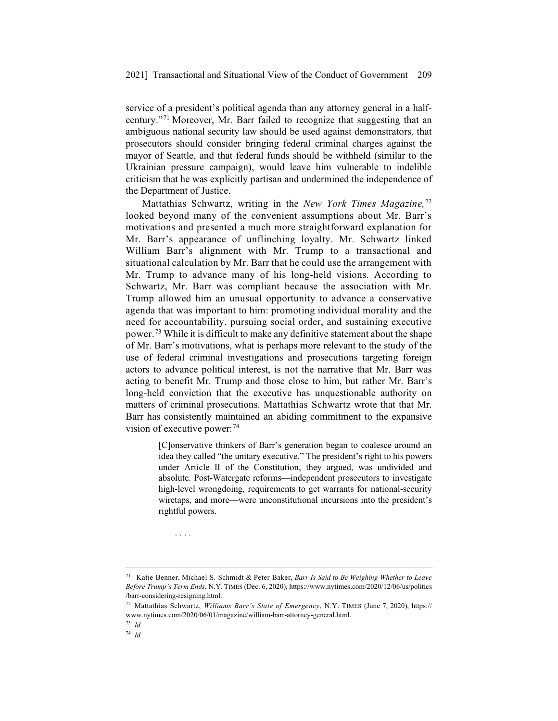service of a president's political agenda than any attorney general in a halfcentury."71 Moreover, Mr. Barr failed to recognize that suggesting that an ambiguous national security law should be used against demonstrators, that prosecutors should consider bringing federal criminal charges against the mayor of Seattle, and that federal funds should be withheld (similar to the Ukrainian pressure campaign), would leave him vulnerable to indelible criticism that he was explicitly partisan and undermined the independence of the Department of Justice.

Mattathias Schwartz, writing in the *New York Times Magazine,*<sup>72</sup> looked beyond many of the convenient assumptions about Mr. Barr's motivations and presented a much more straightforward explanation for Mr. Barr's appearance of unflinching loyalty. Mr. Schwartz linked William Barr's alignment with Mr. Trump to a transactional and situational calculation by Mr. Barr that he could use the arrangement with Mr. Trump to advance many of his long-held visions. According to Schwartz, Mr. Barr was compliant because the association with Mr. Trump allowed him an unusual opportunity to advance a conservative agenda that was important to him: promoting individual morality and the need for accountability, pursuing social order, and sustaining executive power.73 While it is difficult to make any definitive statement about the shape of Mr. Barr's motivations, what is perhaps more relevant to the study of the use of federal criminal investigations and prosecutions targeting foreign actors to advance political interest, is not the narrative that Mr. Barr was acting to benefit Mr. Trump and those close to him, but rather Mr. Barr's long-held conviction that the executive has unquestionable authority on matters of criminal prosecutions. Mattathias Schwartz wrote that that Mr. Barr has consistently maintained an abiding commitment to the expansive vision of executive power:  $74$ 

> [C]onservative thinkers of Barr's generation began to coalesce around an idea they called "the unitary executive." The president's right to his powers under Article II of the Constitution, they argued, was undivided and absolute. Post-Watergate reforms—independent prosecutors to investigate high-level wrongdoing, requirements to get warrants for national-security wiretaps, and more—were unconstitutional incursions into the president's rightful powers.

<sup>71</sup> Katie Benner, Michael S. Schmidt & Peter Baker, *Barr Is Said to Be Weighing Whether to Leave Before Trump's Term Ends*, N.Y. TIMES (Dec. 6, 2020), https://www.nytimes.com/2020/12/06/us/politics /barr-considering-resigning.html.

....

<sup>72</sup> Mattathias Schwartz, *Williams Barr's State of Emergency*, N.Y. TIMES (June 7, 2020), https:// www.nytimes.com/2020/06/01/magazine/william-barr-attorney-general.html.

<sup>73</sup> *Id.*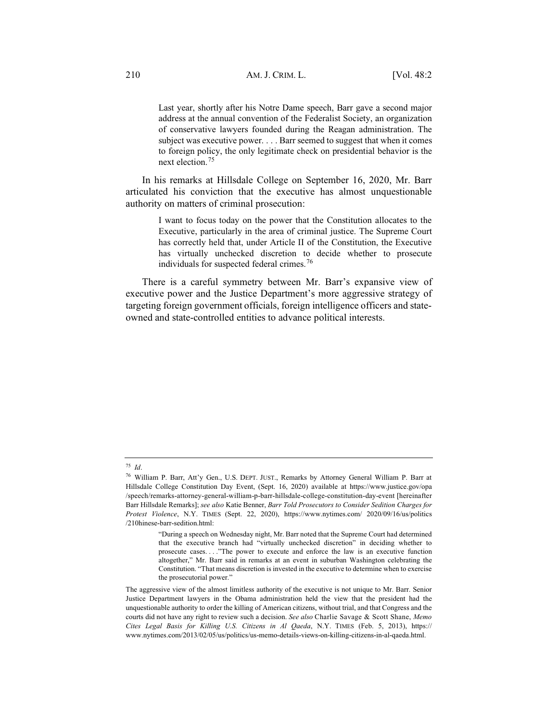Last year, shortly after his Notre Dame speech, Barr gave a second major address at the annual convention of the Federalist Society, an organization of conservative lawyers founded during the Reagan administration. The subject was executive power. . . . Barr seemed to suggest that when it comes to foreign policy, the only legitimate check on presidential behavior is the next election.<sup>75</sup>

In his remarks at Hillsdale College on September 16, 2020, Mr. Barr articulated his conviction that the executive has almost unquestionable authority on matters of criminal prosecution:

> I want to focus today on the power that the Constitution allocates to the Executive, particularly in the area of criminal justice. The Supreme Court has correctly held that, under Article II of the Constitution, the Executive has virtually unchecked discretion to decide whether to prosecute individuals for suspected federal crimes.<sup>76</sup>

There is a careful symmetry between Mr. Barr's expansive view of executive power and the Justice Department's more aggressive strategy of targeting foreign government officials, foreign intelligence officers and stateowned and state-controlled entities to advance political interests.

<sup>75</sup> *Id*.

<sup>76</sup> William P. Barr, Att'y Gen., U.S. DEPT. JUST., Remarks by Attorney General William P. Barr at Hillsdale College Constitution Day Event, (Sept. 16, 2020) available at https://www.justice.gov/opa /speech/remarks-attorney-general-william-p-barr-hillsdale-college-constitution-day-event [hereinafter Barr Hillsdale Remarks]; *see also* Katie Benner, *Barr Told Prosecutors to Consider Sedition Charges for Protest Violence*, N.Y. TIMES (Sept. 22, 2020), https://www.nytimes.com/ 2020/09/16/us/politics /210hinese-barr-sedition.html:

<sup>&</sup>quot;During a speech on Wednesday night, Mr. Barr noted that the Supreme Court had determined that the executive branch had "virtually unchecked discretion" in deciding whether to prosecute cases. . . ."The power to execute and enforce the law is an executive function altogether," Mr. Barr said in remarks at an event in suburban Washington celebrating the Constitution. "That means discretion is invested in the executive to determine when to exercise the prosecutorial power."

The aggressive view of the almost limitless authority of the executive is not unique to Mr. Barr. Senior Justice Department lawyers in the Obama administration held the view that the president had the unquestionable authority to order the killing of American citizens, without trial, and that Congress and the courts did not have any right to review such a decision. *See also* Charlie Savage & Scott Shane, *Memo Cites Legal Basis for Killing U.S. Citizens in Al Qaeda*, N.Y. TIMES (Feb. 5, 2013), https:// www.nytimes.com/2013/02/05/us/politics/us-memo-details-views-on-killing-citizens-in-al-qaeda.html.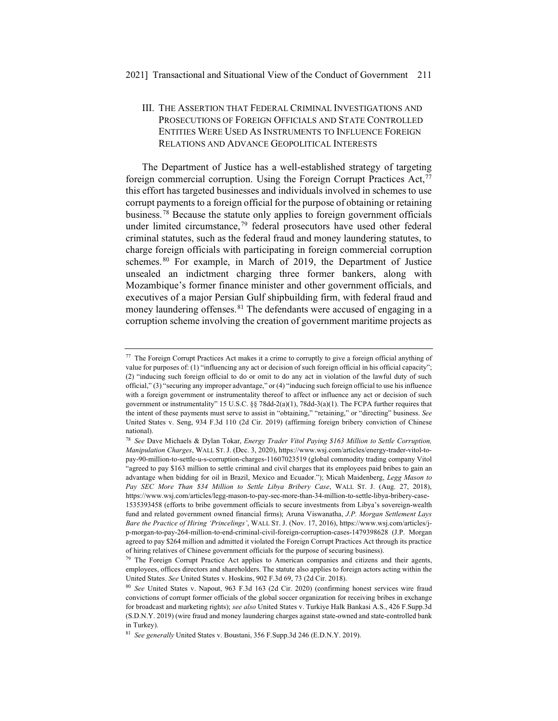# III. THE ASSERTION THAT FEDERAL CRIMINAL INVESTIGATIONS AND PROSECUTIONS OF FOREIGN OFFICIALS AND STATE CONTROLLED ENTITIES WERE USED AS INSTRUMENTS TO INFLUENCE FOREIGN RELATIONS AND ADVANCE GEOPOLITICAL INTERESTS

The Department of Justice has a well-established strategy of targeting foreign commercial corruption. Using the Foreign Corrupt Practices Act, $^{77}$ this effort has targeted businesses and individuals involved in schemes to use corrupt payments to a foreign official for the purpose of obtaining or retaining business.78 Because the statute only applies to foreign government officials under limited circumstance, $79$  federal prosecutors have used other federal criminal statutes, such as the federal fraud and money laundering statutes, to charge foreign officials with participating in foreign commercial corruption schemes.<sup>80</sup> For example, in March of 2019, the Department of Justice unsealed an indictment charging three former bankers, along with Mozambique's former finance minister and other government officials, and executives of a major Persian Gulf shipbuilding firm, with federal fraud and money laundering offenses. <sup>81</sup> The defendants were accused of engaging in a corruption scheme involving the creation of government maritime projects as

<sup>77</sup> The Foreign Corrupt Practices Act makes it a crime to corruptly to give a foreign official anything of value for purposes of: (1) "influencing any act or decision of such foreign official in his official capacity"; (2) "inducing such foreign official to do or omit to do any act in violation of the lawful duty of such official," (3) "securing any improper advantage," or (4) "inducing such foreign official to use his influence with a foreign government or instrumentality thereof to affect or influence any act or decision of such government or instrumentality" 15 U.S.C. §§ 78dd-2(a)(1), 78dd-3(a)(1). The FCPA further requires that the intent of these payments must serve to assist in "obtaining," "retaining," or "directing" business. *See*  United States v. Seng, 934 F.3d 110 (2d Cir. 2019) (affirming foreign bribery conviction of Chinese national).

<sup>78</sup> *See* Dave Michaels & Dylan Tokar, *Energy Trader Vitol Paying \$163 Million to Settle Corruption, Manipulation Charges*, WALL ST. J. (Dec. 3, 2020), https://www.wsj.com/articles/energy-trader-vitol-topay-90-million-to-settle-u-s-corruption-charges-11607023519 (global commodity trading company Vitol "agreed to pay \$163 million to settle criminal and civil charges that its employees paid bribes to gain an advantage when bidding for oil in Brazil, Mexico and Ecuador."); Micah Maidenberg, *Legg Mason to Pay SEC More Than \$34 Million to Settle Libya Bribery Case*, WALL ST. J. (Aug. 27, 2018), https://www.wsj.com/articles/legg-mason-to-pay-sec-more-than-34-million-to-settle-libya-bribery-case-1535393458 (efforts to bribe government officials to secure investments from Libya's sovereign-wealth fund and related government owned financial firms); Aruna Viswanatha, *J.P. Morgan Settlement Lays Bare the Practice of Hiring 'Princelings'*, WALL ST. J. (Nov. 17, 2016), https://www.wsj.com/articles/jp-morgan-to-pay-264-million-to-end-criminal-civil-foreign-corruption-cases-1479398628 (J.P. Morgan agreed to pay \$264 million and admitted it violated the Foreign Corrupt Practices Act through its practice of hiring relatives of Chinese government officials for the purpose of securing business).

 $79$  The Foreign Corrupt Practice Act applies to American companies and citizens and their agents, employees, offices directors and shareholders. The statute also applies to foreign actors acting within the United States. *See* United States v. Hoskins, 902 F.3d 69, 73 (2d Cir. 2018).

<sup>80</sup> *See* United States v. Napout, 963 F.3d 163 (2d Cir. 2020) (confirming honest services wire fraud convictions of corrupt former officials of the global soccer organization for receiving bribes in exchange for broadcast and marketing rights); *see also* United States v. Turkiye Halk Bankasi A.S., 426 F.Supp.3d (S.D.N.Y. 2019) (wire fraud and money laundering charges against state-owned and state-controlled bank in Turkey).

<sup>81</sup> *See generally* United States v. Boustani, 356 F.Supp.3d 246 (E.D.N.Y. 2019).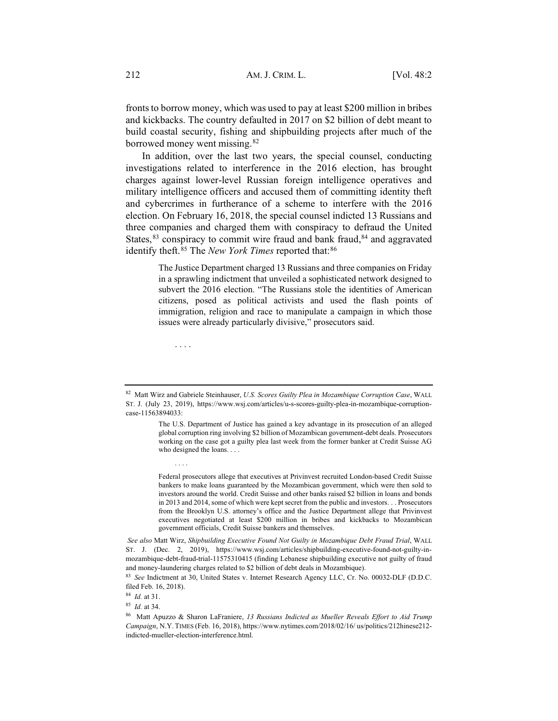fronts to borrow money, which was used to pay at least \$200 million in bribes and kickbacks. The country defaulted in 2017 on \$2 billion of debt meant to build coastal security, fishing and shipbuilding projects after much of the borrowed money went missing.82

In addition, over the last two years, the special counsel, conducting investigations related to interference in the 2016 election, has brought charges against lower-level Russian foreign intelligence operatives and military intelligence officers and accused them of committing identity theft and cybercrimes in furtherance of a scheme to interfere with the 2016 election. On February 16, 2018, the special counsel indicted 13 Russians and three companies and charged them with conspiracy to defraud the United States,  $83$  conspiracy to commit wire fraud and bank fraud,  $84$  and aggravated identify theft.<sup>85</sup> The *New York Times* reported that:<sup>86</sup>

> The Justice Department charged 13 Russians and three companies on Friday in a sprawling indictment that unveiled a sophisticated network designed to subvert the 2016 election. "The Russians stole the identities of American citizens, posed as political activists and used the flash points of immigration, religion and race to manipulate a campaign in which those issues were already particularly divisive," prosecutors said.

Federal prosecutors allege that executives at Privinvest recruited London-based Credit Suisse bankers to make loans guaranteed by the Mozambican government, which were then sold to investors around the world. Credit Suisse and other banks raised \$2 billion in loans and bonds in 2013 and 2014, some of which were kept secret from the public and investors. . . Prosecutors from the Brooklyn U.S. attorney's office and the Justice Department allege that Privinvest executives negotiated at least \$200 million in bribes and kickbacks to Mozambican government officials, Credit Suisse bankers and themselves.

*See also* Matt Wirz, *Shipbuilding Executive Found Not Guilty in Mozambique Debt Fraud Trial*, WALL ST. J. (Dec. 2, 2019), https://www.wsj.com/articles/shipbuilding-executive-found-not-guilty-inmozambique-debt-fraud-trial-11575310415 (finding Lebanese shipbuilding executive not guilty of fraud and money-laundering charges related to \$2 billion of debt deals in Mozambique).

<sup>83</sup> *See* Indictment at 30, United States v. Internet Research Agency LLC, Cr. No. 00032-DLF (D.D.C. filed Feb. 16, 2018).

<sup>84</sup> *Id.* at 31.

....

....

<sup>85</sup> *Id.* at 34.

<sup>82</sup> Matt Wirz and Gabriele Steinhauser, *U.S. Scores Guilty Plea in Mozambique Corruption Case*, WALL ST. J. (July 23, 2019), https://www.wsj.com/articles/u-s-scores-guilty-plea-in-mozambique-corruptioncase-11563894033:

The U.S. Department of Justice has gained a key advantage in its prosecution of an alleged global corruption ring involving \$2 billion of Mozambican government-debt deals. Prosecutors working on the case got a guilty plea last week from the former banker at Credit Suisse AG who designed the loans. . . .

<sup>86</sup> Matt Apuzzo & Sharon LaFraniere, *13 Russians Indicted as Mueller Reveals Effort to Aid Trump Campaign*, N.Y. TIMES (Feb. 16, 2018), https://www.nytimes.com/2018/02/16/ us/politics/212hinese212 indicted-mueller-election-interference.html.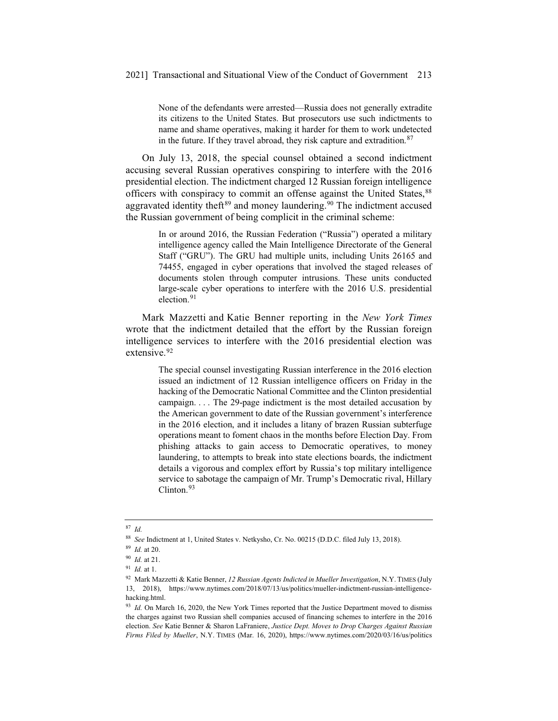None of the defendants were arrested—Russia does not generally extradite its citizens to the United States. But prosecutors use such indictments to name and shame operatives, making it harder for them to work undetected in the future. If they travel abroad, they risk capture and extradition. $87$ 

On July 13, 2018, the special counsel obtained a second indictment accusing several Russian operatives conspiring to interfere with the 2016 presidential election. The indictment charged 12 Russian foreign intelligence officers with conspiracy to commit an offense against the United States, <sup>88</sup> aggravated identity theft<sup>89</sup> and money laundering.<sup>90</sup> The indictment accused the Russian government of being complicit in the criminal scheme:

> In or around 2016, the Russian Federation ("Russia") operated a military intelligence agency called the Main Intelligence Directorate of the General Staff ("GRU"). The GRU had multiple units, including Units 26165 and 74455, engaged in cyber operations that involved the staged releases of documents stolen through computer intrusions. These units conducted large-scale cyber operations to interfere with the 2016 U.S. presidential election. $91$

Mark Mazzetti and Katie Benner reporting in the *New York Times* wrote that the indictment detailed that the effort by the Russian foreign intelligence services to interfere with the 2016 presidential election was extensive.<sup>92</sup>

> The special counsel investigating Russian interference in the 2016 election issued an indictment of 12 Russian intelligence officers on Friday in the hacking of the Democratic National Committee and the Clinton presidential campaign. . . . The 29-page indictment is the most detailed accusation by the American government to date of the Russian government's interference in the 2016 election, and it includes a litany of brazen Russian subterfuge operations meant to foment chaos in the months before Election Day. From phishing attacks to gain access to Democratic operatives, to money laundering, to attempts to break into state elections boards, the indictment details a vigorous and complex effort by Russia's top military intelligence service to sabotage the campaign of Mr. Trump's Democratic rival, Hillary Clinton.<sup>93</sup>

<sup>87</sup> *Id.*

<sup>88</sup> *See* Indictment at 1, United States v. Netkysho, Cr. No. 00215 (D.D.C. filed July 13, 2018).

<sup>89</sup> *Id.* at 20.

<sup>90</sup> *Id.* at 21.

<sup>91</sup> *Id.* at 1.

<sup>92</sup> Mark Mazzetti & Katie Benner, *12 Russian Agents Indicted in Mueller Investigation*, N.Y. TIMES (July 13, 2018), https://www.nytimes.com/2018/07/13/us/politics/mueller-indictment-russian-intelligencehacking.html.

<sup>&</sup>lt;sup>93</sup> *Id.* On March 16, 2020, the New York Times reported that the Justice Department moved to dismiss the charges against two Russian shell companies accused of financing schemes to interfere in the 2016 election. *See* Katie Benner & Sharon LaFraniere, *Justice Dept. Moves to Drop Charges Against Russian Firms Filed by Mueller*, N.Y. TIMES (Mar. 16, 2020), https://www.nytimes.com/2020/03/16/us/politics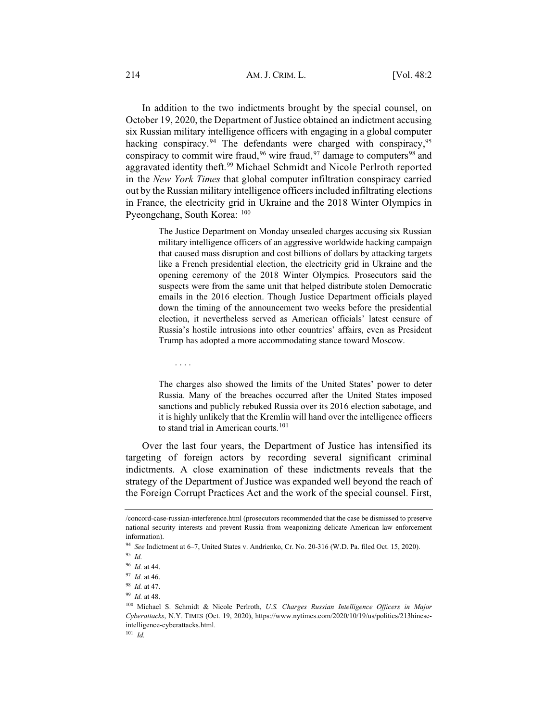In addition to the two indictments brought by the special counsel, on October 19, 2020, the Department of Justice obtained an indictment accusing six Russian military intelligence officers with engaging in a global computer hacking conspiracy.<sup>94</sup> The defendants were charged with conspiracy,<sup>95</sup> conspiracy to commit wire fraud,  $96$  wire fraud,  $97$  damage to computers  $98$  and aggravated identity theft.99 Michael Schmidt and Nicole Perlroth reported in the *New York Times* that global computer infiltration conspiracy carried out by the Russian military intelligence officers included infiltrating elections in France, the electricity grid in Ukraine and the 2018 Winter Olympics in Pyeongchang, South Korea: 100

> The Justice Department on Monday unsealed charges accusing six Russian military intelligence officers of an aggressive worldwide hacking campaign that caused mass disruption and cost billions of dollars by attacking targets like a French presidential election, the electricity grid in Ukraine and the opening ceremony of the 2018 Winter Olympics. Prosecutors said the suspects were from the same unit that helped distribute stolen Democratic emails in the 2016 election. Though Justice Department officials played down the timing of the announcement two weeks before the presidential election, it nevertheless served as American officials' latest censure of Russia's hostile intrusions into other countries' affairs, even as President Trump has adopted a more accommodating stance toward Moscow.

> The charges also showed the limits of the United States' power to deter Russia. Many of the breaches occurred after the United States imposed sanctions and publicly rebuked Russia over its 2016 election sabotage, and it is highly unlikely that the Kremlin will hand over the intelligence officers to stand trial in American courts.<sup>101</sup>

Over the last four years, the Department of Justice has intensified its targeting of foreign actors by recording several significant criminal indictments. A close examination of these indictments reveals that the strategy of the Department of Justice was expanded well beyond the reach of the Foreign Corrupt Practices Act and the work of the special counsel. First,

....

<sup>/</sup>concord-case-russian-interference.html (prosecutors recommended that the case be dismissed to preserve national security interests and prevent Russia from weaponizing delicate American law enforcement information).

<sup>94</sup> *See* Indictment at 6–7, United States v. Andrienko, Cr. No. 20-316 (W.D. Pa. filed Oct. 15, 2020).

<sup>95</sup> *Id.*

<sup>96</sup> *Id.* at 44.

<sup>97</sup> *Id.* at 46.

<sup>98</sup> *Id.* at 47.

<sup>99</sup> *Id.* at 48.

<sup>100</sup> Michael S. Schmidt & Nicole Perlroth, *U.S. Charges Russian Intelligence Officers in Major Cyberattacks*, N.Y. TIMES (Oct. 19, 2020), https://www.nytimes.com/2020/10/19/us/politics/213hineseintelligence-cyberattacks.html.

<sup>101</sup> *Id.*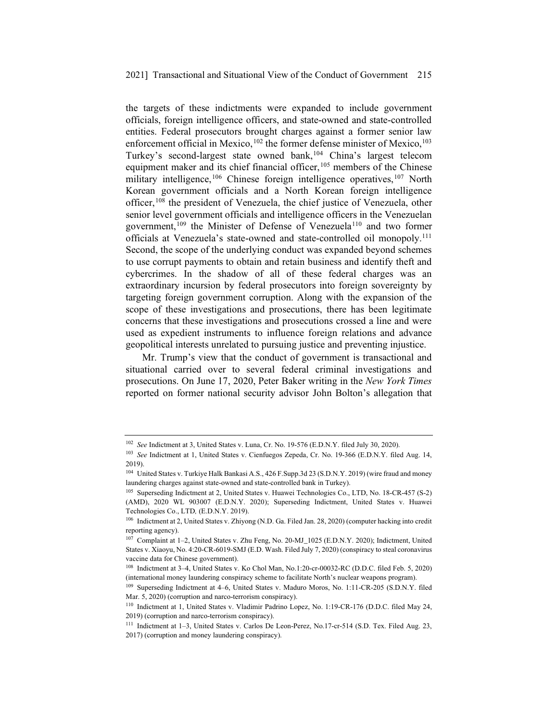the targets of these indictments were expanded to include government officials, foreign intelligence officers, and state-owned and state-controlled entities. Federal prosecutors brought charges against a former senior law enforcement official in Mexico, $102$  the former defense minister of Mexico, $103$ Turkey's second-largest state owned bank,<sup>104</sup> China's largest telecom equipment maker and its chief financial officer,  $105$  members of the Chinese military intelligence,<sup>106</sup> Chinese foreign intelligence operatives,<sup>107</sup> North Korean government officials and a North Korean foreign intelligence officer,108 the president of Venezuela, the chief justice of Venezuela, other senior level government officials and intelligence officers in the Venezuelan government,<sup>109</sup> the Minister of Defense of Venezuela<sup>110</sup> and two former officials at Venezuela's state-owned and state-controlled oil monopoly.111 Second, the scope of the underlying conduct was expanded beyond schemes to use corrupt payments to obtain and retain business and identify theft and cybercrimes. In the shadow of all of these federal charges was an extraordinary incursion by federal prosecutors into foreign sovereignty by targeting foreign government corruption. Along with the expansion of the scope of these investigations and prosecutions, there has been legitimate concerns that these investigations and prosecutions crossed a line and were used as expedient instruments to influence foreign relations and advance geopolitical interests unrelated to pursuing justice and preventing injustice.

Mr. Trump's view that the conduct of government is transactional and situational carried over to several federal criminal investigations and prosecutions. On June 17, 2020, Peter Baker writing in the *New York Times* reported on former national security advisor John Bolton's allegation that

<sup>102</sup> *See* Indictment at 3, United States v. Luna, Cr. No. 19-576 (E.D.N.Y. filed July 30, 2020).

<sup>103</sup> *See* Indictment at 1, United States v. Cienfuegos Zepeda, Cr. No. 19-366 (E.D.N.Y. filed Aug. 14, 2019).

<sup>&</sup>lt;sup>104</sup> United States v. Turkiye Halk Bankasi A.S., 426 F.Supp.3d 23 (S.D.N.Y. 2019) (wire fraud and money laundering charges against state-owned and state-controlled bank in Turkey).

<sup>105</sup> Superseding Indictment at 2, United States v. Huawei Technologies Co., LTD, No. 18-CR-457 (S-2) (AMD), 2020 WL 903007 (E.D.N.Y. 2020); Superseding Indictment, United States v. Huawei Technologies Co., LTD*,* (E.D.N.Y. 2019).

<sup>106</sup> Indictment at 2, United States v. Zhiyong (N.D. Ga. Filed Jan. 28, 2020) (computer hacking into credit reporting agency).

<sup>107</sup> Complaint at 1–2, United States v. Zhu Feng, No. 20-MJ\_1025 (E.D.N.Y. 2020); Indictment, United States v. Xiaoyu, No. 4:20-CR-6019-SMJ (E.D. Wash. Filed July 7, 2020) (conspiracy to steal coronavirus vaccine data for Chinese government).

<sup>108</sup> Indictment at 3–4, United States v. Ko Chol Man, No.1:20-cr-00032-RC (D.D.C. filed Feb. 5, 2020) (international money laundering conspiracy scheme to facilitate North's nuclear weapons program).

<sup>&</sup>lt;sup>109</sup> Superseding Indictment at 4–6, United States v. Maduro Moros, No. 1:11-CR-205 (S.D.N.Y. filed Mar. 5, 2020) (corruption and narco-terrorism conspiracy).

<sup>110</sup> Indictment at 1, United States v. Vladimir Padrino Lopez, No. 1:19-CR-176 (D.D.C. filed May 24, 2019) (corruption and narco-terrorism conspiracy).

<sup>111</sup> Indictment at 1–3, United States v. Carlos De Leon-Perez, No.17-cr-514 (S.D. Tex. Filed Aug. 23, 2017) (corruption and money laundering conspiracy).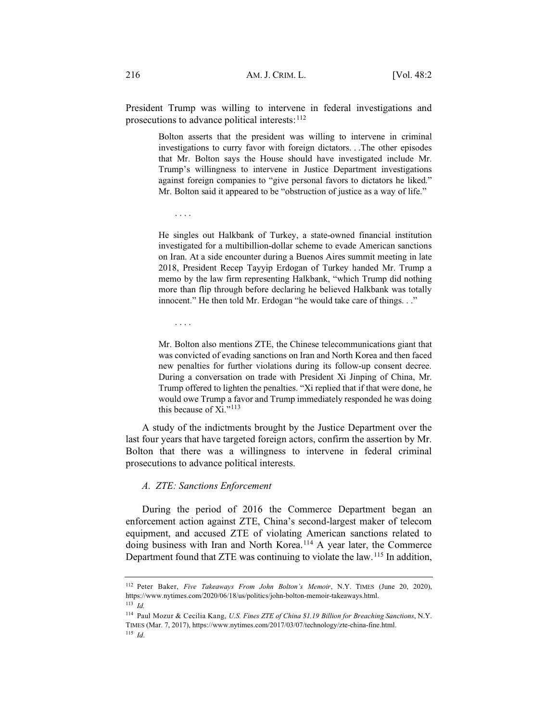President Trump was willing to intervene in federal investigations and prosecutions to advance political interests:  $112$ 

> Bolton asserts that the president was willing to intervene in criminal investigations to curry favor with foreign dictators. . .The other episodes that Mr. Bolton says the House should have investigated include Mr. Trump's willingness to intervene in Justice Department investigations against foreign companies to "give personal favors to dictators he liked." Mr. Bolton said it appeared to be "obstruction of justice as a way of life."

....

He singles out Halkbank of Turkey, a state-owned financial institution investigated for a multibillion-dollar scheme to evade American sanctions on Iran. At a side encounter during a Buenos Aires summit meeting in late 2018, President Recep Tayyip Erdogan of Turkey handed Mr. Trump a memo by the law firm representing Halkbank, "which Trump did nothing more than flip through before declaring he believed Halkbank was totally innocent." He then told Mr. Erdogan "he would take care of things. . ."

....

Mr. Bolton also mentions ZTE, the Chinese telecommunications giant that was convicted of evading sanctions on Iran and North Korea and then faced new penalties for further violations during its follow-up consent decree. During a conversation on trade with President Xi Jinping of China, Mr. Trump offered to lighten the penalties. "Xi replied that if that were done, he would owe Trump a favor and Trump immediately responded he was doing this because of Xi."<sup>113</sup>

A study of the indictments brought by the Justice Department over the last four years that have targeted foreign actors, confirm the assertion by Mr. Bolton that there was a willingness to intervene in federal criminal prosecutions to advance political interests.

#### *A. ZTE: Sanctions Enforcement*

During the period of 2016 the Commerce Department began an enforcement action against ZTE, China's second-largest maker of telecom equipment, and accused ZTE of violating American sanctions related to doing business with Iran and North Korea.<sup>114</sup> A year later, the Commerce Department found that ZTE was continuing to violate the law.<sup>115</sup> In addition,

<sup>112</sup> Peter Baker, *Five Takeaways From John Bolton's Memoir*, N.Y. TIMES (June 20, 2020), https://www.nytimes.com/2020/06/18/us/politics/john-bolton-memoir-takeaways.html.

<sup>113</sup> *Id.*

<sup>114</sup> Paul Mozur & Cecilia Kang, *U.S. Fines ZTE of China \$1.19 Billion for Breaching Sanctions*, N.Y. TIMES (Mar. 7, 2017), https://www.nytimes.com/2017/03/07/technology/zte-china-fine.html. <sup>115</sup> *Id*.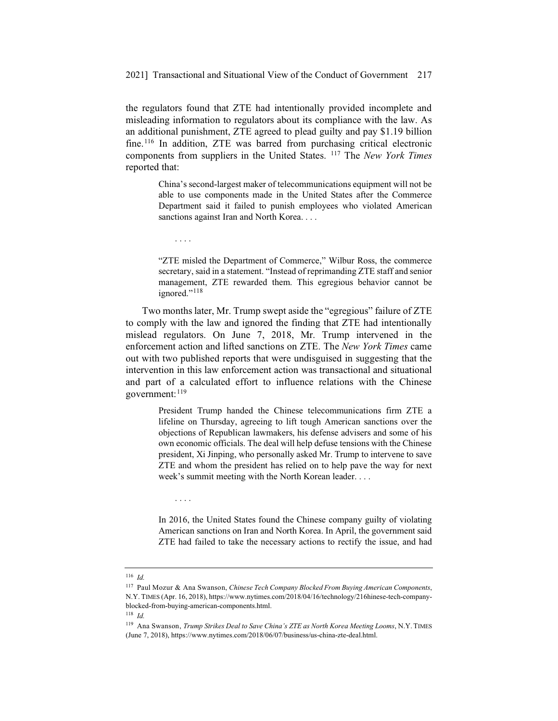the regulators found that ZTE had intentionally provided incomplete and misleading information to regulators about its compliance with the law. As an additional punishment, ZTE agreed to plead guilty and pay \$1.19 billion fine.<sup>116</sup> In addition, ZTE was barred from purchasing critical electronic components from suppliers in the United States. 117 The *New York Times* reported that:

> China's second-largest maker of telecommunications equipment will not be able to use components made in the United States after the Commerce Department said it failed to punish employees who violated American sanctions against Iran and North Korea. . . .

> "ZTE misled the Department of Commerce," Wilbur Ross, the commerce secretary, said in a statement. "Instead of reprimanding ZTE staff and senior management, ZTE rewarded them. This egregious behavior cannot be ignored."<sup>118</sup>

Two months later, Mr. Trump swept aside the "egregious" failure of ZTE to comply with the law and ignored the finding that ZTE had intentionally mislead regulators. On June 7, 2018, Mr. Trump intervened in the enforcement action and lifted sanctions on ZTE. The *New York Times* came out with two published reports that were undisguised in suggesting that the intervention in this law enforcement action was transactional and situational and part of a calculated effort to influence relations with the Chinese government: 119

> President Trump handed the Chinese telecommunications firm ZTE a lifeline on Thursday, agreeing to lift tough American sanctions over the objections of Republican lawmakers, his defense advisers and some of his own economic officials. The deal will help defuse tensions with the Chinese president, Xi Jinping, who personally asked Mr. Trump to intervene to save ZTE and whom the president has relied on to help pave the way for next week's summit meeting with the North Korean leader. . . .

> In 2016, the United States found the Chinese company guilty of violating American sanctions on Iran and North Korea. In April, the government said ZTE had failed to take the necessary actions to rectify the issue, and had

....

....

<sup>116</sup> *Id.*

<sup>117</sup> Paul Mozur & Ana Swanson, *Chinese Tech Company Blocked From Buying American Components*, N.Y. TIMES (Apr. 16, 2018), https://www.nytimes.com/2018/04/16/technology/216hinese-tech-companyblocked-from-buying-american-components.html.

<sup>118</sup> *Id.*

<sup>119</sup> Ana Swanson, *Trump Strikes Deal to Save China's ZTE as North Korea Meeting Looms*, N.Y. TIMES (June 7, 2018), https://www.nytimes.com/2018/06/07/business/us-china-zte-deal.html.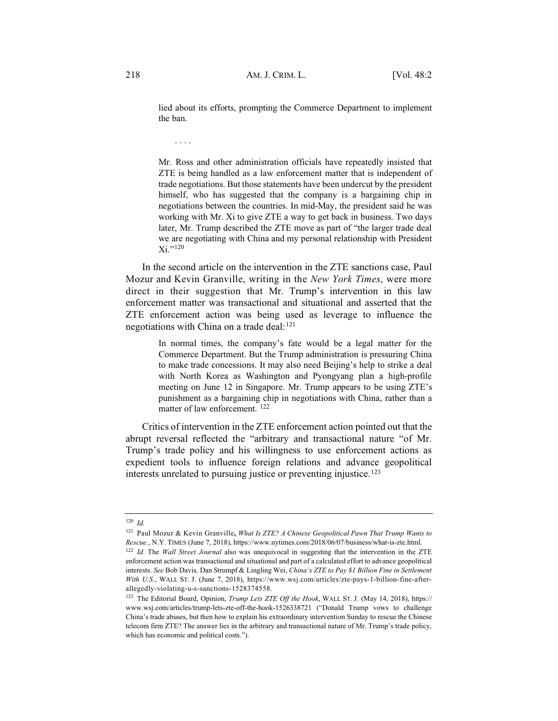lied about its efforts, prompting the Commerce Department to implement the ban.

....

Mr. Ross and other administration officials have repeatedly insisted that ZTE is being handled as a law enforcement matter that is independent of trade negotiations. But those statements have been undercut by the president himself, who has suggested that the company is a bargaining chip in negotiations between the countries. In mid-May, the president said he was working with Mr. Xi to give ZTE a way to get back in business. Two days later, Mr. Trump described the ZTE move as part of "the larger trade deal we are negotiating with China and my personal relationship with President  $Xi$ ."120

In the second article on the intervention in the ZTE sanctions case, Paul Mozur and Kevin Granville, writing in the *New York Times*, were more direct in their suggestion that Mr. Trump's intervention in this law enforcement matter was transactional and situational and asserted that the ZTE enforcement action was being used as leverage to influence the negotiations with China on a trade deal:<sup>121</sup>

> In normal times, the company's fate would be a legal matter for the Commerce Department. But the Trump administration is pressuring China to make trade concessions. It may also need Beijing's help to strike a deal with North Korea as Washington and Pyongyang plan a high-profile meeting on June 12 in Singapore. Mr. Trump appears to be using ZTE's punishment as a bargaining chip in negotiations with China, rather than a matter of law enforcement. <sup>122</sup>

Critics of intervention in the ZTE enforcement action pointed out that the abrupt reversal reflected the "arbitrary and transactional nature "of Mr. Trump's trade policy and his willingness to use enforcement actions as expedient tools to influence foreign relations and advance geopolitical interests unrelated to pursuing justice or preventing injustice.<sup>123</sup>

<sup>120</sup> *Id.*

<sup>121</sup> Paul Mozur & Kevin Granville**,** *What Is ZTE? A Chinese Geopolitical Pawn That Trump Wants to Rescue.*, N.Y. TIMES (June 7, 2018), https://www.nytimes.com/2018/06/07/business/what-is-zte.html.

<sup>122</sup> *Id*. The *Wall Street Journal* also was unequivocal in suggesting that the intervention in the ZTE enforcement action was transactional and situational and part of a calculated effort to advance geopolitical interests. *See* Bob Davis*,* Dan Strumpf & Lingling Wei, *China's ZTE to Pay \$1 Billion Fine in Settlement With U.S.*, WALL ST. J. (June 7, 2018), https://www.wsj.com/articles/zte-pays-1-billion-fine-afterallegedly-violating-u-s-sanctions-1528374558.

<sup>123</sup> The Editorial Board, Opinion, *Trump Lets ZTE Off the Hook*, WALL ST. J. (May 14, 2018), https:// www.wsj.com/articles/trump-lets-zte-off-the-hook-1526338721 ("Donald Trump vows to challenge China's trade abuses, but then how to explain his extraordinary intervention Sunday to rescue the Chinese telecom firm ZTE? The answer lies in the arbitrary and transactional nature of Mr. Trump's trade policy, which has economic and political costs.").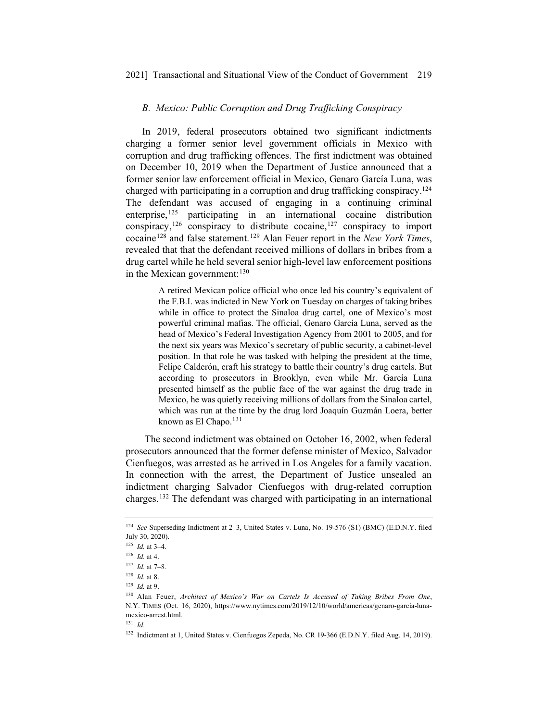#### *B. Mexico: Public Corruption and Drug Trafficking Conspiracy*

In 2019, federal prosecutors obtained two significant indictments charging a former senior level government officials in Mexico with corruption and drug trafficking offences. The first indictment was obtained on December 10, 2019 when the Department of Justice announced that a former senior law enforcement official in Mexico, Genaro García Luna, was charged with participating in a corruption and drug trafficking conspiracy.124 The defendant was accused of engaging in a continuing criminal enterprise, $125$  participating in an international cocaine distribution conspiracy,<sup>126</sup> conspiracy to distribute cocaine,<sup>127</sup> conspiracy to import cocaine128 and false statement.129 Alan Feuer report in the *New York Times*, revealed that that the defendant received millions of dollars in bribes from a drug cartel while he held several senior high-level law enforcement positions in the Mexican government:<sup>130</sup>

> A retired Mexican police official who once led his country's equivalent of the F.B.I. was indicted in New York on Tuesday on charges of taking bribes while in office to protect the Sinaloa drug cartel, one of Mexico's most powerful criminal mafias. The official, Genaro García Luna, served as the head of Mexico's Federal Investigation Agency from 2001 to 2005, and for the next six years was Mexico's secretary of public security, a cabinet-level position. In that role he was tasked with helping the president at the time, Felipe Calderón, craft his strategy to battle their country's drug cartels. But according to prosecutors in Brooklyn, even while Mr. García Luna presented himself as the public face of the war against the drug trade in Mexico, he was quietly receiving millions of dollars from the Sinaloa cartel, which was run at the time by the drug lord Joaquín Guzmán Loera, better known as El Chapo. $131$

The second indictment was obtained on October 16, 2002, when federal prosecutors announced that the former defense minister of Mexico, Salvador Cienfuegos, was arrested as he arrived in Los Angeles for a family vacation. In connection with the arrest, the Department of Justice unsealed an indictment charging Salvador Cienfuegos with drug-related corruption charges.132 The defendant was charged with participating in an international

<sup>124</sup> *See* Superseding Indictment at 2–3, United States v. Luna, No. 19-576 (S1) (BMC) (E.D.N.Y. filed July 30, 2020).

<sup>125</sup> *Id.* at 3–4.

<sup>126</sup> *Id.* at 4.

<sup>127</sup> *Id.* at 7–8.

<sup>128</sup> *Id.* at 8.

<sup>129</sup> *Id.* at 9.

<sup>130</sup> Alan Feuer, *Architect of Mexico's War on Cartels Is Accused of Taking Bribes From One*, N.Y. TIMES (Oct. 16, 2020), https://www.nytimes.com/2019/12/10/world/americas/genaro-garcia-lunamexico-arrest.html.

<sup>131</sup> *Id*.

<sup>132</sup> Indictment at 1, United States v. Cienfuegos Zepeda, No. CR 19-366 (E.D.N.Y. filed Aug. 14, 2019).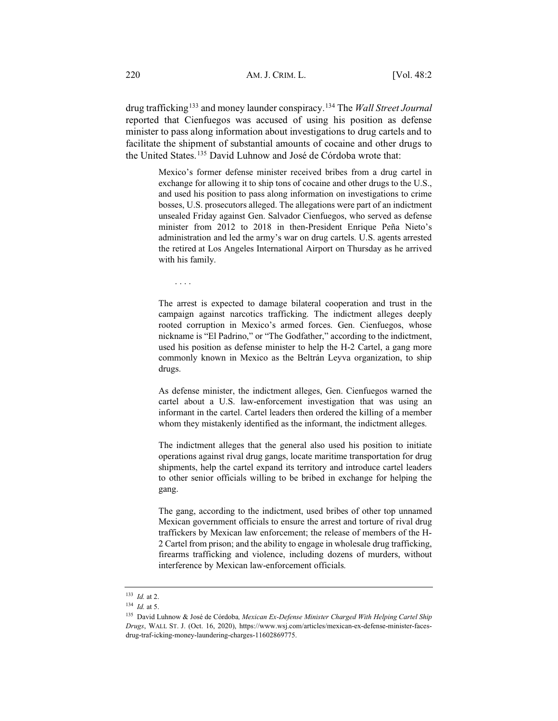drug trafficking133 and money launder conspiracy.134 The *Wall Street Journal* reported that Cienfuegos was accused of using his position as defense minister to pass along information about investigations to drug cartels and to facilitate the shipment of substantial amounts of cocaine and other drugs to the United States.135 David Luhnow and José de Córdoba wrote that:

> Mexico's former defense minister received bribes from a drug cartel in exchange for allowing it to ship tons of cocaine and other drugs to the U.S., and used his position to pass along information on investigations to crime bosses, U.S. prosecutors alleged. The allegations were part of an indictment unsealed Friday against Gen. Salvador Cienfuegos, who served as defense minister from 2012 to 2018 in then-President Enrique Peña Nieto's administration and led the army's war on drug cartels. U.S. agents arrested the retired at Los Angeles International Airport on Thursday as he arrived with his family.

....

The arrest is expected to damage bilateral cooperation and trust in the campaign against narcotics trafficking. The indictment alleges deeply rooted corruption in Mexico's armed forces. Gen. Cienfuegos, whose nickname is "El Padrino," or "The Godfather," according to the indictment, used his position as defense minister to help the H-2 Cartel, a gang more commonly known in Mexico as the Beltrán Leyva organization, to ship drugs.

As defense minister, the indictment alleges, Gen. Cienfuegos warned the cartel about a U.S. law-enforcement investigation that was using an informant in the cartel. Cartel leaders then ordered the killing of a member whom they mistakenly identified as the informant, the indictment alleges.

The indictment alleges that the general also used his position to initiate operations against rival drug gangs, locate maritime transportation for drug shipments, help the cartel expand its territory and introduce cartel leaders to other senior officials willing to be bribed in exchange for helping the gang.

The gang, according to the indictment, used bribes of other top unnamed Mexican government officials to ensure the arrest and torture of rival drug traffickers by Mexican law enforcement; the release of members of the H-2 Cartel from prison; and the ability to engage in wholesale drug trafficking, firearms trafficking and violence, including dozens of murders, without interference by Mexican law-enforcement officials.

<sup>133</sup> *Id.* at 2.

<sup>134</sup> *Id.* at 5.

<sup>135</sup> David Luhnow & José de Córdoba*, Mexican Ex-Defense Minister Charged With Helping Cartel Ship Drugs*, WALL ST. J. (Oct. 16, 2020), https://www.wsj.com/articles/mexican-ex-defense-minister-facesdrug-traf-icking-money-laundering-charges-11602869775.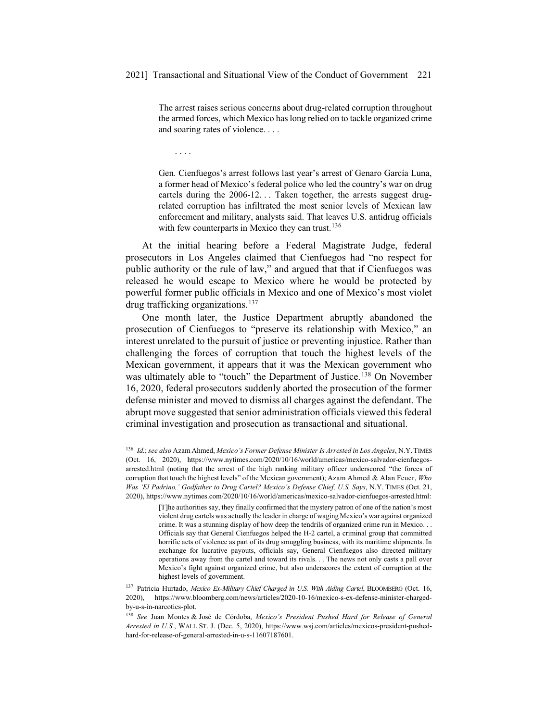The arrest raises serious concerns about drug-related corruption throughout the armed forces, which Mexico has long relied on to tackle organized crime and soaring rates of violence. . . .

....

Gen. Cienfuegos's arrest follows last year's arrest of Genaro García Luna, a former head of Mexico's federal police who led the country's war on drug cartels during the 2006-12. . . Taken together, the arrests suggest drugrelated corruption has infiltrated the most senior levels of Mexican law enforcement and military, analysts said. That leaves U.S. antidrug officials with few counterparts in Mexico they can trust.<sup>136</sup>

At the initial hearing before a Federal Magistrate Judge, federal prosecutors in Los Angeles claimed that Cienfuegos had "no respect for public authority or the rule of law," and argued that that if Cienfuegos was released he would escape to Mexico where he would be protected by powerful former public officials in Mexico and one of Mexico's most violet drug trafficking organizations.137

One month later, the Justice Department abruptly abandoned the prosecution of Cienfuegos to "preserve its relationship with Mexico," an interest unrelated to the pursuit of justice or preventing injustice. Rather than challenging the forces of corruption that touch the highest levels of the Mexican government, it appears that it was the Mexican government who was ultimately able to "touch" the Department of Justice.<sup>138</sup> On November 16, 2020, federal prosecutors suddenly aborted the prosecution of the former defense minister and moved to dismiss all charges against the defendant. The abrupt move suggested that senior administration officials viewed this federal criminal investigation and prosecution as transactional and situational.

<sup>136</sup> *Id.*; *see also* Azam Ahmed, *Mexico's Former Defense Minister Is Arrested in Los Angeles*, N.Y. TIMES (Oct. 16, 2020), https://www.nytimes.com/2020/10/16/world/americas/mexico-salvador-cienfuegosarrested.html (noting that the arrest of the high ranking military officer underscored "the forces of corruption that touch the highest levels" of the Mexican government); Azam Ahmed & Alan Feuer, *Who Was 'El Padrino,' Godfather to Drug Cartel? Mexico's Defense Chief, U.S. Says*, N.Y. TIMES (Oct. 21, 2020), https://www.nytimes.com/2020/10/16/world/americas/mexico-salvador-cienfuegos-arrested.html:

<sup>[</sup>T]he authorities say, they finally confirmed that the mystery patron of one of the nation's most violent drug cartels was actually the leader in charge of waging Mexico's war against organized crime. It was a stunning display of how deep the tendrils of organized crime run in Mexico. . . Officials say that General Cienfuegos helped the H-2 cartel, a criminal group that committed horrific acts of violence as part of its drug smuggling business, with its maritime shipments. In exchange for lucrative payouts, officials say, General Cienfuegos also directed military operations away from the cartel and toward its rivals. . . The news not only casts a pall over Mexico's fight against organized crime, but also underscores the extent of corruption at the highest levels of government.

<sup>137</sup> Patricia Hurtado, *Mexico Ex-Military Chief Charged in U.S. With Aiding Cartel*, BLOOMBERG (Oct. 16, 2020), https://www.bloomberg.com/news/articles/2020-10-16/mexico-s-ex-defense-minister-chargedby-u-s-in-narcotics-plot.

<sup>138</sup> *See* Juan Montes & José de Córdoba, *Mexico's President Pushed Hard for Release of General Arrested in U.S.*, WALL ST. J. (Dec. 5, 2020), https://www.wsj.com/articles/mexicos-president-pushedhard-for-release-of-general-arrested-in-u-s-11607187601.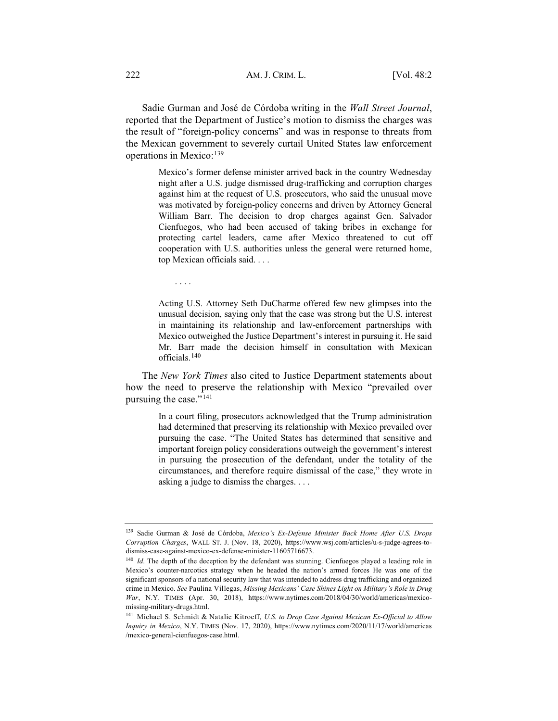Sadie Gurman and José de Córdoba writing in the *Wall Street Journal*, reported that the Department of Justice's motion to dismiss the charges was the result of "foreign-policy concerns" and was in response to threats from the Mexican government to severely curtail United States law enforcement operations in Mexico:<sup>139</sup>

> Mexico's former defense minister arrived back in the country Wednesday night after a U.S. judge dismissed drug-trafficking and corruption charges against him at the request of U.S. prosecutors, who said the unusual move was motivated by foreign-policy concerns and driven by Attorney General William Barr. The decision to drop charges against Gen. Salvador Cienfuegos, who had been accused of taking bribes in exchange for protecting cartel leaders, came after Mexico threatened to cut off cooperation with U.S. authorities unless the general were returned home, top Mexican officials said. . . .

....

Acting U.S. Attorney Seth DuCharme offered few new glimpses into the unusual decision, saying only that the case was strong but the U.S. interest in maintaining its relationship and law-enforcement partnerships with Mexico outweighed the Justice Department's interest in pursuing it. He said Mr. Barr made the decision himself in consultation with Mexican officials.<sup>140</sup>

The *New York Times* also cited to Justice Department statements about how the need to preserve the relationship with Mexico "prevailed over pursuing the case."<sup>141</sup>

> In a court filing, prosecutors acknowledged that the Trump administration had determined that preserving its relationship with Mexico prevailed over pursuing the case. "The United States has determined that sensitive and important foreign policy considerations outweigh the government's interest in pursuing the prosecution of the defendant, under the totality of the circumstances, and therefore require dismissal of the case," they wrote in asking a judge to dismiss the charges....

<sup>139</sup> Sadie Gurman & José de Córdoba, *Mexico's Ex-Defense Minister Back Home After U.S. Drops Corruption Charges*, WALL ST. J. (Nov. 18, 2020), https://www.wsj.com/articles/u-s-judge-agrees-todismiss-case-against-mexico-ex-defense-minister-11605716673.

<sup>&</sup>lt;sup>140</sup> *Id*. The depth of the deception by the defendant was stunning. Cienfuegos played a leading role in Mexico's counter-narcotics strategy when he headed the nation's armed forces He was one of the significant sponsors of a national security law that was intended to address drug trafficking and organized crime in Mexico. *See* Paulina Villegas, *Missing Mexicans' Case Shines Light on Military's Role in Drug War*, N.Y. TIMES **(**Apr. 30, 2018), https://www.nytimes.com/2018/04/30/world/americas/mexicomissing-military-drugs.html.

<sup>141</sup> Michael S. Schmidt & Natalie Kitroeff, *U.S. to Drop Case Against Mexican Ex-Official to Allow Inquiry in Mexico*, N.Y. TIMES (Nov. 17, 2020), https://www.nytimes.com/2020/11/17/world/americas /mexico-general-cienfuegos-case.html.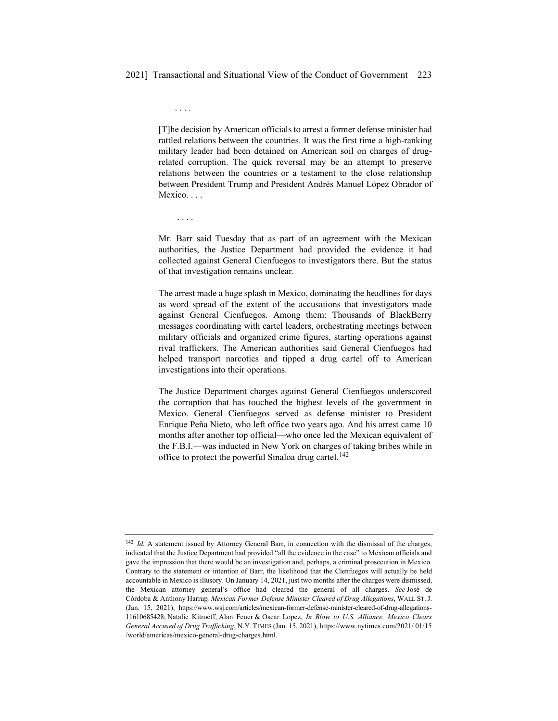[T]he decision by American officials to arrest a former defense minister had rattled relations between the countries. It was the first time a high-ranking military leader had been detained on American soil on charges of drugrelated corruption. The quick reversal may be an attempt to preserve relations between the countries or a testament to the close relationship between President Trump and President Andrés Manuel López Obrador of Mexico. . . .

....

....

Mr. Barr said Tuesday that as part of an agreement with the Mexican authorities, the Justice Department had provided the evidence it had collected against General Cienfuegos to investigators there. But the status of that investigation remains unclear.

The arrest made a huge splash in Mexico, dominating the headlines for days as word spread of the extent of the accusations that investigators made against General Cienfuegos. Among them: Thousands of BlackBerry messages coordinating with cartel leaders, orchestrating meetings between military officials and organized crime figures, starting operations against rival traffickers. The American authorities said General Cienfuegos had helped transport narcotics and tipped a drug cartel off to American investigations into their operations.

The Justice Department charges against General Cienfuegos underscored the corruption that has touched the highest levels of the government in Mexico. General Cienfuegos served as defense minister to President Enrique Peña Nieto, who left office two years ago. And his arrest came 10 months after another top official—who once led the Mexican equivalent of the F.B.I.—was inducted in New York on charges of taking bribes while in office to protect the powerful Sinaloa drug cartel.<sup>142</sup>

<sup>&</sup>lt;sup>142</sup> *Id.* A statement issued by Attorney General Barr, in connection with the dismissal of the charges, indicated that the Justice Department had provided "all the evidence in the case" to Mexican officials and gave the impression that there would be an investigation and, perhaps, a criminal prosecution in Mexico. Contrary to the statement or intention of Barr, the likelihood that the Cienfuegos will actually be held accountable in Mexico is illusory. On January 14, 2021, just two months after the charges were dismissed, the Mexican attorney general's office had cleared the general of all charges. *See* José de Córdoba & Anthony Harrup*, Mexican Former Defense Minister Cleared of Drug Allegations*, WALL ST. J. (Jan. 15, 2021), https://www.wsj.com/articles/mexican-former-defense-minister-cleared-of-drug-allegations-11610685428; Natalie Kitroeff, Alan Feuer & Oscar Lopez, *In Blow to U.S. Alliance, Mexico Clears General Accused of Drug Trafficking*, N.Y. TIMES (Jan. 15, 2021), https://www.nytimes.com/2021/ 01/15 /world/americas/mexico-general-drug-charges.html.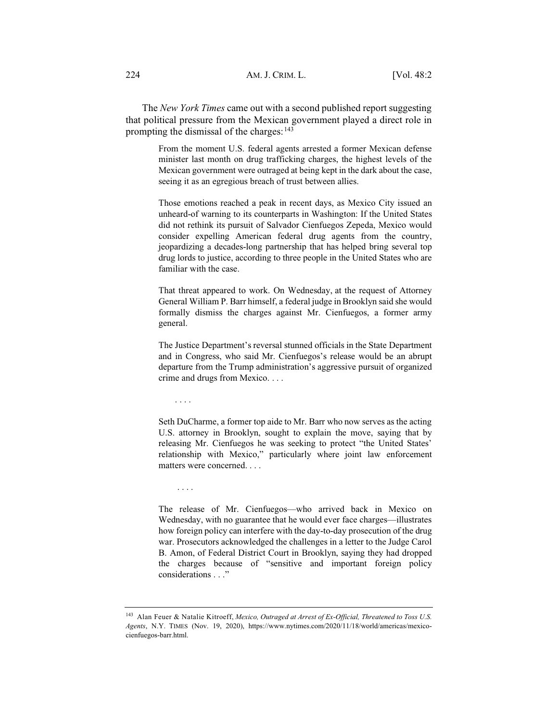The *New York Times* came out with a second published report suggesting that political pressure from the Mexican government played a direct role in prompting the dismissal of the charges:  $143$ 

> From the moment U.S. federal agents arrested a former Mexican defense minister last month on drug trafficking charges, the highest levels of the Mexican government were outraged at being kept in the dark about the case, seeing it as an egregious breach of trust between allies.

> Those emotions reached a peak in recent days, as Mexico City issued an unheard-of warning to its counterparts in Washington: If the United States did not rethink its pursuit of Salvador Cienfuegos Zepeda, Mexico would consider expelling American federal drug agents from the country, jeopardizing a decades-long partnership that has helped bring several top drug lords to justice, according to three people in the United States who are familiar with the case.

> That threat appeared to work. On Wednesday, at the request of Attorney General William P. Barr himself, a federal judge in Brooklyn said she would formally dismiss the charges against Mr. Cienfuegos, a former army general.

> The Justice Department's reversal stunned officials in the State Department and in Congress, who said Mr. Cienfuegos's release would be an abrupt departure from the Trump administration's aggressive pursuit of organized crime and drugs from Mexico. . . .

....

....

Seth DuCharme, a former top aide to Mr. Barr who now serves as the acting U.S. attorney in Brooklyn, sought to explain the move, saying that by releasing Mr. Cienfuegos he was seeking to protect "the United States' relationship with Mexico," particularly where joint law enforcement matters were concerned. . . .

The release of Mr. Cienfuegos—who arrived back in Mexico on Wednesday, with no guarantee that he would ever face charges—illustrates how foreign policy can interfere with the day-to-day prosecution of the drug war. Prosecutors acknowledged the challenges in a letter to the Judge Carol B. Amon, of Federal District Court in Brooklyn, saying they had dropped the charges because of "sensitive and important foreign policy considerations . . ."

<sup>143</sup> Alan Feuer & Natalie Kitroeff, *Mexico, Outraged at Arrest of Ex-Official, Threatened to Toss U.S. Agents*, N.Y. TIMES (Nov. 19, 2020), https://www.nytimes.com/2020/11/18/world/americas/mexicocienfuegos-barr.html.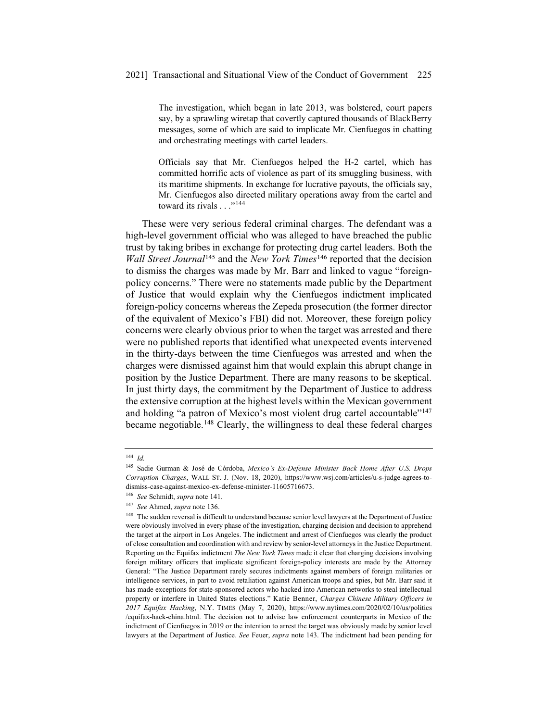The investigation, which began in late 2013, was bolstered, court papers say, by a sprawling wiretap that covertly captured thousands of BlackBerry messages, some of which are said to implicate Mr. Cienfuegos in chatting and orchestrating meetings with cartel leaders.

Officials say that Mr. Cienfuegos helped the H-2 cartel, which has committed horrific acts of violence as part of its smuggling business, with its maritime shipments. In exchange for lucrative payouts, the officials say, Mr. Cienfuegos also directed military operations away from the cartel and toward its rivals . . ."<sup>144</sup>

These were very serious federal criminal charges. The defendant was a high-level government official who was alleged to have breached the public trust by taking bribes in exchange for protecting drug cartel leaders. Both the *Wall Street Journal*<sup>145</sup> and the *New York Times*<sup>146</sup> reported that the decision to dismiss the charges was made by Mr. Barr and linked to vague "foreignpolicy concerns." There were no statements made public by the Department of Justice that would explain why the Cienfuegos indictment implicated foreign-policy concerns whereas the Zepeda prosecution (the former director of the equivalent of Mexico's FBI) did not. Moreover, these foreign policy concerns were clearly obvious prior to when the target was arrested and there were no published reports that identified what unexpected events intervened in the thirty-days between the time Cienfuegos was arrested and when the charges were dismissed against him that would explain this abrupt change in position by the Justice Department. There are many reasons to be skeptical. In just thirty days, the commitment by the Department of Justice to address the extensive corruption at the highest levels within the Mexican government and holding "a patron of Mexico's most violent drug cartel accountable"147 became negotiable.<sup>148</sup> Clearly, the willingness to deal these federal charges

<sup>144</sup> *Id.*

<sup>145</sup> Sadie Gurman & José de Córdoba, *Mexico's Ex-Defense Minister Back Home After U.S. Drops Corruption Charges*, WALL ST. J. (Nov. 18, 2020), https://www.wsj.com/articles/u-s-judge-agrees-todismiss-case-against-mexico-ex-defense-minister-11605716673.

<sup>146</sup> *See* Schmidt, *supra* note 141.

<sup>147</sup> *See* Ahmed, *supra* note 136.

<sup>&</sup>lt;sup>148</sup> The sudden reversal is difficult to understand because senior level lawyers at the Department of Justice were obviously involved in every phase of the investigation, charging decision and decision to apprehend the target at the airport in Los Angeles. The indictment and arrest of Cienfuegos was clearly the product of close consultation and coordination with and review by senior-level attorneys in the Justice Department. Reporting on the Equifax indictment *The New York Times* made it clear that charging decisions involving foreign military officers that implicate significant foreign-policy interests are made by the Attorney General: "The Justice Department rarely secures indictments against members of foreign militaries or intelligence services, in part to avoid retaliation against American troops and spies, but Mr. Barr said it has made exceptions for state-sponsored actors who hacked into American networks to steal intellectual property or interfere in United States elections." Katie Benner, *Charges Chinese Military Officers in 2017 Equifax Hacking*, N.Y. TIMES (May 7, 2020), https://www.nytimes.com/2020/02/10/us/politics /equifax-hack-china.html. The decision not to advise law enforcement counterparts in Mexico of the indictment of Cienfuegos in 2019 or the intention to arrest the target was obviously made by senior level lawyers at the Department of Justice. *See* Feuer, *supra* note 143. The indictment had been pending for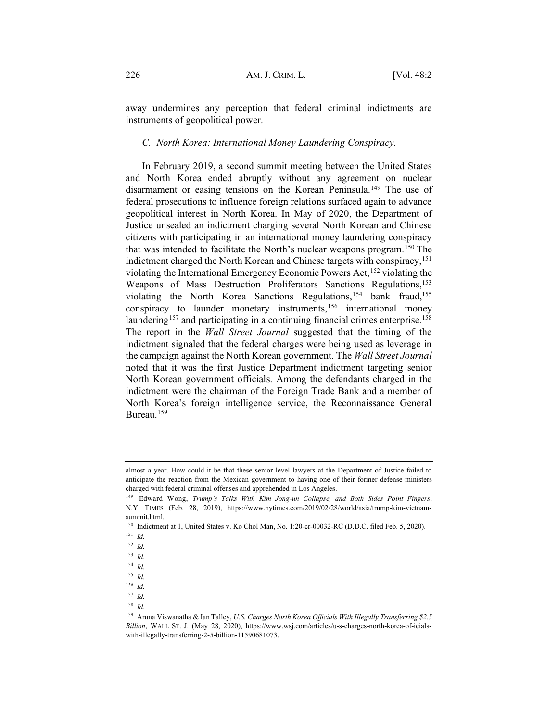away undermines any perception that federal criminal indictments are instruments of geopolitical power.

#### *C. North Korea: International Money Laundering Conspiracy.*

In February 2019, a second summit meeting between the United States and North Korea ended abruptly without any agreement on nuclear disarmament or easing tensions on the Korean Peninsula.<sup>149</sup> The use of federal prosecutions to influence foreign relations surfaced again to advance geopolitical interest in North Korea. In May of 2020, the Department of Justice unsealed an indictment charging several North Korean and Chinese citizens with participating in an international money laundering conspiracy that was intended to facilitate the North's nuclear weapons program.150 The indictment charged the North Korean and Chinese targets with conspiracy,<sup>151</sup> violating the International Emergency Economic Powers Act,<sup>152</sup> violating the Weapons of Mass Destruction Proliferators Sanctions Regulations,<sup>153</sup> violating the North Korea Sanctions Regulations,<sup>154</sup> bank fraud,<sup>155</sup> conspiracy to launder monetary instruments,<sup>156</sup> international money laundering<sup>157</sup> and participating in a continuing financial crimes enterprise.<sup>158</sup> The report in the *Wall Street Journal* suggested that the timing of the indictment signaled that the federal charges were being used as leverage in the campaign against the North Korean government. The *Wall Street Journal* noted that it was the first Justice Department indictment targeting senior North Korean government officials. Among the defendants charged in the indictment were the chairman of the Foreign Trade Bank and a member of North Korea's foreign intelligence service, the Reconnaissance General Bureau.<sup>159</sup>

almost a year. How could it be that these senior level lawyers at the Department of Justice failed to anticipate the reaction from the Mexican government to having one of their former defense ministers charged with federal criminal offenses and apprehended in Los Angeles.

<sup>149</sup> Edward Wong, *Trump's Talks With Kim Jong-un Collapse, and Both Sides Point Fingers*, N.Y. TIMES (Feb. 28, 2019), https://www.nytimes.com/2019/02/28/world/asia/trump-kim-vietnamsummit.html.

<sup>150</sup> Indictment at 1, United States v. Ko Chol Man, No. 1:20-cr-00032-RC (D.D.C. filed Feb. 5, 2020). <sup>151</sup> *Id.*

<sup>152</sup> *Id.*

<sup>153</sup> *Id.*

<sup>154</sup> *Id.*

<sup>155</sup> *Id.*

<sup>156</sup> *Id.*

<sup>157</sup> *Id.*

<sup>158</sup> *Id.*

<sup>159</sup> Aruna Viswanatha & Ian Talley, *U.S. Charges North Korea Officials With Illegally Transferring \$2.5 Billion*, WALL ST. J. (May 28, 2020), https://www.wsj.com/articles/u-s-charges-north-korea-of-icialswith-illegally-transferring-2-5-billion-11590681073.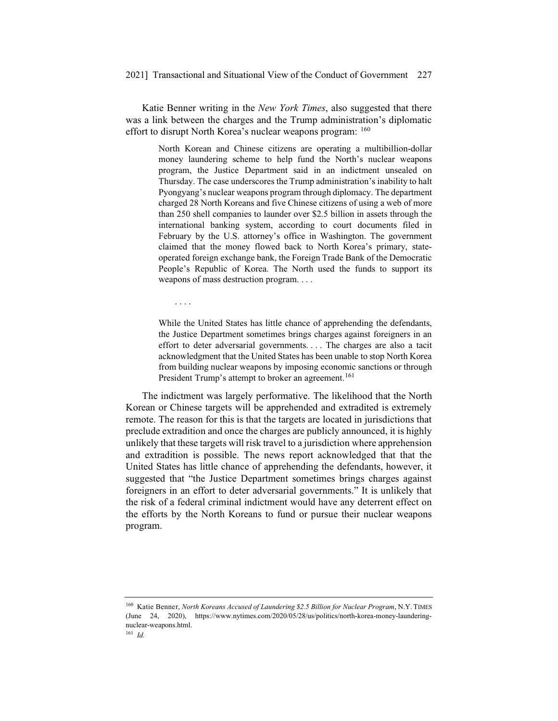Katie Benner writing in the *New York Times*, also suggested that there was a link between the charges and the Trump administration's diplomatic effort to disrupt North Korea's nuclear weapons program: 160

> North Korean and Chinese citizens are operating a multibillion-dollar money laundering scheme to help fund the North's nuclear weapons program, the Justice Department said in an indictment unsealed on Thursday. The case underscores the Trump administration's inability to halt Pyongyang's nuclear weapons program through diplomacy. The department charged 28 North Koreans and five Chinese citizens of using a web of more than 250 shell companies to launder over \$2.5 billion in assets through the international banking system, according to court documents filed in February by the U.S. attorney's office in Washington. The government claimed that the money flowed back to North Korea's primary, stateoperated foreign exchange bank, the Foreign Trade Bank of the Democratic People's Republic of Korea. The North used the funds to support its weapons of mass destruction program....

....

While the United States has little chance of apprehending the defendants, the Justice Department sometimes brings charges against foreigners in an effort to deter adversarial governments. . . . The charges are also a tacit acknowledgment that the United States has been unable to stop North Korea from building nuclear weapons by imposing economic sanctions or through President Trump's attempt to broker an agreement.<sup>161</sup>

The indictment was largely performative. The likelihood that the North Korean or Chinese targets will be apprehended and extradited is extremely remote. The reason for this is that the targets are located in jurisdictions that preclude extradition and once the charges are publicly announced, it is highly unlikely that these targets will risk travel to a jurisdiction where apprehension and extradition is possible. The news report acknowledged that that the United States has little chance of apprehending the defendants, however, it suggested that "the Justice Department sometimes brings charges against foreigners in an effort to deter adversarial governments." It is unlikely that the risk of a federal criminal indictment would have any deterrent effect on the efforts by the North Koreans to fund or pursue their nuclear weapons program.

<sup>160</sup> Katie Benner, *North Koreans Accused of Laundering \$2.5 Billion for Nuclear Program*, N.Y. TIMES (June 24, 2020), https://www.nytimes.com/2020/05/28/us/politics/north-korea-money-launderingnuclear-weapons.html.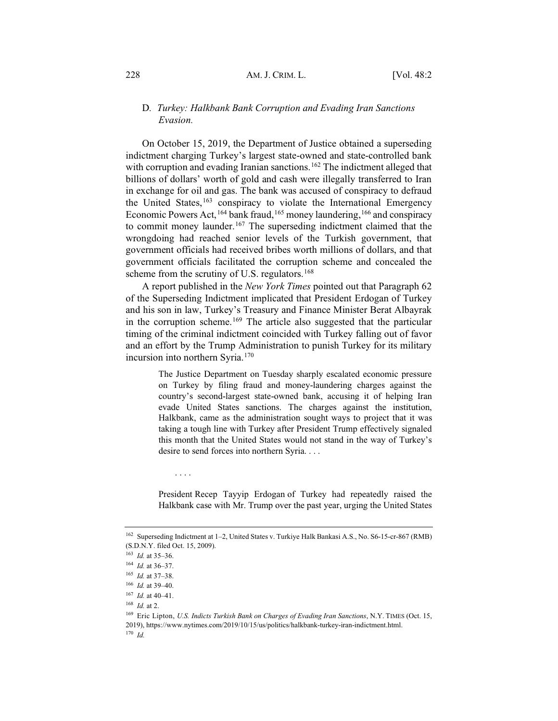### D*. Turkey: Halkbank Bank Corruption and Evading Iran Sanctions Evasion.*

On October 15, 2019, the Department of Justice obtained a superseding indictment charging Turkey's largest state-owned and state-controlled bank with corruption and evading Iranian sanctions.<sup>162</sup> The indictment alleged that billions of dollars' worth of gold and cash were illegally transferred to Iran in exchange for oil and gas. The bank was accused of conspiracy to defraud the United States,<sup>163</sup> conspiracy to violate the International Emergency Economic Powers Act,  $^{164}$  bank fraud,  $^{165}$  money laundering,  $^{166}$  and conspiracy to commit money launder.<sup>167</sup> The superseding indictment claimed that the wrongdoing had reached senior levels of the Turkish government, that government officials had received bribes worth millions of dollars, and that government officials facilitated the corruption scheme and concealed the scheme from the scrutiny of U.S. regulators.<sup>168</sup>

A report published in the *New York Times* pointed out that Paragraph 62 of the Superseding Indictment implicated that President Erdogan of Turkey and his son in law, Turkey's Treasury and Finance Minister Berat Albayrak in the corruption scheme.<sup>169</sup> The article also suggested that the particular timing of the criminal indictment coincided with Turkey falling out of favor and an effort by the Trump Administration to punish Turkey for its military incursion into northern Syria.<sup>170</sup>

> The Justice Department on Tuesday sharply escalated economic pressure on Turkey by filing fraud and money-laundering charges against the country's second-largest state-owned bank, accusing it of helping Iran evade United States sanctions. The charges against the institution, Halkbank, came as the administration sought ways to project that it was taking a tough line with Turkey after President Trump effectively signaled this month that the United States would not stand in the way of Turkey's desire to send forces into northern Syria. . . .

> President Recep Tayyip Erdogan of Turkey had repeatedly raised the Halkbank case with Mr. Trump over the past year, urging the United States

....

<sup>162</sup> Superseding Indictment at 1–2, United States v. Turkiye Halk Bankasi A.S., No. S6-15-cr-867 (RMB) (S.D.N.Y. filed Oct. 15, 2009).

<sup>163</sup> *Id.* at 35–36.

<sup>164</sup> *Id.* at 36–37.

<sup>165</sup> *Id.* at 37–38.

<sup>166</sup> *Id.* at 39–40.

<sup>167</sup> *Id.* at 40–41.

<sup>168</sup> *Id.* at 2.

<sup>169</sup> Eric Lipton, *U.S. Indicts Turkish Bank on Charges of Evading Iran Sanctions*, N.Y. TIMES (Oct. 15, 2019), https://www.nytimes.com/2019/10/15/us/politics/halkbank-turkey-iran-indictment.html. <sup>170</sup> *Id.*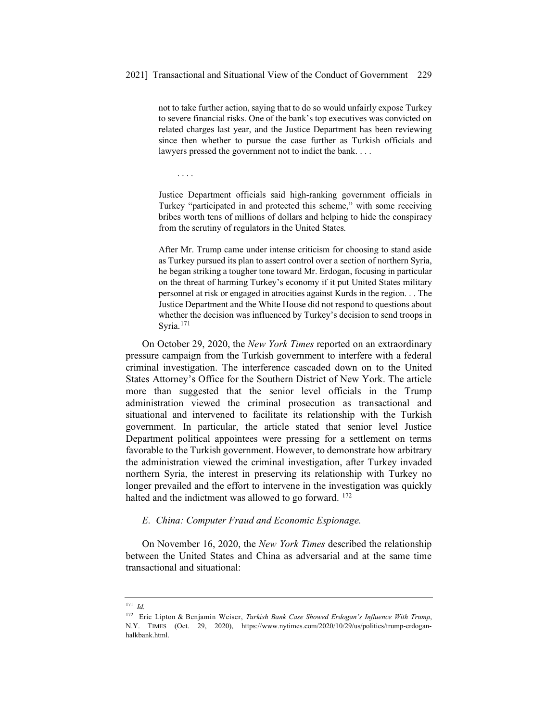not to take further action, saying that to do so would unfairly expose Turkey to severe financial risks. One of the bank's top executives was convicted on related charges last year, and the Justice Department has been reviewing since then whether to pursue the case further as Turkish officials and lawyers pressed the government not to indict the bank. . . .

....

Justice Department officials said high-ranking government officials in Turkey "participated in and protected this scheme," with some receiving bribes worth tens of millions of dollars and helping to hide the conspiracy from the scrutiny of regulators in the United States.

After Mr. Trump came under intense criticism for choosing to stand aside as Turkey pursued its plan to assert control over a section of northern Syria, he began striking a tougher tone toward Mr. Erdogan, focusing in particular on the threat of harming Turkey's economy if it put United States military personnel at risk or engaged in atrocities against Kurds in the region. . . The Justice Department and the White House did not respond to questions about whether the decision was influenced by Turkey's decision to send troops in Syria.<sup>171</sup>

On October 29, 2020, the *New York Times* reported on an extraordinary pressure campaign from the Turkish government to interfere with a federal criminal investigation. The interference cascaded down on to the United States Attorney's Office for the Southern District of New York. The article more than suggested that the senior level officials in the Trump administration viewed the criminal prosecution as transactional and situational and intervened to facilitate its relationship with the Turkish government. In particular, the article stated that senior level Justice Department political appointees were pressing for a settlement on terms favorable to the Turkish government. However, to demonstrate how arbitrary the administration viewed the criminal investigation, after Turkey invaded northern Syria, the interest in preserving its relationship with Turkey no longer prevailed and the effort to intervene in the investigation was quickly halted and the indictment was allowed to go forward. <sup>172</sup>

## *E. China: Computer Fraud and Economic Espionage.*

On November 16, 2020, the *New York Times* described the relationship between the United States and China as adversarial and at the same time transactional and situational:

<sup>171</sup> *Id.*

<sup>172</sup> Eric Lipton & Benjamin Weiser, *Turkish Bank Case Showed Erdogan's Influence With Trump*, N.Y. TIMES (Oct. 29, 2020), https://www.nytimes.com/2020/10/29/us/politics/trump-erdoganhalkbank.html.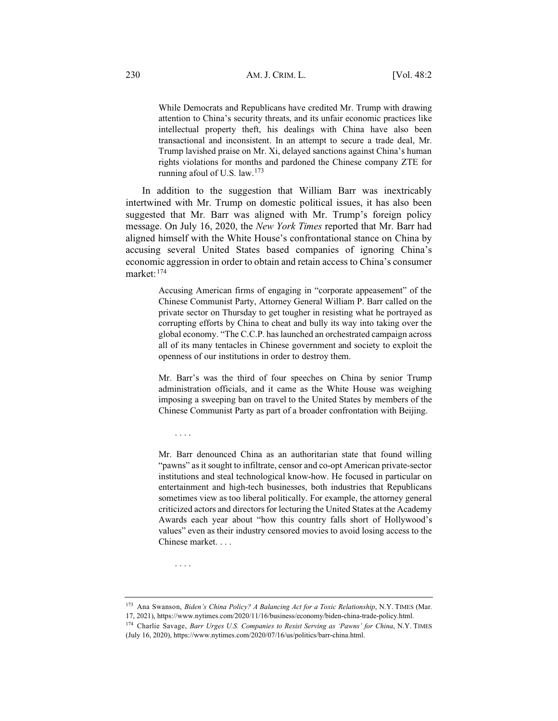While Democrats and Republicans have credited Mr. Trump with drawing attention to China's security threats, and its unfair economic practices like intellectual property theft, his dealings with China have also been transactional and inconsistent. In an attempt to secure a trade deal, Mr. Trump lavished praise on Mr. Xi, delayed sanctions against China's human rights violations for months and pardoned the Chinese company ZTE for running afoul of U.S. law.<sup>173</sup>

In addition to the suggestion that William Barr was inextricably intertwined with Mr. Trump on domestic political issues, it has also been suggested that Mr. Barr was aligned with Mr. Trump's foreign policy message. On July 16, 2020, the *New York Times* reported that Mr. Barr had aligned himself with the White House's confrontational stance on China by accusing several United States based companies of ignoring China's economic aggression in order to obtain and retain access to China's consumer market:174

> Accusing American firms of engaging in "corporate appeasement" of the Chinese Communist Party, Attorney General William P. Barr called on the private sector on Thursday to get tougher in resisting what he portrayed as corrupting efforts by China to cheat and bully its way into taking over the global economy. "The C.C.P. has launched an orchestrated campaign across all of its many tentacles in Chinese government and society to exploit the openness of our institutions in order to destroy them.

> Mr. Barr's was the third of four speeches on China by senior Trump administration officials, and it came as the White House was weighing imposing a sweeping ban on travel to the United States by members of the Chinese Communist Party as part of a broader confrontation with Beijing.

> Mr. Barr denounced China as an authoritarian state that found willing "pawns" as it sought to infiltrate, censor and co-opt American private-sector institutions and steal technological know-how. He focused in particular on entertainment and high-tech businesses, both industries that Republicans sometimes view as too liberal politically. For example, the attorney general criticized actors and directors for lecturing the United States at the Academy Awards each year about "how this country falls short of Hollywood's values" even as their industry censored movies to avoid losing access to the Chinese market. . . .

<sup>173</sup> Ana Swanson, *Biden's China Policy? A Balancing Act for a Toxic Relationship*, N.Y. TIMES (Mar.

17, 2021), https://www.nytimes.com/2020/11/16/business/economy/biden-china-trade-policy.html.

....

....

<sup>174</sup> Charlie Savage, *Barr Urges U.S. Companies to Resist Serving as 'Pawns' for China*, N.Y. TIMES (July 16, 2020), https://www.nytimes.com/2020/07/16/us/politics/barr-china.html.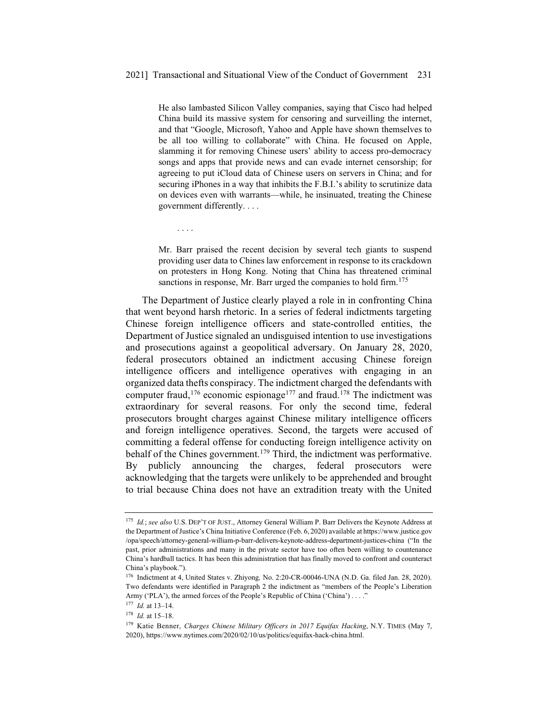He also lambasted Silicon Valley companies, saying that Cisco had helped China build its massive system for censoring and surveilling the internet, and that "Google, Microsoft, Yahoo and Apple have shown themselves to be all too willing to collaborate" with China. He focused on Apple, slamming it for removing Chinese users' ability to access pro-democracy songs and apps that provide news and can evade internet censorship; for agreeing to put iCloud data of Chinese users on servers in China; and for securing iPhones in a way that inhibits the F.B.I.'s ability to scrutinize data on devices even with warrants—while, he insinuated, treating the Chinese government differently....

....

Mr. Barr praised the recent decision by several tech giants to suspend providing user data to Chines law enforcement in response to its crackdown on protesters in Hong Kong. Noting that China has threatened criminal sanctions in response, Mr. Barr urged the companies to hold firm.<sup>175</sup>

The Department of Justice clearly played a role in in confronting China that went beyond harsh rhetoric. In a series of federal indictments targeting Chinese foreign intelligence officers and state-controlled entities, the Department of Justice signaled an undisguised intention to use investigations and prosecutions against a geopolitical adversary. On January 28, 2020, federal prosecutors obtained an indictment accusing Chinese foreign intelligence officers and intelligence operatives with engaging in an organized data thefts conspiracy. The indictment charged the defendants with computer fraud,<sup>176</sup> economic espionage<sup>177</sup> and fraud.<sup>178</sup> The indictment was extraordinary for several reasons. For only the second time, federal prosecutors brought charges against Chinese military intelligence officers and foreign intelligence operatives. Second, the targets were accused of committing a federal offense for conducting foreign intelligence activity on behalf of the Chines government.179 Third, the indictment was performative. By publicly announcing the charges, federal prosecutors were acknowledging that the targets were unlikely to be apprehended and brought to trial because China does not have an extradition treaty with the United

<sup>175</sup> *Id.*; *see also* U.S. DEP'T OF JUST., Attorney General William P. Barr Delivers the Keynote Address at the Department of Justice's China Initiative Conference (Feb. 6, 2020) available at https://www.justice.gov /opa/speech/attorney-general-william-p-barr-delivers-keynote-address-department-justices-china ("In the past, prior administrations and many in the private sector have too often been willing to countenance China's hardball tactics. It has been this administration that has finally moved to confront and counteract China's playbook.").

<sup>176</sup> Indictment at 4, United States v. Zhiyong*,* No. 2:20-CR-00046-UNA (N.D. Ga. filed Jan. 28, 2020). Two defendants were identified in Paragraph 2 the indictment as "members of the People's Liberation Army ('PLA'), the armed forces of the People's Republic of China ('China') . . . ."

<sup>177</sup> *Id.* at 13–14.

<sup>178</sup> *Id.* at 15–18.

<sup>179</sup> Katie Benner, *Charges Chinese Military Officers in 2017 Equifax Hacking*, N.Y. TIMES (May 7, 2020), https://www.nytimes.com/2020/02/10/us/politics/equifax-hack-china.html.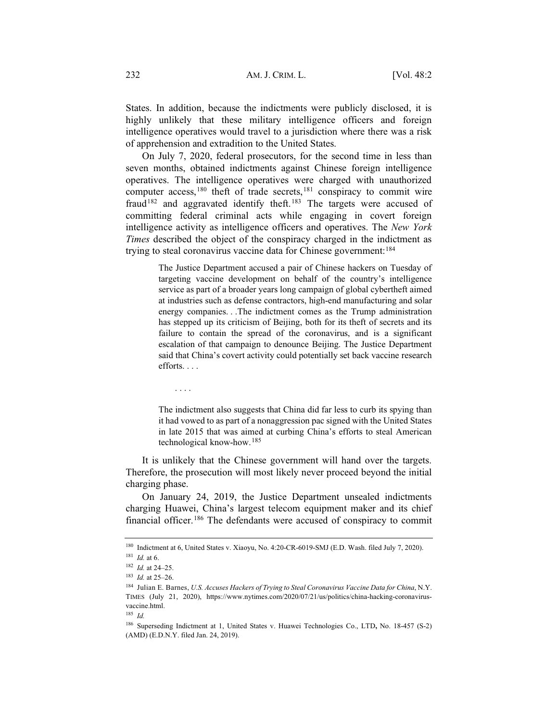States. In addition, because the indictments were publicly disclosed, it is highly unlikely that these military intelligence officers and foreign intelligence operatives would travel to a jurisdiction where there was a risk of apprehension and extradition to the United States.

On July 7, 2020, federal prosecutors, for the second time in less than seven months, obtained indictments against Chinese foreign intelligence operatives. The intelligence operatives were charged with unauthorized computer access,<sup>180</sup> theft of trade secrets,<sup>181</sup> conspiracy to commit wire fraud<sup>182</sup> and aggravated identify theft.<sup>183</sup> The targets were accused of committing federal criminal acts while engaging in covert foreign intelligence activity as intelligence officers and operatives. The *New York Times* described the object of the conspiracy charged in the indictment as trying to steal coronavirus vaccine data for Chinese government:<sup>184</sup>

> The Justice Department accused a pair of Chinese hackers on Tuesday of targeting vaccine development on behalf of the country's intelligence service as part of a broader years long campaign of global cybertheft aimed at industries such as defense contractors, high-end manufacturing and solar energy companies. . .The indictment comes as the Trump administration has stepped up its criticism of Beijing, both for its theft of secrets and its failure to contain the spread of the coronavirus, and is a significant escalation of that campaign to denounce Beijing. The Justice Department said that China's covert activity could potentially set back vaccine research efforts. . . .

The indictment also suggests that China did far less to curb its spying than it had vowed to as part of a nonaggression pac signed with the United States in late 2015 that was aimed at curbing China's efforts to steal American technological know-how.<sup>185</sup>

It is unlikely that the Chinese government will hand over the targets. Therefore, the prosecution will most likely never proceed beyond the initial charging phase.

On January 24, 2019, the Justice Department unsealed indictments charging Huawei, China's largest telecom equipment maker and its chief financial officer.<sup>186</sup> The defendants were accused of conspiracy to commit

....

<sup>180</sup> Indictment at 6, United States v. Xiaoyu, No. 4:20-CR-6019-SMJ (E.D. Wash. filed July 7, 2020). <sup>181</sup> *Id.* at 6.

<sup>182</sup> *Id.* at 24–25.

<sup>183</sup> *Id.* at 25–26.

<sup>184</sup> Julian E. Barnes, *U.S. Accuses Hackers of Trying to Steal Coronavirus Vaccine Data for China*, N.Y. TIMES (July 21, 2020), https://www.nytimes.com/2020/07/21/us/politics/china-hacking-coronavirusvaccine.html.

<sup>185</sup> *Id.*

<sup>186</sup> Superseding Indictment at 1, United States v. Huawei Technologies Co., LTD**,** No. 18-457 (S-2) (AMD) (E.D.N.Y. filed Jan. 24, 2019).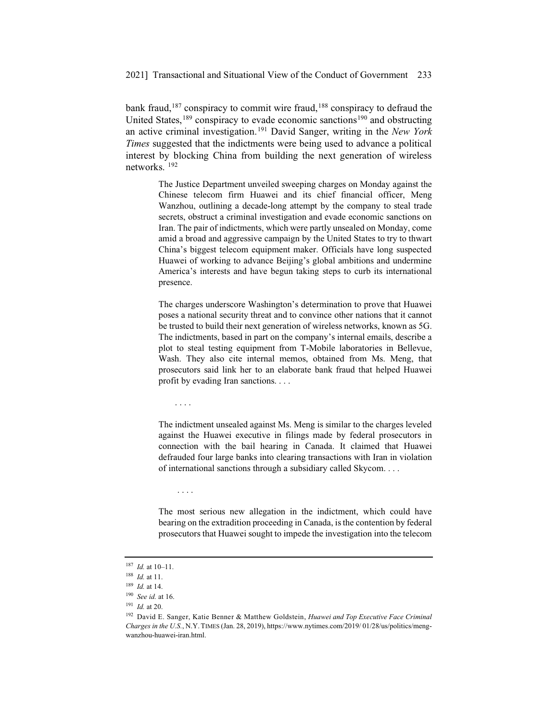bank fraud,<sup>187</sup> conspiracy to commit wire fraud,<sup>188</sup> conspiracy to defraud the United States, $189$  conspiracy to evade economic sanctions<sup>190</sup> and obstructing an active criminal investigation.191 David Sanger, writing in the *New York Times* suggested that the indictments were being used to advance a political interest by blocking China from building the next generation of wireless networks. 192

> The Justice Department unveiled sweeping charges on Monday against the Chinese telecom firm Huawei and its chief financial officer, Meng Wanzhou, outlining a decade-long attempt by the company to steal trade secrets, obstruct a criminal investigation and evade economic sanctions on Iran. The pair of indictments, which were partly unsealed on Monday, come amid a broad and aggressive campaign by the United States to try to thwart China's biggest telecom equipment maker. Officials have long suspected Huawei of working to advance Beijing's global ambitions and undermine America's interests and have begun taking steps to curb its international presence.

> The charges underscore Washington's determination to prove that Huawei poses a national security threat and to convince other nations that it cannot be trusted to build their next generation of wireless networks, known as 5G. The indictments, based in part on the company's internal emails, describe a plot to steal testing equipment from T-Mobile laboratories in Bellevue, Wash. They also cite internal memos, obtained from Ms. Meng, that prosecutors said link her to an elaborate bank fraud that helped Huawei profit by evading Iran sanctions. . . .

> The indictment unsealed against Ms. Meng is similar to the charges leveled against the Huawei executive in filings made by federal prosecutors in connection with the bail hearing in Canada. It claimed that Huawei defrauded four large banks into clearing transactions with Iran in violation of international sanctions through a subsidiary called Skycom....

....

....

The most serious new allegation in the indictment, which could have bearing on the extradition proceeding in Canada, is the contention by federal prosecutors that Huawei sought to impede the investigation into the telecom

<sup>187</sup> *Id.* at 10–11.

<sup>188</sup> *Id.* at 11.

<sup>189</sup> *Id.* at 14.

<sup>190</sup> *See id.* at 16.

<sup>191</sup> *Id.* at 20.

<sup>192</sup> David E. Sanger, Katie Benner & Matthew Goldstein, *Huawei and Top Executive Face Criminal Charges in the U.S.*, N.Y. TIMES (Jan. 28, 2019), https://www.nytimes.com/2019/ 01/28/us/politics/mengwanzhou-huawei-iran.html.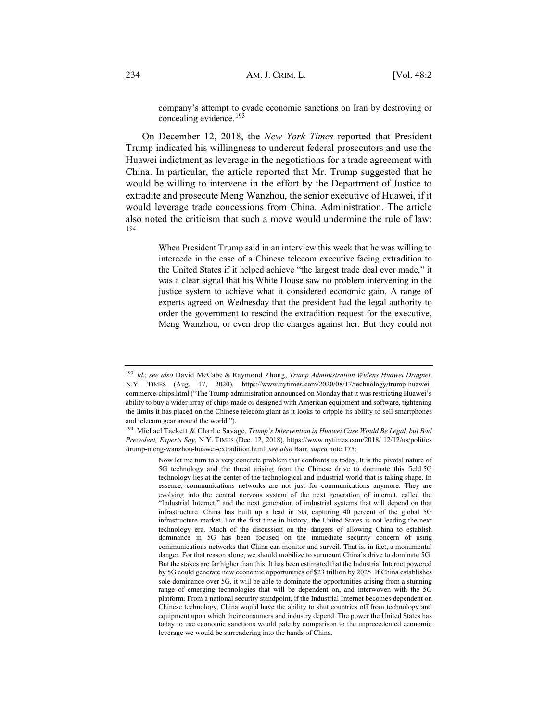company's attempt to evade economic sanctions on Iran by destroying or concealing evidence.<sup>193</sup>

On December 12, 2018, the *New York Times* reported that President Trump indicated his willingness to undercut federal prosecutors and use the Huawei indictment as leverage in the negotiations for a trade agreement with China. In particular, the article reported that Mr. Trump suggested that he would be willing to intervene in the effort by the Department of Justice to extradite and prosecute Meng Wanzhou, the senior executive of Huawei, if it would leverage trade concessions from China. Administration. The article also noted the criticism that such a move would undermine the rule of law: 194

> When President Trump said in an interview this week that he was willing to intercede in the case of a Chinese telecom executive facing extradition to the United States if it helped achieve "the largest trade deal ever made," it was a clear signal that his White House saw no problem intervening in the justice system to achieve what it considered economic gain. A range of experts agreed on Wednesday that the president had the legal authority to order the government to rescind the extradition request for the executive, Meng Wanzhou, or even drop the charges against her. But they could not

<sup>193</sup> *Id.*; *see also* David McCabe & Raymond Zhong, *Trump Administration Widens Huawei Dragnet*, N.Y. TIMES (Aug. 17, 2020), https://www.nytimes.com/2020/08/17/technology/trump-huaweicommerce-chips.html ("The Trump administration announced on Monday that it was restricting Huawei's ability to buy a wider array of chips made or designed with American equipment and software, tightening the limits it has placed on the Chinese telecom giant as it looks to cripple its ability to sell smartphones and telecom gear around the world.").

<sup>194</sup> Michael Tackett & Charlie Savage, *Trump's Intervention in Huawei Case Would Be Legal, but Bad Precedent, Experts Say*, N.Y. TIMES (Dec. 12, 2018), https://www.nytimes.com/2018/ 12/12/us/politics /trump-meng-wanzhou-huawei-extradition.html; *see also* Barr, *supra* note 175:

Now let me turn to a very concrete problem that confronts us today. It is the pivotal nature of 5G technology and the threat arising from the Chinese drive to dominate this field.5G technology lies at the center of the technological and industrial world that is taking shape. In essence, communications networks are not just for communications anymore. They are evolving into the central nervous system of the next generation of internet, called the "Industrial Internet," and the next generation of industrial systems that will depend on that infrastructure. China has built up a lead in 5G, capturing 40 percent of the global 5G infrastructure market. For the first time in history, the United States is not leading the next technology era. Much of the discussion on the dangers of allowing China to establish dominance in 5G has been focused on the immediate security concern of using communications networks that China can monitor and surveil. That is, in fact, a monumental danger. For that reason alone, we should mobilize to surmount China's drive to dominate 5G. But the stakes are far higher than this. It has been estimated that the Industrial Internet powered by 5G could generate new economic opportunities of \$23 trillion by 2025. If China establishes sole dominance over 5G, it will be able to dominate the opportunities arising from a stunning range of emerging technologies that will be dependent on, and interwoven with the 5G platform. From a national security standpoint, if the Industrial Internet becomes dependent on Chinese technology, China would have the ability to shut countries off from technology and equipment upon which their consumers and industry depend. The power the United States has today to use economic sanctions would pale by comparison to the unprecedented economic leverage we would be surrendering into the hands of China.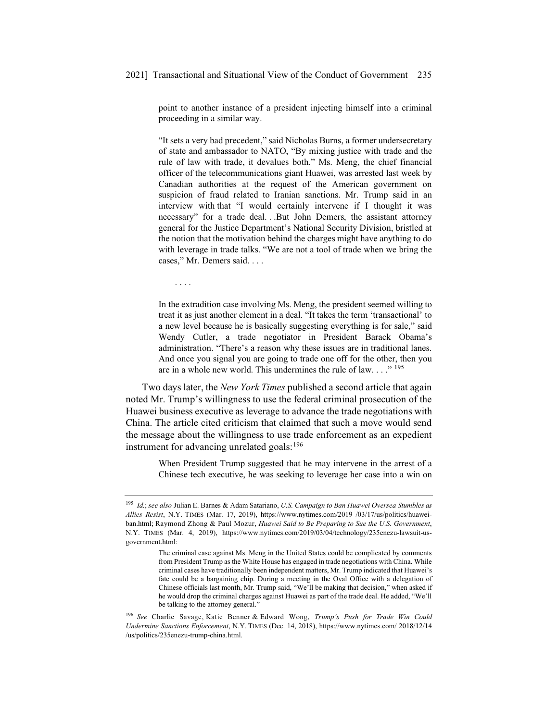point to another instance of a president injecting himself into a criminal proceeding in a similar way.

"It sets a very bad precedent," said Nicholas Burns, a former undersecretary of state and ambassador to NATO, "By mixing justice with trade and the rule of law with trade, it devalues both." Ms. Meng, the chief financial officer of the telecommunications giant Huawei, was arrested last week by Canadian authorities at the request of the American government on suspicion of fraud related to Iranian sanctions. Mr. Trump said in an interview with that "I would certainly intervene if I thought it was necessary" for a trade deal. . .But John Demers, the assistant attorney general for the Justice Department's National Security Division, bristled at the notion that the motivation behind the charges might have anything to do with leverage in trade talks. "We are not a tool of trade when we bring the cases," Mr. Demers said. . . .

In the extradition case involving Ms. Meng, the president seemed willing to treat it as just another element in a deal. "It takes the term 'transactional' to a new level because he is basically suggesting everything is for sale," said Wendy Cutler, a trade negotiator in President Barack Obama's administration. "There's a reason why these issues are in traditional lanes. And once you signal you are going to trade one off for the other, then you are in a whole new world. This undermines the rule of law...."  $^{195}$ 

....

Two days later, the *New York Times* published a second article that again noted Mr. Trump's willingness to use the federal criminal prosecution of the Huawei business executive as leverage to advance the trade negotiations with China. The article cited criticism that claimed that such a move would send the message about the willingness to use trade enforcement as an expedient instrument for advancing unrelated goals: $196$ 

> When President Trump suggested that he may intervene in the arrest of a Chinese tech executive, he was seeking to leverage her case into a win on

<sup>195</sup> *Id.*; *see also* Julian E. Barnes & Adam Satariano, *U.S. Campaign to Ban Huawei Oversea Stumbles as Allies Resist*, N.Y. TIMES (Mar. 17, 2019), https://www.nytimes.com/2019 /03/17/us/politics/huaweiban.html; Raymond Zhong & Paul Mozur, *Huawei Said to Be Preparing to Sue the U.S. Government*, N.Y. TIMES (Mar. 4, 2019), https://www.nytimes.com/2019/03/04/technology/235enezu-lawsuit-usgovernment.html:

The criminal case against Ms. Meng in the United States could be complicated by comments from President Trump as the White House has engaged in trade negotiations with China. While criminal cases have traditionally been independent matters, Mr. Trump indicated that Huawei's fate could be a bargaining chip. During a meeting in the Oval Office with a delegation of Chinese officials last month, Mr. Trump said, "We'll be making that decision," when asked if he would drop the criminal charges against Huawei as part of the trade deal. He added, "We'll be talking to the attorney general."

<sup>196</sup> *See* Charlie Savage, Katie Benner & Edward Wong, *Trump's Push for Trade Win Could Undermine Sanctions Enforcement*, N.Y. TIMES (Dec. 14, 2018), https://www.nytimes.com/ 2018/12/14 /us/politics/235enezu-trump-china.html.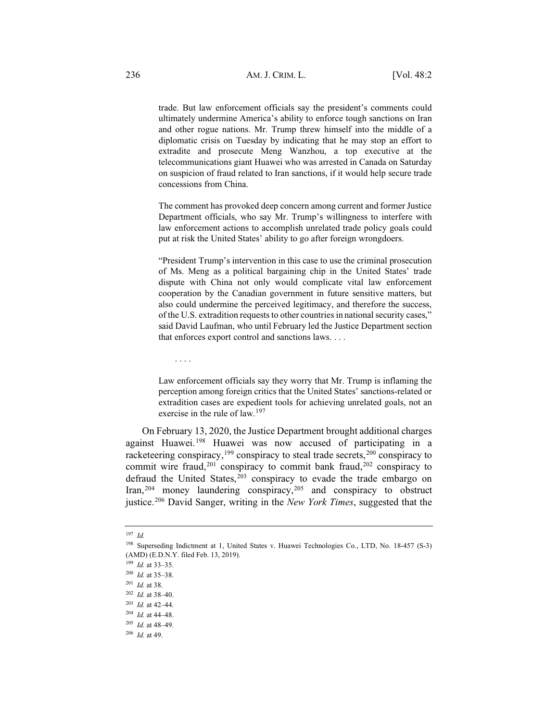trade. But law enforcement officials say the president's comments could ultimately undermine America's ability to enforce tough sanctions on Iran and other rogue nations. Mr. Trump threw himself into the middle of a diplomatic crisis on Tuesday by indicating that he may stop an effort to extradite and prosecute Meng Wanzhou, a top executive at the telecommunications giant Huawei who was arrested in Canada on Saturday on suspicion of fraud related to Iran sanctions, if it would help secure trade concessions from China.

The comment has provoked deep concern among current and former Justice Department officials, who say Mr. Trump's willingness to interfere with law enforcement actions to accomplish unrelated trade policy goals could put at risk the United States' ability to go after foreign wrongdoers.

"President Trump's intervention in this case to use the criminal prosecution of Ms. Meng as a political bargaining chip in the United States' trade dispute with China not only would complicate vital law enforcement cooperation by the Canadian government in future sensitive matters, but also could undermine the perceived legitimacy, and therefore the success, of the U.S. extradition requests to other countries in national security cases," said David Laufman, who until February led the Justice Department section that enforces export control and sanctions laws. . . .

Law enforcement officials say they worry that Mr. Trump is inflaming the perception among foreign critics that the United States' sanctions-related or extradition cases are expedient tools for achieving unrelated goals, not an exercise in the rule of law.<sup>197</sup>

On February 13, 2020, the Justice Department brought additional charges against Huawei.198 Huawei was now accused of participating in a racketeering conspiracy,<sup>199</sup> conspiracy to steal trade secrets,<sup>200</sup> conspiracy to commit wire fraud,<sup>201</sup> conspiracy to commit bank fraud,<sup>202</sup> conspiracy to defraud the United States, $203$  conspiracy to evade the trade embargo on Iran,<sup>204</sup> money laundering conspiracy,<sup>205</sup> and conspiracy to obstruct justice.206 David Sanger, writing in the *New York Times*, suggested that the

....

<sup>197</sup> *Id.*

<sup>198</sup> Superseding Indictment at 1, United States v. Huawei Technologies Co., LTD, No. 18-457 (S-3) (AMD) (E.D.N.Y. filed Feb. 13, 2019).

<sup>199</sup> *Id.* at 33–35.

<sup>200</sup> *Id.* at 35–38.

<sup>201</sup> *Id.* at 38.

<sup>202</sup> *Id.* at 38–40.

<sup>203</sup> *Id.* at 42–44.

<sup>204</sup> *Id.* at 44–48.

<sup>205</sup> *Id.* at 48–49.

<sup>206</sup> *Id.* at 49.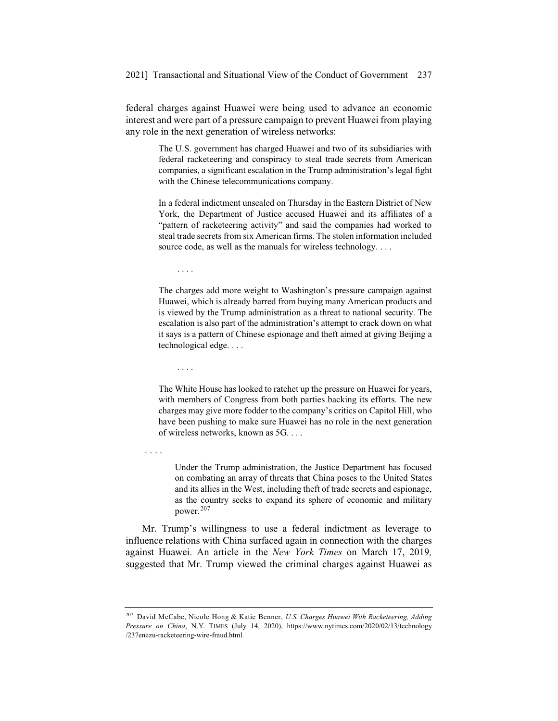federal charges against Huawei were being used to advance an economic interest and were part of a pressure campaign to prevent Huawei from playing any role in the next generation of wireless networks:

> The U.S. government has charged Huawei and two of its subsidiaries with federal racketeering and conspiracy to steal trade secrets from American companies, a significant escalation in the Trump administration's legal fight with the Chinese telecommunications company.

> In a federal indictment unsealed on Thursday in the Eastern District of New York, the Department of Justice accused Huawei and its affiliates of a "pattern of racketeering activity" and said the companies had worked to steal trade secrets from six American firms. The stolen information included source code, as well as the manuals for wireless technology....

....

The charges add more weight to Washington's pressure campaign against Huawei, which is already barred from buying many American products and is viewed by the Trump administration as a threat to national security. The escalation is also part of the administration's attempt to crack down on what it says is a pattern of Chinese espionage and theft aimed at giving Beijing a technological edge. . . .

....

The White House has looked to ratchet up the pressure on Huawei for years, with members of Congress from both parties backing its efforts. The new charges may give more fodder to the company's critics on Capitol Hill, who have been pushing to make sure Huawei has no role in the next generation of wireless networks, known as 5G....

....

Under the Trump administration, the Justice Department has focused on combating an array of threats that China poses to the United States and its allies in the West, including theft of trade secrets and espionage, as the country seeks to expand its sphere of economic and military power.<sup>207</sup>

Mr. Trump's willingness to use a federal indictment as leverage to influence relations with China surfaced again in connection with the charges against Huawei. An article in the *New York Times* on March 17, 2019*,* suggested that Mr. Trump viewed the criminal charges against Huawei as

<sup>207</sup> David McCabe, Nicole Hong & Katie Benner, *U.S. Charges Huawei With Racketeering, Adding Pressure on China*, N.Y. TIMES (July 14, 2020), https://www.nytimes.com/2020/02/13/technology /237enezu-racketeering-wire-fraud.html.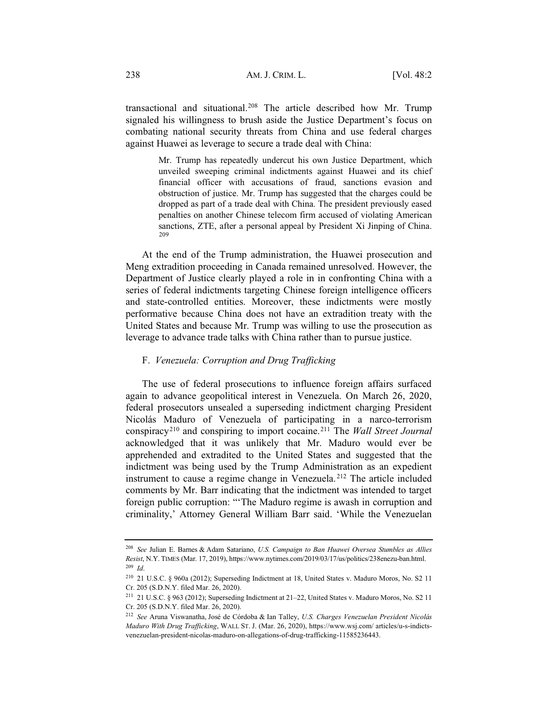transactional and situational.208 The article described how Mr. Trump signaled his willingness to brush aside the Justice Department's focus on combating national security threats from China and use federal charges against Huawei as leverage to secure a trade deal with China:

> Mr. Trump has repeatedly undercut his own Justice Department, which unveiled sweeping criminal indictments against Huawei and its chief financial officer with accusations of fraud, sanctions evasion and obstruction of justice. Mr. Trump has suggested that the charges could be dropped as part of a trade deal with China. The president previously eased penalties on another Chinese telecom firm accused of violating American sanctions, ZTE, after a personal appeal by President Xi Jinping of China. 209

At the end of the Trump administration, the Huawei prosecution and Meng extradition proceeding in Canada remained unresolved. However, the Department of Justice clearly played a role in in confronting China with a series of federal indictments targeting Chinese foreign intelligence officers and state-controlled entities. Moreover, these indictments were mostly performative because China does not have an extradition treaty with the United States and because Mr. Trump was willing to use the prosecution as leverage to advance trade talks with China rather than to pursue justice.

#### F. *Venezuela: Corruption and Drug Trafficking*

The use of federal prosecutions to influence foreign affairs surfaced again to advance geopolitical interest in Venezuela. On March 26, 2020, federal prosecutors unsealed a superseding indictment charging President Nicolás Maduro of Venezuela of participating in a narco-terrorism conspiracy210 and conspiring to import cocaine.211 The *Wall Street Journal* acknowledged that it was unlikely that Mr. Maduro would ever be apprehended and extradited to the United States and suggested that the indictment was being used by the Trump Administration as an expedient instrument to cause a regime change in Venezuela. <sup>212</sup> The article included comments by Mr. Barr indicating that the indictment was intended to target foreign public corruption: "'The Maduro regime is awash in corruption and criminality,' Attorney General William Barr said. 'While the Venezuelan

<sup>208</sup> *See* Julian E. Barnes & Adam Satariano, *U.S. Campaign to Ban Huawei Oversea Stumbles as Allies Resist*, N.Y. TIMES (Mar. 17, 2019), https://www.nytimes.com/2019/03/17/us/politics/238enezu-ban.html. <sup>209</sup> *Id*.

<sup>210</sup> 21 U.S.C. § 960a (2012); Superseding Indictment at 18, United States v. Maduro Moros, No. S2 11 Cr. 205 (S.D.N.Y. filed Mar. 26, 2020).

<sup>211</sup> 21 U.S.C. § 963 (2012); Superseding Indictment at 21–22, United States v. Maduro Moros, No. S2 11 Cr. 205 (S.D.N.Y. filed Mar. 26, 2020).

<sup>212</sup> *See* Aruna Viswanatha, José de Córdoba & Ian Talley, *U.S. Charges Venezuelan President Nicolás Maduro With Drug Trafficking*, WALL ST. J. (Mar. 26, 2020), https://www.wsj.com/ articles/u-s-indictsvenezuelan-president-nicolas-maduro-on-allegations-of-drug-trafficking-11585236443.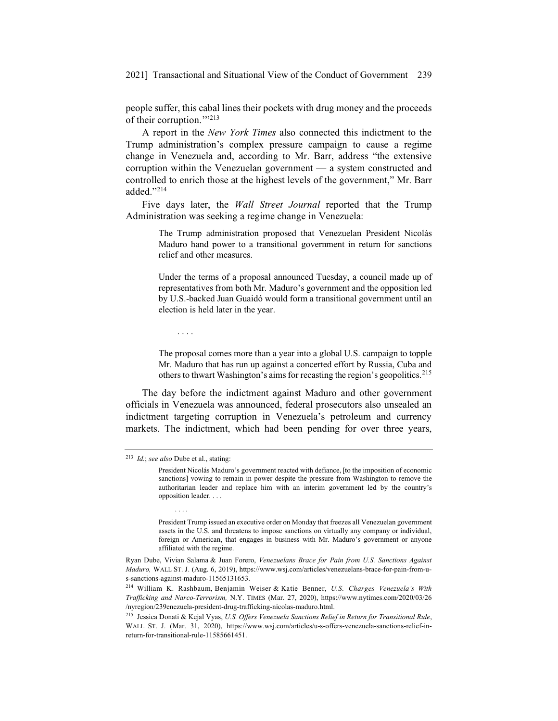people suffer, this cabal lines their pockets with drug money and the proceeds of their corruption."<sup>213</sup>

A report in the *New York Times* also connected this indictment to the Trump administration's complex pressure campaign to cause a regime change in Venezuela and, according to Mr. Barr, address "the extensive corruption within the Venezuelan government — a system constructed and controlled to enrich those at the highest levels of the government," Mr. Barr added."214

Five days later, the *Wall Street Journal* reported that the Trump Administration was seeking a regime change in Venezuela:

> The Trump administration proposed that Venezuelan President Nicolás Maduro hand power to a transitional government in return for sanctions relief and other measures.

> Under the terms of a proposal announced Tuesday, a council made up of representatives from both Mr. Maduro's government and the opposition led by U.S.-backed Juan Guaidó would form a transitional government until an election is held later in the year.

....

The proposal comes more than a year into a global U.S. campaign to topple Mr. Maduro that has run up against a concerted effort by Russia, Cuba and others to thwart Washington's aims for recasting the region's geopolitics.<sup>215</sup>

The day before the indictment against Maduro and other government officials in Venezuela was announced, federal prosecutors also unsealed an indictment targeting corruption in Venezuela's petroleum and currency markets. The indictment, which had been pending for over three years,

....

<sup>213</sup> *Id.*; *see also* Dube et al., stating:

President Nicolás Maduro's government reacted with defiance, [to the imposition of economic sanctions] vowing to remain in power despite the pressure from Washington to remove the authoritarian leader and replace him with an interim government led by the country's opposition leader....

President Trump issued an executive order on Monday that freezes all Venezuelan government assets in the U.S. and threatens to impose sanctions on virtually any company or individual, foreign or American, that engages in business with Mr. Maduro's government or anyone affiliated with the regime.

Ryan Dube, Vivian Salama & Juan Forero, *Venezuelans Brace for Pain from U.S. Sanctions Against Maduro,* WALL ST. J. (Aug. 6, 2019), https://www.wsj.com/articles/venezuelans-brace-for-pain-from-us-sanctions-against-maduro-11565131653.

<sup>214</sup> William K. Rashbaum, Benjamin Weiser & Katie Benner, *U.S. Charges Venezuela's With Trafficking and Narco-Terrorism,* N.Y. TIMES (Mar. 27, 2020), https://www.nytimes.com/2020/03/26 /nyregion/239enezuela-president-drug-trafficking-nicolas-maduro.html.

<sup>215</sup> Jessica Donati & Kejal Vyas, *U.S. Offers Venezuela Sanctions Relief in Return for Transitional Rule*, WALL ST. J. (Mar. 31, 2020), https://www.wsj.com/articles/u-s-offers-venezuela-sanctions-relief-inreturn-for-transitional-rule-11585661451.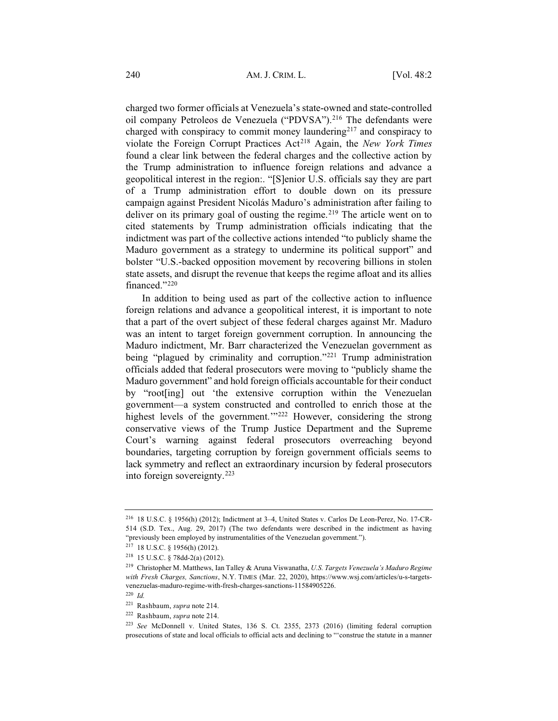charged two former officials at Venezuela's state-owned and state-controlled oil company Petroleos de Venezuela ("PDVSA").<sup>216</sup> The defendants were charged with conspiracy to commit money laundering217 and conspiracy to violate the Foreign Corrupt Practices Act<sup>218</sup> Again, the *New York Times* found a clear link between the federal charges and the collective action by the Trump administration to influence foreign relations and advance a geopolitical interest in the region:. "[S]enior U.S. officials say they are part of a Trump administration effort to double down on its pressure campaign against President Nicolás Maduro's administration after failing to deliver on its primary goal of ousting the regime.<sup>219</sup> The article went on to cited statements by Trump administration officials indicating that the indictment was part of the collective actions intended "to publicly shame the Maduro government as a strategy to undermine its political support" and bolster "U.S.-backed opposition movement by recovering billions in stolen state assets, and disrupt the revenue that keeps the regime afloat and its allies financed."220

In addition to being used as part of the collective action to influence foreign relations and advance a geopolitical interest, it is important to note that a part of the overt subject of these federal charges against Mr. Maduro was an intent to target foreign government corruption. In announcing the Maduro indictment, Mr. Barr characterized the Venezuelan government as being "plagued by criminality and corruption."<sup>221</sup> Trump administration officials added that federal prosecutors were moving to "publicly shame the Maduro government" and hold foreign officials accountable for their conduct by "root[ing] out 'the extensive corruption within the Venezuelan government—a system constructed and controlled to enrich those at the highest levels of the government.<sup>'"222</sup> However, considering the strong conservative views of the Trump Justice Department and the Supreme Court's warning against federal prosecutors overreaching beyond boundaries, targeting corruption by foreign government officials seems to lack symmetry and reflect an extraordinary incursion by federal prosecutors into foreign sovereignty.223

<sup>216</sup> 18 U.S.C. § 1956(h) (2012); Indictment at 3–4, United States v. Carlos De Leon-Perez, No. 17-CR-514 (S.D. Tex., Aug. 29, 2017) (The two defendants were described in the indictment as having "previously been employed by instrumentalities of the Venezuelan government.").

<sup>217</sup> 18 U.S.C. § 1956(h) (2012).

<sup>218</sup> 15 U.S.C. § 78dd-2(a) (2012).

<sup>219</sup> Christopher M. Matthews, Ian Talley & Aruna Viswanatha, *U.S. Targets Venezuela's Maduro Regime with Fresh Charges, Sanctions*, N.Y. TIMES (Mar. 22, 2020), https://www.wsj.com/articles/u-s-targetsvenezuelas-maduro-regime-with-fresh-charges-sanctions-11584905226.

<sup>220</sup> *Id.*

<sup>221</sup> Rashbaum, *supra* note 214.

<sup>222</sup> Rashbaum, *supra* note 214.

<sup>223</sup> *See* McDonnell v. United States, 136 S. Ct. 2355, 2373 (2016) (limiting federal corruption prosecutions of state and local officials to official acts and declining to "'construe the statute in a manner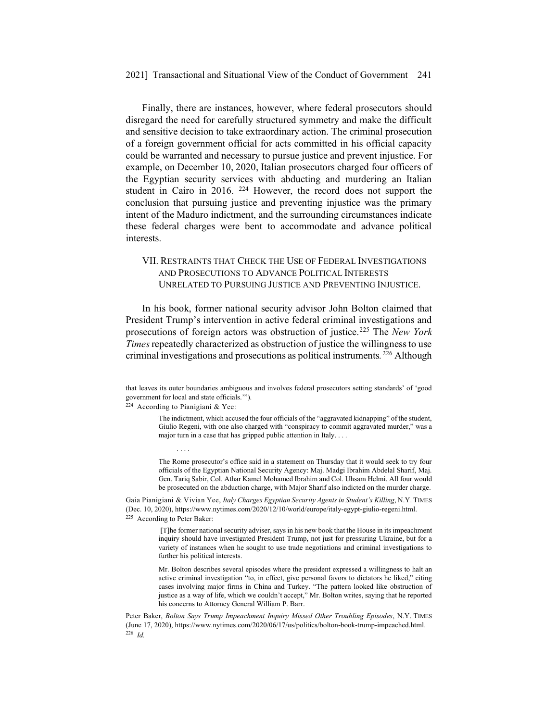Finally, there are instances, however, where federal prosecutors should disregard the need for carefully structured symmetry and make the difficult and sensitive decision to take extraordinary action. The criminal prosecution of a foreign government official for acts committed in his official capacity could be warranted and necessary to pursue justice and prevent injustice. For example, on December 10, 2020, Italian prosecutors charged four officers of the Egyptian security services with abducting and murdering an Italian student in Cairo in 2016. 224 However, the record does not support the conclusion that pursuing justice and preventing injustice was the primary intent of the Maduro indictment, and the surrounding circumstances indicate these federal charges were bent to accommodate and advance political interests.

# VII. RESTRAINTS THAT CHECK THE USE OF FEDERAL INVESTIGATIONS AND PROSECUTIONS TO ADVANCE POLITICAL INTERESTS UNRELATED TO PURSUING JUSTICE AND PREVENTING INJUSTICE.

In his book, former national security advisor John Bolton claimed that President Trump's intervention in active federal criminal investigations and prosecutions of foreign actors was obstruction of justice.225 The *New York Times* repeatedly characterized as obstruction of justice the willingness to use criminal investigations and prosecutions as political instruments*.*<sup>226</sup> Although

<sup>224</sup> According to Pianigiani & Yee:

....

The Rome prosecutor's office said in a statement on Thursday that it would seek to try four officials of the Egyptian National Security Agency: Maj. Madgi Ibrahim Abdelal Sharif, Maj. Gen. Tariq Sabir, Col. Athar Kamel Mohamed Ibrahim and Col. Uhsam Helmi. All four would be prosecuted on the abduction charge, with Major Sharif also indicted on the murder charge.

Gaia Pianigiani & Vivian Yee, *Italy Charges Egyptian Security Agents in Student's Killing*, N.Y. TIMES (Dec. 10, 2020), https://www.nytimes.com/2020/12/10/world/europe/italy-egypt-giulio-regeni.html. <sup>225</sup> According to Peter Baker:

> [T]he former national security adviser, says in his new book that the House in its impeachment inquiry should have investigated President Trump, not just for pressuring Ukraine, but for a variety of instances when he sought to use trade negotiations and criminal investigations to further his political interests.

> Mr. Bolton describes several episodes where the president expressed a willingness to halt an active criminal investigation "to, in effect, give personal favors to dictators he liked," citing cases involving major firms in China and Turkey. "The pattern looked like obstruction of justice as a way of life, which we couldn't accept," Mr. Bolton writes, saying that he reported his concerns to Attorney General William P. Barr.

Peter Baker, *Bolton Says Trump Impeachment Inquiry Missed Other Troubling Episodes*, N.Y. TIMES (June 17, 2020), https://www.nytimes.com/2020/06/17/us/politics/bolton-book-trump-impeached.html. <sup>226</sup> *Id.*

that leaves its outer boundaries ambiguous and involves federal prosecutors setting standards' of 'good government for local and state officials.'").

The indictment, which accused the four officials of the "aggravated kidnapping" of the student, Giulio Regeni, with one also charged with "conspiracy to commit aggravated murder," was a major turn in a case that has gripped public attention in Italy. . . .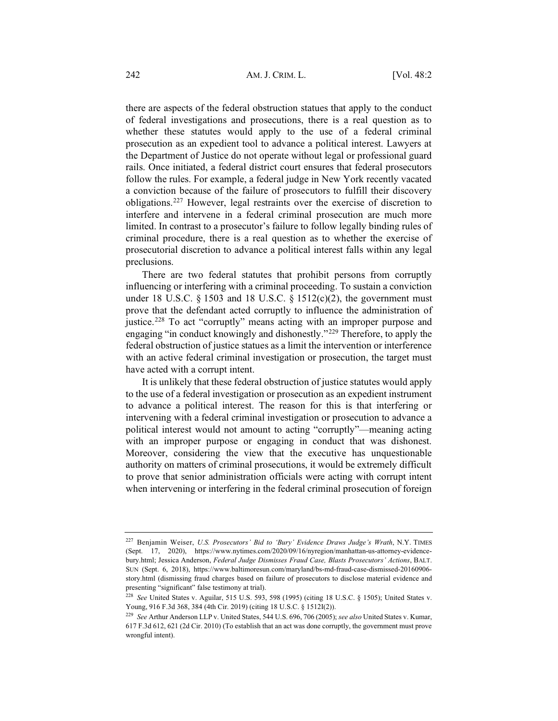there are aspects of the federal obstruction statues that apply to the conduct of federal investigations and prosecutions, there is a real question as to whether these statutes would apply to the use of a federal criminal prosecution as an expedient tool to advance a political interest. Lawyers at the Department of Justice do not operate without legal or professional guard rails. Once initiated, a federal district court ensures that federal prosecutors follow the rules. For example, a federal judge in New York recently vacated a conviction because of the failure of prosecutors to fulfill their discovery obligations.227 However, legal restraints over the exercise of discretion to interfere and intervene in a federal criminal prosecution are much more limited. In contrast to a prosecutor's failure to follow legally binding rules of criminal procedure, there is a real question as to whether the exercise of prosecutorial discretion to advance a political interest falls within any legal preclusions.

There are two federal statutes that prohibit persons from corruptly influencing or interfering with a criminal proceeding. To sustain a conviction under 18 U.S.C.  $\S$  1503 and 18 U.S.C.  $\S$  1512(c)(2), the government must prove that the defendant acted corruptly to influence the administration of justice.<sup>228</sup> To act "corruptly" means acting with an improper purpose and engaging "in conduct knowingly and dishonestly."229 Therefore, to apply the federal obstruction of justice statues as a limit the intervention or interference with an active federal criminal investigation or prosecution, the target must have acted with a corrupt intent.

It is unlikely that these federal obstruction of justice statutes would apply to the use of a federal investigation or prosecution as an expedient instrument to advance a political interest. The reason for this is that interfering or intervening with a federal criminal investigation or prosecution to advance a political interest would not amount to acting "corruptly"—meaning acting with an improper purpose or engaging in conduct that was dishonest. Moreover, considering the view that the executive has unquestionable authority on matters of criminal prosecutions, it would be extremely difficult to prove that senior administration officials were acting with corrupt intent when intervening or interfering in the federal criminal prosecution of foreign

<sup>227</sup> Benjamin Weiser, *U.S. Prosecutors' Bid to 'Bury' Evidence Draws Judge's Wrath*, N.Y. TIMES (Sept. 17, 2020), https://www.nytimes.com/2020/09/16/nyregion/manhattan-us-attorney-evidencebury.html; Jessica Anderson, *Federal Judge Dismisses Fraud Case, Blasts Prosecutors' Actions*, BALT. SUN (Sept. 6, 2018), https://www.baltimoresun.com/maryland/bs-md-fraud-case-dismissed-20160906 story.html (dismissing fraud charges based on failure of prosecutors to disclose material evidence and presenting "significant" false testimony at trial).

<sup>228</sup> *See* United States v. Aguilar, 515 U.S. 593, 598 (1995) (citing 18 U.S.C. § 1505); United States v. Young, 916 F.3d 368, 384 (4th Cir. 2019) (citing 18 U.S.C. § 1512I(2)).

<sup>229</sup> *See* Arthur Anderson LLP v. United States, 544 U.S. 696, 706 (2005); *see also* United States v. Kumar, 617 F.3d 612, 621 (2d Cir. 2010) (To establish that an act was done corruptly, the government must prove wrongful intent).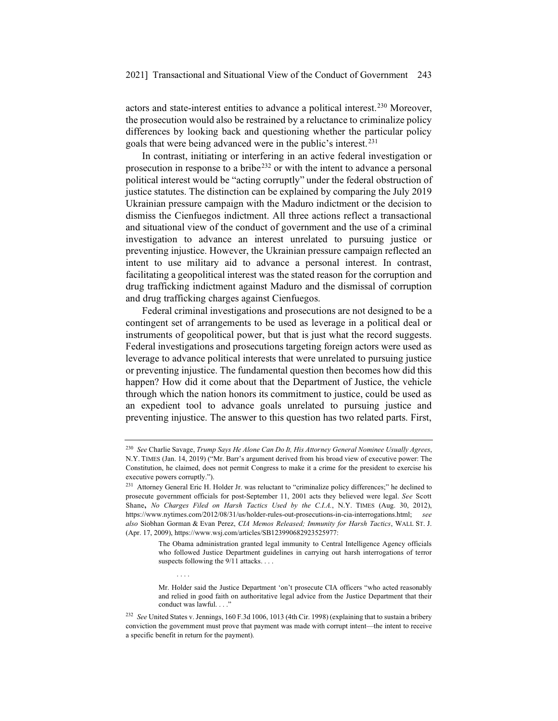actors and state-interest entities to advance a political interest.230 Moreover, the prosecution would also be restrained by a reluctance to criminalize policy differences by looking back and questioning whether the particular policy goals that were being advanced were in the public's interest.231

In contrast, initiating or interfering in an active federal investigation or prosecution in response to a bribe<sup>232</sup> or with the intent to advance a personal political interest would be "acting corruptly" under the federal obstruction of justice statutes. The distinction can be explained by comparing the July 2019 Ukrainian pressure campaign with the Maduro indictment or the decision to dismiss the Cienfuegos indictment. All three actions reflect a transactional and situational view of the conduct of government and the use of a criminal investigation to advance an interest unrelated to pursuing justice or preventing injustice. However, the Ukrainian pressure campaign reflected an intent to use military aid to advance a personal interest. In contrast, facilitating a geopolitical interest was the stated reason for the corruption and drug trafficking indictment against Maduro and the dismissal of corruption and drug trafficking charges against Cienfuegos.

Federal criminal investigations and prosecutions are not designed to be a contingent set of arrangements to be used as leverage in a political deal or instruments of geopolitical power, but that is just what the record suggests. Federal investigations and prosecutions targeting foreign actors were used as leverage to advance political interests that were unrelated to pursuing justice or preventing injustice. The fundamental question then becomes how did this happen? How did it come about that the Department of Justice, the vehicle through which the nation honors its commitment to justice, could be used as an expedient tool to advance goals unrelated to pursuing justice and preventing injustice. The answer to this question has two related parts. First,

....

<sup>230</sup> *See* Charlie Savage, *Trump Says He Alone Can Do It, His Attorney General Nominee Usually Agrees*, N.Y. TIMES (Jan. 14, 2019) ("Mr. Barr's argument derived from his broad view of executive power: The Constitution, he claimed, does not permit Congress to make it a crime for the president to exercise his executive powers corruptly.").

<sup>231</sup> Attorney General Eric H. Holder Jr. was reluctant to "criminalize policy differences;" he declined to prosecute government officials for post-September 11, 2001 acts they believed were legal. *See* Scott Shane**,** *No Charges Filed on Harsh Tactics Used by the C.I.A.*, N.Y. TIMES (Aug. 30, 2012), https://www.nytimes.com/2012/08/31/us/holder-rules-out-prosecutions-in-cia-interrogations.html; *see also* Siobhan Gorman & Evan Perez, *CIA Memos Released; Immunity for Harsh Tactics*, WALL ST. J. (Apr. 17, 2009), https://www.wsj.com/articles/SB123990682923525977:

The Obama administration granted legal immunity to Central Intelligence Agency officials who followed Justice Department guidelines in carrying out harsh interrogations of terror suspects following the 9/11 attacks. . . .

Mr. Holder said the Justice Department 'on't prosecute CIA officers "who acted reasonably and relied in good faith on authoritative legal advice from the Justice Department that their conduct was lawful...

<sup>232</sup> *See* United States v. Jennings, 160 F.3d 1006, 1013 (4th Cir. 1998) (explaining that to sustain a bribery conviction the government must prove that payment was made with corrupt intent—the intent to receive a specific benefit in return for the payment).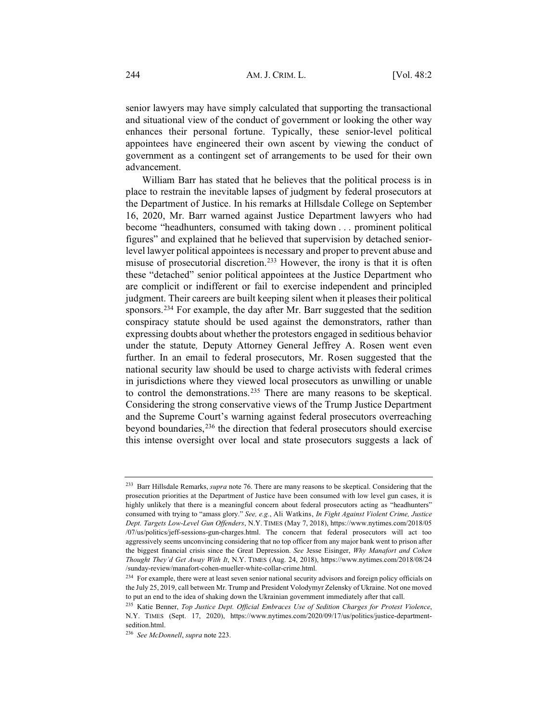senior lawyers may have simply calculated that supporting the transactional and situational view of the conduct of government or looking the other way enhances their personal fortune. Typically, these senior-level political appointees have engineered their own ascent by viewing the conduct of government as a contingent set of arrangements to be used for their own advancement.

William Barr has stated that he believes that the political process is in place to restrain the inevitable lapses of judgment by federal prosecutors at the Department of Justice. In his remarks at Hillsdale College on September 16, 2020, Mr. Barr warned against Justice Department lawyers who had become "headhunters, consumed with taking down . . . prominent political figures" and explained that he believed that supervision by detached seniorlevel lawyer political appointees is necessary and proper to prevent abuse and misuse of prosecutorial discretion.233 However, the irony is that it is often these "detached" senior political appointees at the Justice Department who are complicit or indifferent or fail to exercise independent and principled judgment. Their careers are built keeping silent when it pleases their political sponsors.234 For example, the day after Mr. Barr suggested that the sedition conspiracy statute should be used against the demonstrators, rather than expressing doubts about whether the protestors engaged in seditious behavior under the statute*,* Deputy Attorney General Jeffrey A. Rosen went even further. In an email to federal prosecutors, Mr. Rosen suggested that the national security law should be used to charge activists with federal crimes in jurisdictions where they viewed local prosecutors as unwilling or unable to control the demonstrations.235 There are many reasons to be skeptical. Considering the strong conservative views of the Trump Justice Department and the Supreme Court's warning against federal prosecutors overreaching beyond boundaries,<sup>236</sup> the direction that federal prosecutors should exercise this intense oversight over local and state prosecutors suggests a lack of

<sup>233</sup> Barr Hillsdale Remarks, *supra* note 76. There are many reasons to be skeptical. Considering that the prosecution priorities at the Department of Justice have been consumed with low level gun cases, it is highly unlikely that there is a meaningful concern about federal prosecutors acting as "headhunters" consumed with trying to "amass glory." *See, e.g.*, Ali Watkins, *In Fight Against Violent Crime, Justice Dept. Targets Low-Level Gun Offenders*, N.Y. TIMES (May 7, 2018), https://www.nytimes.com/2018/05 /07/us/politics/jeff-sessions-gun-charges.html. The concern that federal prosecutors will act too aggressively seems unconvincing considering that no top officer from any major bank went to prison after the biggest financial crisis since the Great Depression. *See* Jesse Eisinger, *Why Manafort and Cohen Thought They'd Get Away With It*, N.Y. TIMES (Aug. 24, 2018), https://www.nytimes.com/2018/08/24 /sunday-review/manafort-cohen-mueller-white-collar-crime.html.

<sup>&</sup>lt;sup>234</sup> For example, there were at least seven senior national security advisors and foreign policy officials on the July 25, 2019, call between Mr. Trump and President Volodymyr Zelensky of Ukraine. Not one moved to put an end to the idea of shaking down the Ukrainian government immediately after that call.

<sup>235</sup> Katie Benner, *Top Justice Dept. Official Embraces Use of Sedition Charges for Protest Violence*, N.Y. TIMES (Sept. 17, 2020), https://www.nytimes.com/2020/09/17/us/politics/justice-departmentsedition.html.

<sup>236</sup> *See McDonnell*, *supra* note 223.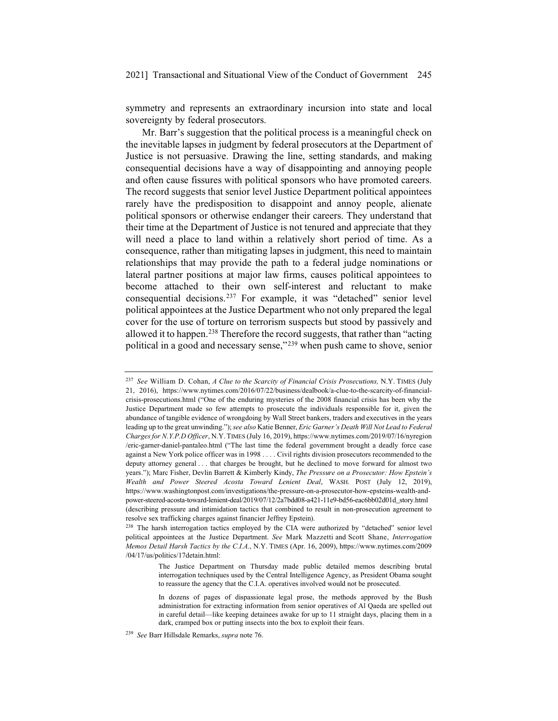symmetry and represents an extraordinary incursion into state and local sovereignty by federal prosecutors.

Mr. Barr's suggestion that the political process is a meaningful check on the inevitable lapses in judgment by federal prosecutors at the Department of Justice is not persuasive. Drawing the line, setting standards, and making consequential decisions have a way of disappointing and annoying people and often cause fissures with political sponsors who have promoted careers. The record suggests that senior level Justice Department political appointees rarely have the predisposition to disappoint and annoy people, alienate political sponsors or otherwise endanger their careers. They understand that their time at the Department of Justice is not tenured and appreciate that they will need a place to land within a relatively short period of time. As a consequence, rather than mitigating lapses in judgment, this need to maintain relationships that may provide the path to a federal judge nominations or lateral partner positions at major law firms, causes political appointees to become attached to their own self-interest and reluctant to make consequential decisions.237 For example, it was "detached" senior level political appointees at the Justice Department who not only prepared the legal cover for the use of torture on terrorism suspects but stood by passively and allowed it to happen.238 Therefore the record suggests, that rather than "acting political in a good and necessary sense,"239 when push came to shove, senior

<sup>237</sup> *See* William D. Cohan, *A Clue to the Scarcity of Financial Crisis Prosecutions,* N.Y. TIMES (July 21, 2016), https://www.nytimes.com/2016/07/22/business/dealbook/a-clue-to-the-scarcity-of-financialcrisis-prosecutions.html ("One of the enduring mysteries of the 2008 financial crisis has been why the Justice Department made so few attempts to prosecute the individuals responsible for it, given the abundance of tangible evidence of wrongdoing by Wall Street bankers, traders and executives in the years leading up to the great unwinding.");*see also* Katie Benner, *Eric Garner's Death Will Not Lead to Federal Charges for N.Y.P.D Officer*, N.Y. TIMES (July 16, 2019), https://www.nytimes.com/2019/07/16/nyregion /eric-garner-daniel-pantaleo.html ("The last time the federal government brought a deadly force case against a New York police officer was in 1998 . . . . Civil rights division prosecutors recommended to the deputy attorney general . . . that charges be brought, but he declined to move forward for almost two years."); Marc Fisher, Devlin Barrett & Kimberly Kindy, *The Pressure on a Prosecutor: How Epstein's Wealth and Power Steered Acosta Toward Lenient Deal*, WASH. POST (July 12, 2019), https://www.washingtonpost.com/investigations/the-pressure-on-a-prosecutor-how-epsteins-wealth-andpower-steered-acosta-toward-lenient-deal/2019/07/12/2a7bdd08-a421-11e9-bd56-eac6bb02d01d\_story.html (describing pressure and intimidation tactics that combined to result in non-prosecution agreement to resolve sex trafficking charges against financier Jeffrey Epstein).

<sup>&</sup>lt;sup>238</sup> The harsh interrogation tactics employed by the CIA were authorized by "detached" senior level political appointees at the Justice Department. *See* Mark Mazzetti and Scott Shane, *Interrogation Memos Detail Harsh Tactics by the C.I.A.*, N.Y. TIMES (Apr. 16, 2009), https://www.nytimes.com/2009 /04/17/us/politics/17detain.html:

The Justice Department on Thursday made public detailed memos describing brutal interrogation techniques used by the Central Intelligence Agency, as President Obama sought to reassure the agency that the C.I.A. operatives involved would not be prosecuted.

In dozens of pages of dispassionate legal prose, the methods approved by the Bush administration for extracting information from senior operatives of Al Qaeda are spelled out in careful detail—like keeping detainees awake for up to 11 straight days, placing them in a dark, cramped box or putting insects into the box to exploit their fears.

<sup>239</sup> *See* Barr Hillsdale Remarks, *supra* note 76.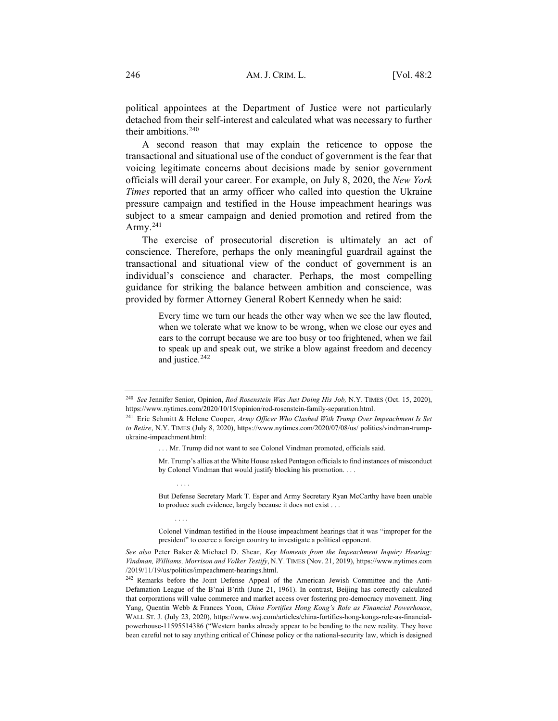political appointees at the Department of Justice were not particularly detached from their self-interest and calculated what was necessary to further their ambitions.<sup>240</sup>

A second reason that may explain the reticence to oppose the transactional and situational use of the conduct of government is the fear that voicing legitimate concerns about decisions made by senior government officials will derail your career. For example, on July 8, 2020, the *New York Times* reported that an army officer who called into question the Ukraine pressure campaign and testified in the House impeachment hearings was subject to a smear campaign and denied promotion and retired from the Army.<sup>241</sup>

The exercise of prosecutorial discretion is ultimately an act of conscience. Therefore, perhaps the only meaningful guardrail against the transactional and situational view of the conduct of government is an individual's conscience and character. Perhaps, the most compelling guidance for striking the balance between ambition and conscience, was provided by former Attorney General Robert Kennedy when he said:

> Every time we turn our heads the other way when we see the law flouted, when we tolerate what we know to be wrong, when we close our eyes and ears to the corrupt because we are too busy or too frightened, when we fail to speak up and speak out, we strike a blow against freedom and decency and justice.<sup>242</sup>

....

....

Mr. Trump's allies at the White House asked Pentagon officials to find instances of misconduct by Colonel Vindman that would justify blocking his promotion. . . .

But Defense Secretary Mark T. Esper and Army Secretary Ryan McCarthy have been unable to produce such evidence, largely because it does not exist . . .

Colonel Vindman testified in the House impeachment hearings that it was "improper for the president" to coerce a foreign country to investigate a political opponent.

*See also* Peter Baker & Michael D. Shear, *Key Moments from the Impeachment Inquiry Hearing: Vindman, Williams, Morrison and Volker Testify*, N.Y. TIMES (Nov. 21, 2019), https://www.nytimes.com /2019/11/19/us/politics/impeachment-hearings.html.

<sup>242</sup> Remarks before the Joint Defense Appeal of the American Jewish Committee and the Anti-Defamation League of the B'nai B'rith (June 21, 1961). In contrast, Beijing has correctly calculated that corporations will value commerce and market access over fostering pro-democracy movement. Jing Yang, Quentin Webb & Frances Yoon, *China Fortifies Hong Kong's Role as Financial Powerhouse*, WALL ST. J. (July 23, 2020), https://www.wsj.com/articles/china-fortifies-hong-kongs-role-as-financialpowerhouse-11595514386 ("Western banks already appear to be bending to the new reality. They have been careful not to say anything critical of Chinese policy or the national-security law, which is designed

<sup>240</sup> *See* Jennifer Senior, Opinion, *Rod Rosenstein Was Just Doing His Job,* N.Y. TIMES (Oct. 15, 2020), https://www.nytimes.com/2020/10/15/opinion/rod-rosenstein-family-separation.html.

<sup>241</sup> Eric Schmitt & Helene Cooper, *Army Officer Who Clashed With Trump Over Impeachment Is Set to Retire*, N.Y. TIMES (July 8, 2020), https://www.nytimes.com/2020/07/08/us/ politics/vindman-trumpukraine-impeachment.html:

<sup>. . .</sup> Mr. Trump did not want to see Colonel Vindman promoted, officials said.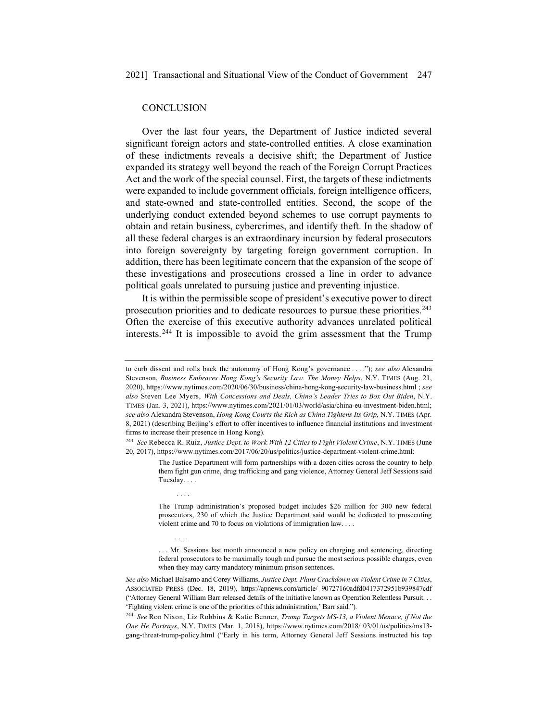#### **CONCLUSION**

....

....

Over the last four years, the Department of Justice indicted several significant foreign actors and state-controlled entities. A close examination of these indictments reveals a decisive shift; the Department of Justice expanded its strategy well beyond the reach of the Foreign Corrupt Practices Act and the work of the special counsel. First, the targets of these indictments were expanded to include government officials, foreign intelligence officers, and state-owned and state-controlled entities. Second, the scope of the underlying conduct extended beyond schemes to use corrupt payments to obtain and retain business, cybercrimes, and identify theft. In the shadow of all these federal charges is an extraordinary incursion by federal prosecutors into foreign sovereignty by targeting foreign government corruption. In addition, there has been legitimate concern that the expansion of the scope of these investigations and prosecutions crossed a line in order to advance political goals unrelated to pursuing justice and preventing injustice.

It is within the permissible scope of president's executive power to direct prosecution priorities and to dedicate resources to pursue these priorities.<sup>243</sup> Often the exercise of this executive authority advances unrelated political interests.244 It is impossible to avoid the grim assessment that the Trump

The Justice Department will form partnerships with a dozen cities across the country to help them fight gun crime, drug trafficking and gang violence, Attorney General Jeff Sessions said Tuesday. . . .

The Trump administration's proposed budget includes \$26 million for 300 new federal prosecutors, 230 of which the Justice Department said would be dedicated to prosecuting violent crime and 70 to focus on violations of immigration law. . . .

... Mr. Sessions last month announced a new policy on charging and sentencing, directing federal prosecutors to be maximally tough and pursue the most serious possible charges, even when they may carry mandatory minimum prison sentences.

*See also* Michael Balsamo and Corey Williams, *Justice Dept. Plans Crackdown on Violent Crime in 7 Cities*, ASSOCIATED PRESS (Dec. 18, 2019), https://apnews.com/article/ 90727160adfd0417372951b939847cdf ("Attorney General William Barr released details of the initiative known as Operation Relentless Pursuit. . . 'Fighting violent crime is one of the priorities of this administration,' Barr said.").

<sup>244</sup> *See* Ron Nixon, Liz Robbins & Katie Benner, *Trump Targets MS-13, a Violent Menace, if Not the One He Portrays*, N.Y. TIMES (Mar. 1, 2018), https://www.nytimes.com/2018/ 03/01/us/politics/ms13 gang-threat-trump-policy.html ("Early in his term, Attorney General Jeff Sessions instructed his top

to curb dissent and rolls back the autonomy of Hong Kong's governance . . . ."); *see also* Alexandra Stevenson, *Business Embraces Hong Kong's Security Law. The Money Helps*, N.Y. TIMES (Aug. 21, 2020), https://www.nytimes.com/2020/06/30/business/china-hong-kong-security-law-business.html ; *see also* Steven Lee Myers, *With Concessions and Deals, China's Leader Tries to Box Out Biden*, N.Y. TIMES (Jan. 3, 2021), https://www.nytimes.com/2021/01/03/world/asia/china-eu-investment-biden.html; *see also* Alexandra Stevenson, *Hong Kong Courts the Rich as China Tightens Its Grip*, N.Y. TIMES (Apr. 8, 2021) (describing Beijing's effort to offer incentives to influence financial institutions and investment firms to increase their presence in Hong Kong).

<sup>243</sup> *See* Rebecca R. Ruiz, *Justice Dept. to Work With 12 Cities to Fight Violent Crime*, N.Y. TIMES (June 20, 2017), https://www.nytimes.com/2017/06/20/us/politics/justice-department-violent-crime.html: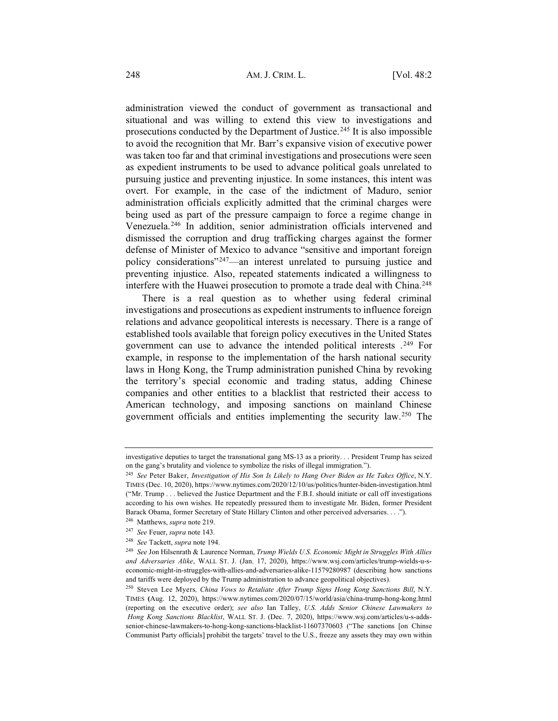administration viewed the conduct of government as transactional and situational and was willing to extend this view to investigations and prosecutions conducted by the Department of Justice.<sup>245</sup> It is also impossible to avoid the recognition that Mr. Barr's expansive vision of executive power was taken too far and that criminal investigations and prosecutions were seen as expedient instruments to be used to advance political goals unrelated to pursuing justice and preventing injustice. In some instances, this intent was overt. For example, in the case of the indictment of Maduro, senior administration officials explicitly admitted that the criminal charges were being used as part of the pressure campaign to force a regime change in Venezuela.246 In addition, senior administration officials intervened and dismissed the corruption and drug trafficking charges against the former defense of Minister of Mexico to advance "sensitive and important foreign policy considerations"247—an interest unrelated to pursuing justice and preventing injustice. Also, repeated statements indicated a willingness to interfere with the Huawei prosecution to promote a trade deal with China.<sup>248</sup>

There is a real question as to whether using federal criminal investigations and prosecutions as expedient instruments to influence foreign relations and advance geopolitical interests is necessary. There is a range of established tools available that foreign policy executives in the United States government can use to advance the intended political interests .249 For example, in response to the implementation of the harsh national security laws in Hong Kong, the Trump administration punished China by revoking the territory's special economic and trading status, adding Chinese companies and other entities to a blacklist that restricted their access to American technology, and imposing sanctions on mainland Chinese government officials and entities implementing the security law.250 The

investigative deputies to target the transnational gang MS-13 as a priority. . . President Trump has seized on the gang's brutality and violence to symbolize the risks of illegal immigration.").

<sup>245</sup> *See* Peter Baker, *Investigation of His Son Is Likely to Hang Over Biden as He Takes Office*, N.Y. TIMES (Dec. 10, 2020), https://www.nytimes.com/2020/12/10/us/politics/hunter-biden-investigation.html ("Mr. Trump . . . believed the Justice Department and the F.B.I. should initiate or call off investigations according to his own wishes. He repeatedly pressured them to investigate Mr. Biden, former President Barack Obama, former Secretary of State Hillary Clinton and other perceived adversaries. . . ."). <sup>246</sup> Matthews, *supra* note 219.

<sup>247</sup> *See* Feuer, *supra* note 143.

<sup>248</sup> *See* Tackett, *supra* note 194.

<sup>249</sup> *See* Jon Hilsenrath & Laurence Norman, *Trump Wields U.S. Economic Might in Struggles With Allies and Adversaries Alike*, WALL ST. J. (Jan. 17, 2020), https://www.wsj.com/articles/trump-wields-u-seconomic-might-in-struggles-with-allies-and-adversaries-alike-11579280987 (describing how sanctions and tariffs were deployed by the Trump administration to advance geopolitical objectives).

<sup>250</sup> Steven Lee Myers*, China Vows to Retaliate After Trump Signs Hong Kong Sanctions Bill*, N.Y. TIMES **(**Aug. 12, 2020), https://www.nytimes.com/2020/07/15/world/asia/china-trump-hong-kong.html (reporting on the executive order); *see also* Ian Talley, *U.S. Adds Senior Chinese Lawmakers to Hong Kong Sanctions Blacklist*, WALL ST. J. (Dec. 7, 2020), https://www.wsj.com/articles/u-s-addssenior-chinese-lawmakers-to-hong-kong-sanctions-blacklist-11607370603 ("The sanctions [on Chinse Communist Party officials] prohibit the targets' travel to the U.S., freeze any assets they may own within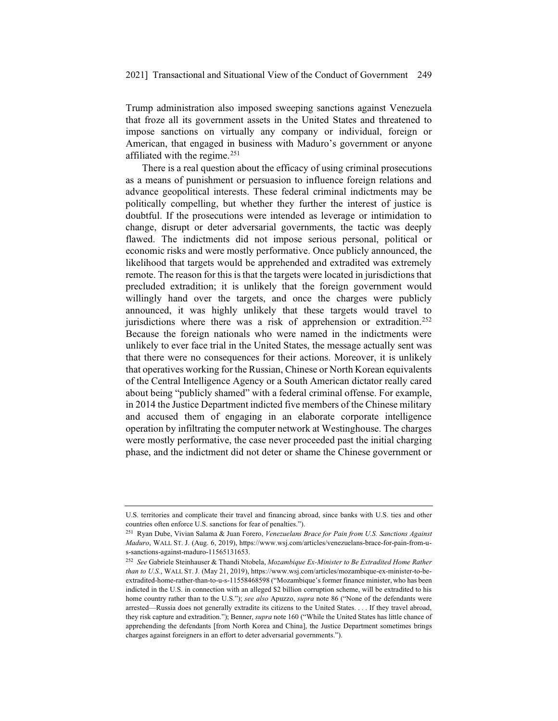Trump administration also imposed sweeping sanctions against Venezuela that froze all its government assets in the United States and threatened to impose sanctions on virtually any company or individual, foreign or American, that engaged in business with Maduro's government or anyone affiliated with the regime.<sup>251</sup>

There is a real question about the efficacy of using criminal prosecutions as a means of punishment or persuasion to influence foreign relations and advance geopolitical interests. These federal criminal indictments may be politically compelling, but whether they further the interest of justice is doubtful. If the prosecutions were intended as leverage or intimidation to change, disrupt or deter adversarial governments, the tactic was deeply flawed. The indictments did not impose serious personal, political or economic risks and were mostly performative. Once publicly announced, the likelihood that targets would be apprehended and extradited was extremely remote. The reason for this is that the targets were located in jurisdictions that precluded extradition; it is unlikely that the foreign government would willingly hand over the targets, and once the charges were publicly announced, it was highly unlikely that these targets would travel to jurisdictions where there was a risk of apprehension or extradition.<sup>252</sup> Because the foreign nationals who were named in the indictments were unlikely to ever face trial in the United States, the message actually sent was that there were no consequences for their actions. Moreover, it is unlikely that operatives working for the Russian, Chinese or North Korean equivalents of the Central Intelligence Agency or a South American dictator really cared about being "publicly shamed" with a federal criminal offense. For example, in 2014 the Justice Department indicted five members of the Chinese military and accused them of engaging in an elaborate corporate intelligence operation by infiltrating the computer network at Westinghouse. The charges were mostly performative, the case never proceeded past the initial charging phase, and the indictment did not deter or shame the Chinese government or

U.S. territories and complicate their travel and financing abroad, since banks with U.S. ties and other countries often enforce U.S. sanctions for fear of penalties.").

<sup>251</sup> Ryan Dube, Vivian Salama & Juan Forero, *Venezuelans Brace for Pain from U.S. Sanctions Against Maduro*, WALL ST. J. (Aug. 6, 2019), https://www.wsj.com/articles/venezuelans-brace-for-pain-from-us-sanctions-against-maduro-11565131653.

<sup>252</sup> *See* Gabriele Steinhauser & Thandi Ntobela, *Mozambique Ex-Minister to Be Extradited Home Rather than to U.S.*, WALL ST. J. (May 21, 2019), https://www.wsj.com/articles/mozambique-ex-minister-to-beextradited-home-rather-than-to-u-s-11558468598 ("Mozambique's former finance minister, who has been indicted in the U.S. in connection with an alleged \$2 billion corruption scheme, will be extradited to his home country rather than to the U.S."); *see also* Apuzzo, *supra* note 86 ("None of the defendants were arrested—Russia does not generally extradite its citizens to the United States. . . . If they travel abroad, they risk capture and extradition."); Benner, *supra* note 160 ("While the United States has little chance of apprehending the defendants [from North Korea and China], the Justice Department sometimes brings charges against foreigners in an effort to deter adversarial governments.").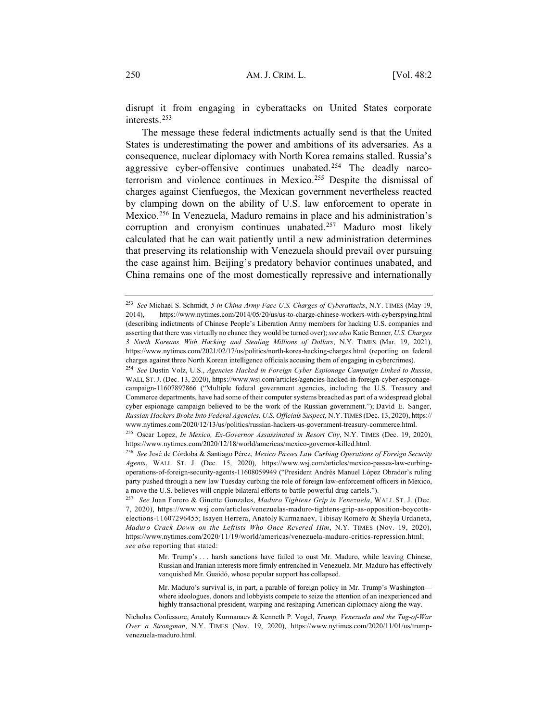disrupt it from engaging in cyberattacks on United States corporate interests.253

The message these federal indictments actually send is that the United States is underestimating the power and ambitions of its adversaries. As a consequence, nuclear diplomacy with North Korea remains stalled. Russia's aggressive cyber-offensive continues unabated.254 The deadly narcoterrorism and violence continues in Mexico.255 Despite the dismissal of charges against Cienfuegos, the Mexican government nevertheless reacted by clamping down on the ability of U.S. law enforcement to operate in Mexico.256 In Venezuela, Maduro remains in place and his administration's corruption and cronyism continues unabated.257 Maduro most likely calculated that he can wait patiently until a new administration determines that preserving its relationship with Venezuela should prevail over pursuing the case against him. Beijing's predatory behavior continues unabated, and China remains one of the most domestically repressive and internationally

<sup>253</sup> *See* Michael S. Schmidt, *5 in China Army Face U.S. Charges of Cyberattacks*, N.Y. TIMES (May 19, 2014), https://www.nytimes.com/2014/05/20/us/us-to-charge-chinese-workers-with-cyberspying.html (describing indictments of Chinese People's Liberation Army members for hacking U.S. companies and asserting that there was virtually no chance they would be turned over); *see also* Katie Benner, *U.S. Charges 3 North Koreans With Hacking and Stealing Millions of Dollars*, N.Y. TIMES (Mar. 19, 2021), https://www.nytimes.com/2021/02/17/us/politics/north-korea-hacking-charges.html (reporting on federal charges against three North Korean intelligence officials accusing them of engaging in cybercrimes).

<sup>254</sup> *See* Dustin Volz, U.S., *Agencies Hacked in Foreign Cyber Espionage Campaign Linked to Russia*, WALL ST. J. (Dec. 13, 2020), https://www.wsj.com/articles/agencies-hacked-in-foreign-cyber-espionagecampaign-11607897866 ("Multiple federal government agencies, including the U.S. Treasury and Commerce departments, have had some of their computer systems breached as part of a widespread global cyber espionage campaign believed to be the work of the Russian government."); David E. Sanger, *Russian Hackers Broke Into Federal Agencies, U.S. Officials Suspect*, N.Y. TIMES (Dec. 13, 2020), https:// www.nytimes.com/2020/12/13/us/politics/russian-hackers-us-government-treasury-commerce.html.

<sup>255</sup> Oscar Lopez, *In Mexico, Ex-Governor Assassinated in Resort City*, N.Y. TIMES (Dec. 19, 2020), https://www.nytimes.com/2020/12/18/world/americas/mexico-governor-killed.html.

<sup>256</sup> *See* José de Córdoba & Santiago Pérez, *Mexico Passes Law Curbing Operations of Foreign Security Agents*, WALL ST. J. (Dec. 15, 2020), https://www.wsj.com/articles/mexico-passes-law-curbingoperations-of-foreign-security-agents-11608059949 ("President Andrés Manuel López Obrador's ruling party pushed through a new law Tuesday curbing the role of foreign law-enforcement officers in Mexico, a move the U.S. believes will cripple bilateral efforts to battle powerful drug cartels.").

<sup>257</sup> *See* Juan Forero & Ginette Gonzales, *Maduro Tightens Grip in Venezuela*, WALL ST. J. (Dec. 7, 2020), https://www.wsj.com/articles/venezuelas-maduro-tightens-grip-as-opposition-boycottselections-11607296455; Isayen Herrera, Anatoly Kurmanaev, Tibisay Romero & Sheyla Urdaneta, *Maduro Crack Down on the Leftists Who Once Revered Him*, N.Y. TIMES (Nov. 19, 2020), https://www.nytimes.com/2020/11/19/world/americas/venezuela-maduro-critics-repression.html; *see also* reporting that stated:

Mr. Trump's . . . harsh sanctions have failed to oust Mr. Maduro, while leaving Chinese, Russian and Iranian interests more firmly entrenched in Venezuela. Mr. Maduro has effectively vanquished Mr. Guaidó, whose popular support has collapsed.

Mr. Maduro's survival is, in part, a parable of foreign policy in Mr. Trump's Washington where ideologues, donors and lobbyists compete to seize the attention of an inexperienced and highly transactional president, warping and reshaping American diplomacy along the way.

Nicholas Confessore, Anatoly Kurmanaev & Kenneth P. Vogel, *Trump, Venezuela and the Tug-of-War Over a Strongman*, N.Y. TIMES (Nov. 19, 2020), https://www.nytimes.com/2020/11/01/us/trumpvenezuela-maduro.html.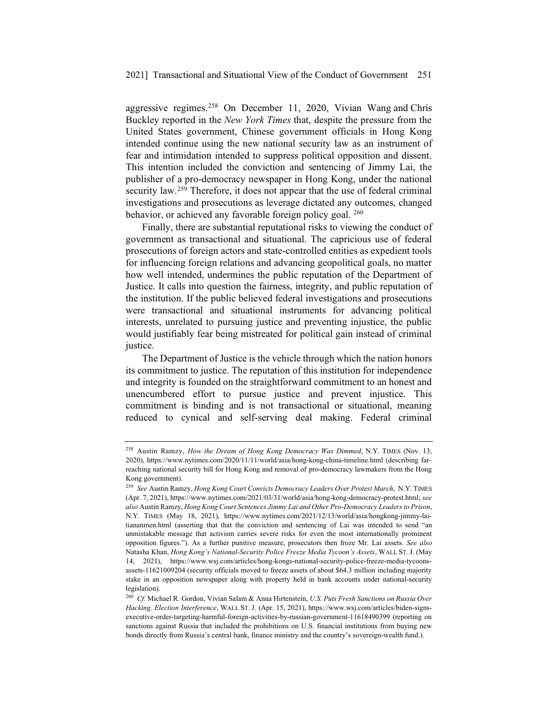aggressive regimes.258 On December 11, 2020, Vivian Wang and Chris Buckley reported in the *New York Times* that, despite the pressure from the United States government, Chinese government officials in Hong Kong intended continue using the new national security law as an instrument of fear and intimidation intended to suppress political opposition and dissent. This intention included the conviction and sentencing of Jimmy Lai, the publisher of a pro-democracy newspaper in Hong Kong, under the national security law.<sup>259</sup> Therefore, it does not appear that the use of federal criminal investigations and prosecutions as leverage dictated any outcomes, changed behavior, or achieved any favorable foreign policy goal. <sup>260</sup>

Finally, there are substantial reputational risks to viewing the conduct of government as transactional and situational. The capricious use of federal prosecutions of foreign actors and state-controlled entities as expedient tools for influencing foreign relations and advancing geopolitical goals, no matter how well intended, undermines the public reputation of the Department of Justice. It calls into question the fairness, integrity, and public reputation of the institution. If the public believed federal investigations and prosecutions were transactional and situational instruments for advancing political interests, unrelated to pursuing justice and preventing injustice, the public would justifiably fear being mistreated for political gain instead of criminal justice.

The Department of Justice is the vehicle through which the nation honors its commitment to justice. The reputation of this institution for independence and integrity is founded on the straightforward commitment to an honest and unencumbered effort to pursue justice and prevent injustice. This commitment is binding and is not transactional or situational, meaning reduced to cynical and self-serving deal making. Federal criminal

<sup>258</sup> Austin Ramzy, *How the Dream of Hong Kong Democracy Was Dimmed*, N.Y. TIMES (Nov. 13, 2020), https://www.nytimes.com/2020/11/11/world/asia/hong-kong-china-timeline.html (describing farreaching national security bill for Hong Kong and removal of pro-democracy lawmakers from the Hong Kong government).

<sup>259</sup> *See* Austin Ramzy, *Hong Kong Court Convicts Democracy Leaders Over Protest March*, N.Y. TIMES (Apr. 7, 2021), https://www.nytimes.com/2021/03/31/world/asia/hong-kong-democracy-protest.html; *see also* Austin Ramzy, *Hong Kong Court Sentences Jimmy Lai and Other Pro-Democracy Leaders to Prison*, N.Y. TIMES (May 18, 2021), https://www.nytimes.com/2021/12/13/world/asia/hongkong-jimmy-laitiananmen.html (asserting that that the conviction and sentencing of Lai was intended to send "an unmistakable message that activism carries severe risks for even the most internationally prominent opposition figures."). As a further punitive measure, prosecutors then froze Mr. Lai assets. *See also*  Natasha Khan, *Hong Kong's National-Security Police Freeze Media Tycoon's Assets*, WALL ST. J. (May 14, 2021), https://www.wsj.com/articles/hong-kongs-national-security-police-freeze-media-tycoonsassets-11621009204 (security officials moved to freeze assets of about \$64.3 million including majority stake in an opposition newspaper along with property held in bank accounts under national-security legislation).

<sup>260</sup> *Cf.* Michael R. Gordon, Vivian Salam & Anna Hirtenstein, *U.S. Puts Fresh Sanctions on Russia Over Hacking, Election Interference*, WALL ST. J. (Apr. 15, 2021), https://www.wsj.com/articles/biden-signsexecutive-order-targeting-harmful-foreign-activities-by-russian-government-11618490399 (reporting on sanctions against Russia that included the prohibitions on U.S. financial institutions from buying new bonds directly from Russia's central bank, finance ministry and the country's sovereign-wealth fund.).